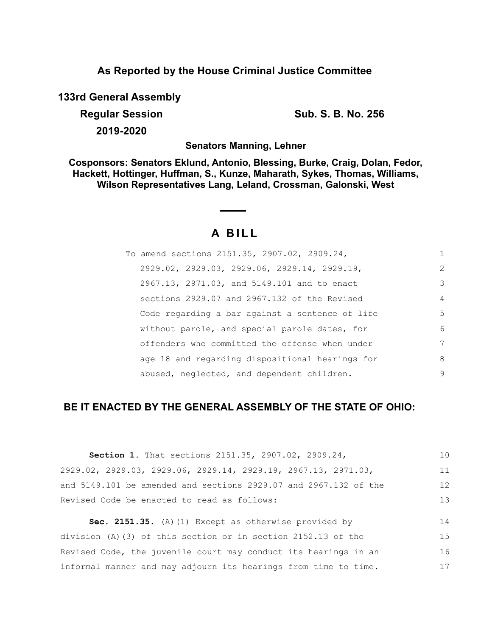**As Reported by the House Criminal Justice Committee**

**133rd General Assembly**

**Regular Session Sub. S. B. No. 256** 

**2019-2020**

**Senators Manning, Lehner**

**Cosponsors: Senators Eklund, Antonio, Blessing, Burke, Craig, Dolan, Fedor, Hackett, Hottinger, Huffman, S., Kunze, Maharath, Sykes, Thomas, Williams, Wilson Representatives Lang, Leland, Crossman, Galonski, West**

# **A B I L L**

| To amend sections 2151.35, 2907.02, 2909.24,    | 1 |
|-------------------------------------------------|---|
| 2929.02, 2929.03, 2929.06, 2929.14, 2929.19,    | 2 |
| 2967.13, 2971.03, and 5149.101 and to enact     | 3 |
| sections 2929.07 and 2967.132 of the Revised    | 4 |
| Code regarding a bar against a sentence of life | 5 |
| without parole, and special parole dates, for   | 6 |
| offenders who committed the offense when under  | 7 |
| age 18 and regarding dispositional hearings for | 8 |
| abused, neglected, and dependent children.      | 9 |

## **BE IT ENACTED BY THE GENERAL ASSEMBLY OF THE STATE OF OHIO:**

| <b>Section 1.</b> That sections 2151.35, 2907.02, 2909.24,         | 10 |
|--------------------------------------------------------------------|----|
| 2929.02, 2929.03, 2929.06, 2929.14, 2929.19, 2967.13, 2971.03,     | 11 |
| and $5149.101$ be amended and sections 2929.07 and 2967.132 of the | 12 |
| Revised Code be enacted to read as follows:                        |    |
|                                                                    |    |
| Sec. 2151.35. (A) (1) Except as otherwise provided by              | 14 |
| division (A) (3) of this section or in section 2152.13 of the      | 15 |
| Revised Code, the juvenile court may conduct its hearings in an    | 16 |
| informal manner and may adjourn its hearings from time to time.    | 17 |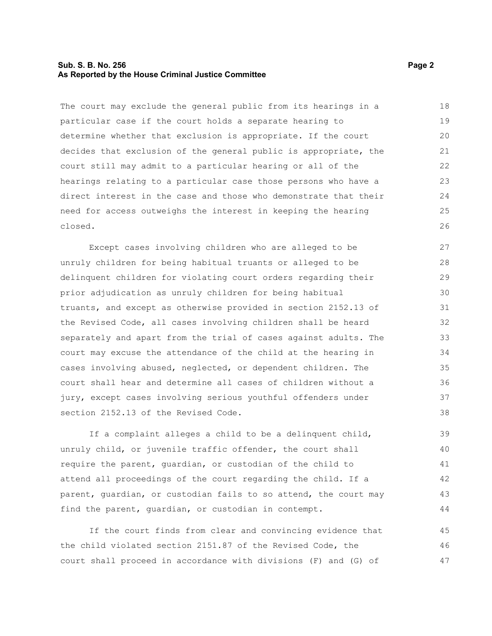#### **Sub. S. B. No. 256 Page 2 Page 2 As Reported by the House Criminal Justice Committee**

The court may exclude the general public from its hearings in a particular case if the court holds a separate hearing to determine whether that exclusion is appropriate. If the court decides that exclusion of the general public is appropriate, the court still may admit to a particular hearing or all of the hearings relating to a particular case those persons who have a direct interest in the case and those who demonstrate that their need for access outweighs the interest in keeping the hearing closed. 18 19  $20$ 21 22 23 24 25 26

Except cases involving children who are alleged to be unruly children for being habitual truants or alleged to be delinquent children for violating court orders regarding their prior adjudication as unruly children for being habitual truants, and except as otherwise provided in section 2152.13 of the Revised Code, all cases involving children shall be heard separately and apart from the trial of cases against adults. The court may excuse the attendance of the child at the hearing in cases involving abused, neglected, or dependent children. The court shall hear and determine all cases of children without a jury, except cases involving serious youthful offenders under section 2152.13 of the Revised Code.

If a complaint alleges a child to be a delinquent child, unruly child, or juvenile traffic offender, the court shall require the parent, guardian, or custodian of the child to attend all proceedings of the court regarding the child. If a parent, guardian, or custodian fails to so attend, the court may find the parent, guardian, or custodian in contempt. 39 40 41 42 43 44

If the court finds from clear and convincing evidence that the child violated section 2151.87 of the Revised Code, the court shall proceed in accordance with divisions (F) and (G) of 45 46 47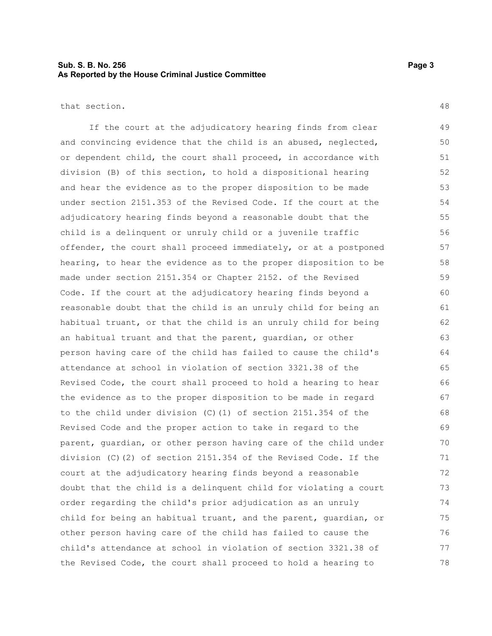#### **Sub. S. B. No. 256 Page 3 As Reported by the House Criminal Justice Committee**

If the court at the adjudicatory hearing finds from clear and convincing evidence that the child is an abused, neglected, or dependent child, the court shall proceed, in accordance with division (B) of this section, to hold a dispositional hearing and hear the evidence as to the proper disposition to be made under section 2151.353 of the Revised Code. If the court at the adjudicatory hearing finds beyond a reasonable doubt that the child is a delinquent or unruly child or a juvenile traffic offender, the court shall proceed immediately, or at a postponed hearing, to hear the evidence as to the proper disposition to be made under section 2151.354 or Chapter 2152. of the Revised Code. If the court at the adjudicatory hearing finds beyond a reasonable doubt that the child is an unruly child for being an habitual truant, or that the child is an unruly child for being an habitual truant and that the parent, guardian, or other person having care of the child has failed to cause the child's attendance at school in violation of section 3321.38 of the Revised Code, the court shall proceed to hold a hearing to hear the evidence as to the proper disposition to be made in regard to the child under division (C)(1) of section 2151.354 of the Revised Code and the proper action to take in regard to the parent, guardian, or other person having care of the child under division (C)(2) of section 2151.354 of the Revised Code. If the court at the adjudicatory hearing finds beyond a reasonable doubt that the child is a delinquent child for violating a court order regarding the child's prior adjudication as an unruly child for being an habitual truant, and the parent, guardian, or other person having care of the child has failed to cause the child's attendance at school in violation of section 3321.38 of the Revised Code, the court shall proceed to hold a hearing to 49 50 51 52 53 54 55 56 57 58 59 60 61 62 63 64 65 66 67 68 69 70 71 72 73 74 75 76 77 78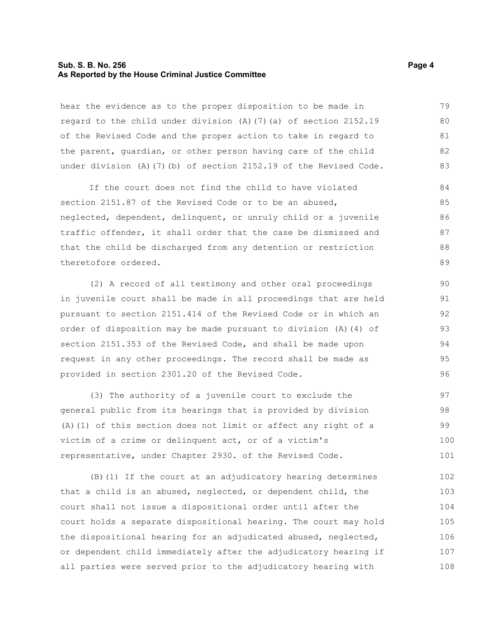#### **Sub. S. B. No. 256 Page 4 Page 4 Page 4 Page 4 Page 4 Page 4 Page 4 Page 4 As Reported by the House Criminal Justice Committee**

hear the evidence as to the proper disposition to be made in regard to the child under division (A)(7)(a) of section 2152.19 of the Revised Code and the proper action to take in regard to the parent, guardian, or other person having care of the child under division (A)(7)(b) of section 2152.19 of the Revised Code. 79 80 81 82 83

If the court does not find the child to have violated section 2151.87 of the Revised Code or to be an abused, neglected, dependent, delinquent, or unruly child or a juvenile traffic offender, it shall order that the case be dismissed and that the child be discharged from any detention or restriction theretofore ordered.

(2) A record of all testimony and other oral proceedings in juvenile court shall be made in all proceedings that are held pursuant to section 2151.414 of the Revised Code or in which an order of disposition may be made pursuant to division (A)(4) of section 2151.353 of the Revised Code, and shall be made upon request in any other proceedings. The record shall be made as provided in section 2301.20 of the Revised Code.

(3) The authority of a juvenile court to exclude the general public from its hearings that is provided by division (A)(1) of this section does not limit or affect any right of a victim of a crime or delinquent act, or of a victim's representative, under Chapter 2930. of the Revised Code. 97 98 99 100 101

(B)(1) If the court at an adjudicatory hearing determines that a child is an abused, neglected, or dependent child, the court shall not issue a dispositional order until after the court holds a separate dispositional hearing. The court may hold the dispositional hearing for an adjudicated abused, neglected, or dependent child immediately after the adjudicatory hearing if all parties were served prior to the adjudicatory hearing with 102 103 104 105 106 107 108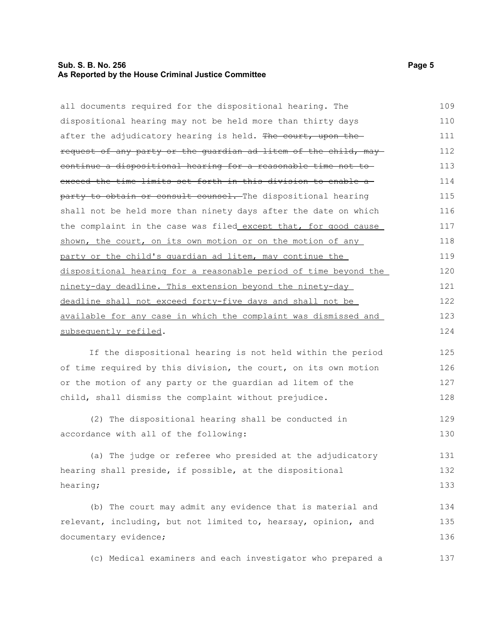### **Sub. S. B. No. 256** Page 5 **As Reported by the House Criminal Justice Committee**

| all documents required for the dispositional hearing. The        | 109 |
|------------------------------------------------------------------|-----|
| dispositional hearing may not be held more than thirty days      | 110 |
| after the adjudicatory hearing is held. The court, upon the      | 111 |
| request of any party or the quardian ad litem of the child, may- | 112 |
| continue a dispositional hearing for a reasonable time not to    | 113 |
| exceed the time limits set forth in this division to enable a-   | 114 |
| party to obtain or consult counsel. The dispositional hearing    | 115 |
| shall not be held more than ninety days after the date on which  | 116 |
| the complaint in the case was filed except that, for good cause  | 117 |
| shown, the court, on its own motion or on the motion of any      | 118 |
| party or the child's quardian ad litem, may continue the         | 119 |
| dispositional hearing for a reasonable period of time beyond the | 120 |
| ninety-day deadline. This extension beyond the ninety-day        | 121 |
| deadline shall not exceed forty-five days and shall not be       | 122 |
| available for any case in which the complaint was dismissed and  | 123 |
| subsequently refiled.                                            | 124 |
| If the dispositional hearing is not held within the period       | 125 |
| of time required by this division, the court, on its own motion  | 126 |
| or the motion of any party or the guardian ad litem of the       | 127 |
| child, shall dismiss the complaint without prejudice.            | 128 |
| (2) The dispositional hearing shall be conducted in              | 129 |
| accordance with all of the following:                            | 130 |
| (a) The judge or referee who presided at the adjudicatory        | 131 |
| hearing shall preside, if possible, at the dispositional         | 132 |
| hearing;                                                         | 133 |
| (b) The court may admit any evidence that is material and        | 134 |
| relevant, including, but not limited to, hearsay, opinion, and   | 135 |
| documentary evidence;                                            | 136 |
| (c) Medical examiners and each investigator who prepared a       | 137 |
|                                                                  |     |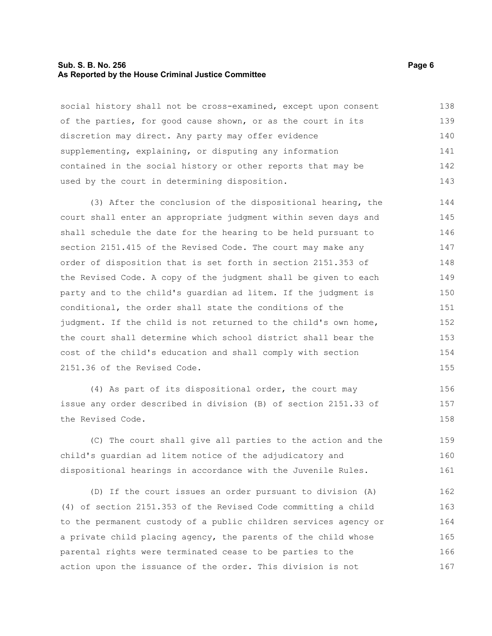#### **Sub. S. B. No. 256 Page 6 Page 6 Page 6 Page 6 Page 6 Page 6 Page 6 Page 6 As Reported by the House Criminal Justice Committee**

social history shall not be cross-examined, except upon consent of the parties, for good cause shown, or as the court in its discretion may direct. Any party may offer evidence supplementing, explaining, or disputing any information contained in the social history or other reports that may be used by the court in determining disposition. 138 139 140 141 142 143

(3) After the conclusion of the dispositional hearing, the court shall enter an appropriate judgment within seven days and shall schedule the date for the hearing to be held pursuant to section 2151.415 of the Revised Code. The court may make any order of disposition that is set forth in section 2151.353 of the Revised Code. A copy of the judgment shall be given to each party and to the child's guardian ad litem. If the judgment is conditional, the order shall state the conditions of the judgment. If the child is not returned to the child's own home, the court shall determine which school district shall bear the cost of the child's education and shall comply with section 2151.36 of the Revised Code. 144 145 146 147 148 149 150 151 152 153 154 155

(4) As part of its dispositional order, the court may issue any order described in division (B) of section 2151.33 of the Revised Code.

(C) The court shall give all parties to the action and the child's guardian ad litem notice of the adjudicatory and dispositional hearings in accordance with the Juvenile Rules.

(D) If the court issues an order pursuant to division (A) (4) of section 2151.353 of the Revised Code committing a child to the permanent custody of a public children services agency or a private child placing agency, the parents of the child whose parental rights were terminated cease to be parties to the action upon the issuance of the order. This division is not 162 163 164 165 166 167

156 157 158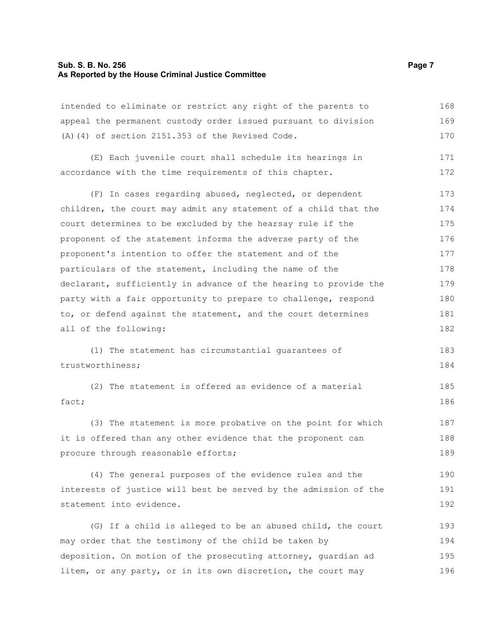#### **Sub. S. B. No. 256 Page 7 Page 7 Page 7 Page 7 Page 7 Page 7 Page 7 Page 7 As Reported by the House Criminal Justice Committee**

intended to eliminate or restrict any right of the parents to appeal the permanent custody order issued pursuant to division (A)(4) of section 2151.353 of the Revised Code. 168 169 170

(E) Each juvenile court shall schedule its hearings in accordance with the time requirements of this chapter. 171 172

(F) In cases regarding abused, neglected, or dependent children, the court may admit any statement of a child that the court determines to be excluded by the hearsay rule if the proponent of the statement informs the adverse party of the proponent's intention to offer the statement and of the particulars of the statement, including the name of the declarant, sufficiently in advance of the hearing to provide the party with a fair opportunity to prepare to challenge, respond to, or defend against the statement, and the court determines all of the following: 173 174 175 176 177 178 179 180 181 182

(1) The statement has circumstantial guarantees of trustworthiness; 183 184

(2) The statement is offered as evidence of a material fact; 185 186

(3) The statement is more probative on the point for which it is offered than any other evidence that the proponent can procure through reasonable efforts; 187 188 189

(4) The general purposes of the evidence rules and the interests of justice will best be served by the admission of the statement into evidence. 190 191 192

(G) If a child is alleged to be an abused child, the court may order that the testimony of the child be taken by deposition. On motion of the prosecuting attorney, guardian ad litem, or any party, or in its own discretion, the court may 193 194 195 196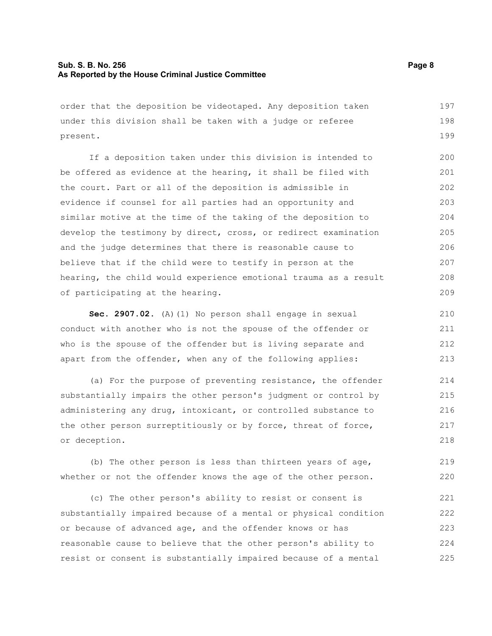#### **Sub. S. B. No. 256 Page 8 As Reported by the House Criminal Justice Committee**

order that the deposition be videotaped. Any deposition taken under this division shall be taken with a judge or referee present. 197 198 199

If a deposition taken under this division is intended to be offered as evidence at the hearing, it shall be filed with the court. Part or all of the deposition is admissible in evidence if counsel for all parties had an opportunity and similar motive at the time of the taking of the deposition to develop the testimony by direct, cross, or redirect examination and the judge determines that there is reasonable cause to believe that if the child were to testify in person at the hearing, the child would experience emotional trauma as a result of participating at the hearing. 200 201 202 203 204 205 206 207 208 209

**Sec. 2907.02.** (A)(1) No person shall engage in sexual conduct with another who is not the spouse of the offender or who is the spouse of the offender but is living separate and apart from the offender, when any of the following applies: 210 211 212 213

(a) For the purpose of preventing resistance, the offender substantially impairs the other person's judgment or control by administering any drug, intoxicant, or controlled substance to the other person surreptitiously or by force, threat of force, or deception. 214 215 216 217 218

(b) The other person is less than thirteen years of age, whether or not the offender knows the age of the other person. 219 220

(c) The other person's ability to resist or consent is substantially impaired because of a mental or physical condition or because of advanced age, and the offender knows or has reasonable cause to believe that the other person's ability to resist or consent is substantially impaired because of a mental 221 222 223 224 225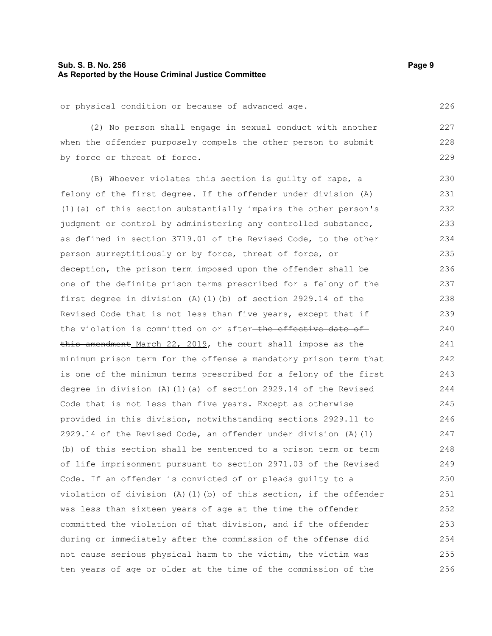#### **Sub. S. B. No. 256 Page 9 As Reported by the House Criminal Justice Committee**

or physical condition or because of advanced age.

(2) No person shall engage in sexual conduct with another when the offender purposely compels the other person to submit by force or threat of force.

(B) Whoever violates this section is guilty of rape, a felony of the first degree. If the offender under division (A) (1)(a) of this section substantially impairs the other person's judgment or control by administering any controlled substance, as defined in section 3719.01 of the Revised Code, to the other person surreptitiously or by force, threat of force, or deception, the prison term imposed upon the offender shall be one of the definite prison terms prescribed for a felony of the first degree in division (A)(1)(b) of section 2929.14 of the Revised Code that is not less than five years, except that if the violation is committed on or after-the effective date of this amendment March 22, 2019, the court shall impose as the minimum prison term for the offense a mandatory prison term that is one of the minimum terms prescribed for a felony of the first degree in division (A)(1)(a) of section 2929.14 of the Revised Code that is not less than five years. Except as otherwise provided in this division, notwithstanding sections 2929.11 to 2929.14 of the Revised Code, an offender under division (A)(1) (b) of this section shall be sentenced to a prison term or term of life imprisonment pursuant to section 2971.03 of the Revised Code. If an offender is convicted of or pleads guilty to a violation of division  $(A)$   $(1)$   $(b)$  of this section, if the offender was less than sixteen years of age at the time the offender committed the violation of that division, and if the offender during or immediately after the commission of the offense did not cause serious physical harm to the victim, the victim was ten years of age or older at the time of the commission of the 230 231 232 233 234 235 236 237 238 239 240 241 242 243 244 245 246 247 248 249 250 251 252 253 254 255 256

226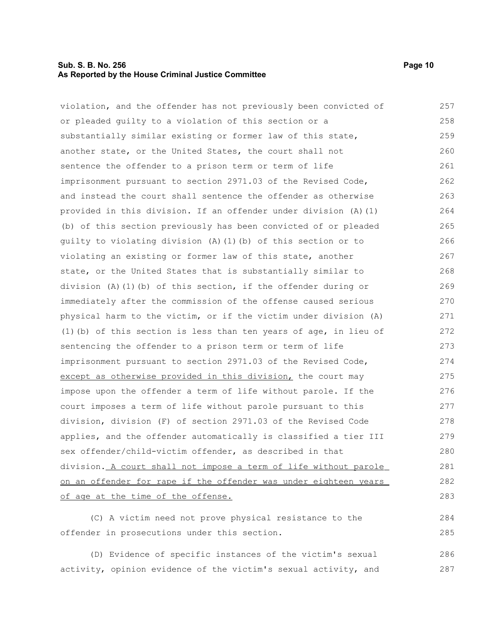#### **Sub. S. B. No. 256 Page 10 As Reported by the House Criminal Justice Committee**

violation, and the offender has not previously been convicted of or pleaded guilty to a violation of this section or a substantially similar existing or former law of this state, another state, or the United States, the court shall not sentence the offender to a prison term or term of life imprisonment pursuant to section 2971.03 of the Revised Code, and instead the court shall sentence the offender as otherwise provided in this division. If an offender under division (A)(1) (b) of this section previously has been convicted of or pleaded guilty to violating division (A)(1)(b) of this section or to violating an existing or former law of this state, another state, or the United States that is substantially similar to division (A)(1)(b) of this section, if the offender during or immediately after the commission of the offense caused serious physical harm to the victim, or if the victim under division (A) (1)(b) of this section is less than ten years of age, in lieu of sentencing the offender to a prison term or term of life imprisonment pursuant to section 2971.03 of the Revised Code, except as otherwise provided in this division, the court may impose upon the offender a term of life without parole. If the court imposes a term of life without parole pursuant to this division, division (F) of section 2971.03 of the Revised Code applies, and the offender automatically is classified a tier III sex offender/child-victim offender, as described in that division. A court shall not impose a term of life without parole on an offender for rape if the offender was under eighteen years of age at the time of the offense. 257 258 259 260 261 262 263 264 265 266 267 268 269 270 271 272 273 274 275 276 277 278 279 280 281 282 283

(C) A victim need not prove physical resistance to the offender in prosecutions under this section. 284 285

(D) Evidence of specific instances of the victim's sexual activity, opinion evidence of the victim's sexual activity, and 286 287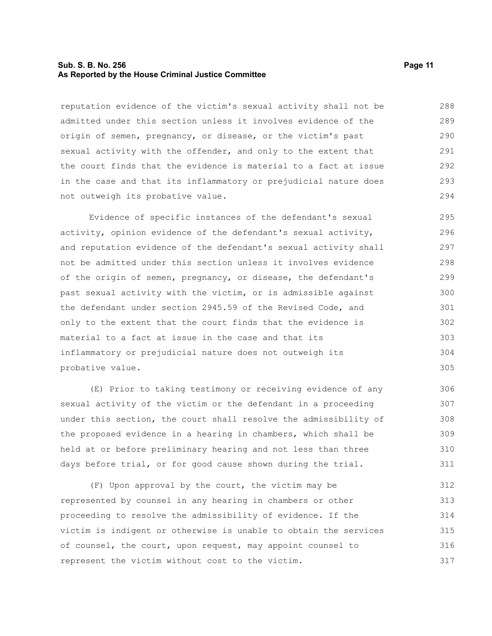#### **Sub. S. B. No. 256 Page 11 As Reported by the House Criminal Justice Committee**

reputation evidence of the victim's sexual activity shall not be admitted under this section unless it involves evidence of the origin of semen, pregnancy, or disease, or the victim's past sexual activity with the offender, and only to the extent that the court finds that the evidence is material to a fact at issue in the case and that its inflammatory or prejudicial nature does not outweigh its probative value. 288 289 290 291 292 293 294

Evidence of specific instances of the defendant's sexual activity, opinion evidence of the defendant's sexual activity, and reputation evidence of the defendant's sexual activity shall not be admitted under this section unless it involves evidence of the origin of semen, pregnancy, or disease, the defendant's past sexual activity with the victim, or is admissible against the defendant under section 2945.59 of the Revised Code, and only to the extent that the court finds that the evidence is material to a fact at issue in the case and that its inflammatory or prejudicial nature does not outweigh its probative value. 295 296 297 298 299 300 301 302 303 304 305

(E) Prior to taking testimony or receiving evidence of any sexual activity of the victim or the defendant in a proceeding under this section, the court shall resolve the admissibility of the proposed evidence in a hearing in chambers, which shall be held at or before preliminary hearing and not less than three days before trial, or for good cause shown during the trial. 306 307 308 309 310 311

(F) Upon approval by the court, the victim may be represented by counsel in any hearing in chambers or other proceeding to resolve the admissibility of evidence. If the victim is indigent or otherwise is unable to obtain the services of counsel, the court, upon request, may appoint counsel to represent the victim without cost to the victim. 312 313 314 315 316 317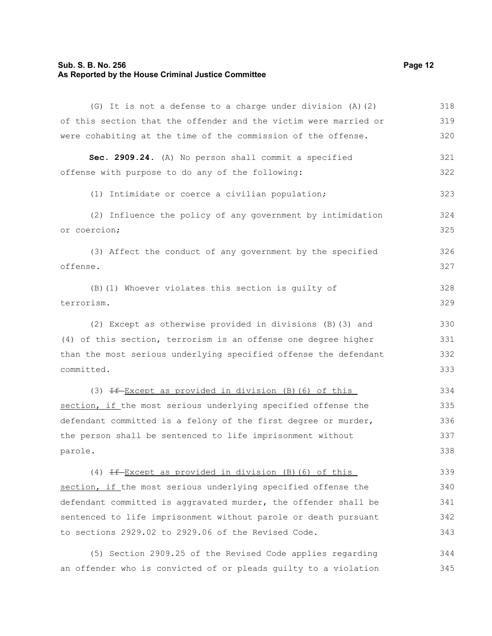#### **Sub. S. B. No. 256 Page 12 As Reported by the House Criminal Justice Committee**

(G) It is not a defense to a charge under division (A)(2) of this section that the offender and the victim were married or were cohabiting at the time of the commission of the offense. 318 319 320

**Sec. 2909.24.** (A) No person shall commit a specified offense with purpose to do any of the following: 321 322

(1) Intimidate or coerce a civilian population; 323

(2) Influence the policy of any government by intimidation or coercion; 324 325

(3) Affect the conduct of any government by the specified offense. 326 327

(B)(1) Whoever violates this section is guilty of terrorism. 328 329

(2) Except as otherwise provided in divisions (B)(3) and (4) of this section, terrorism is an offense one degree higher than the most serious underlying specified offense the defendant committed. 330 331 332 333

(3)  $H$ Except as provided in division (B)(6) of this section, if the most serious underlying specified offense the defendant committed is a felony of the first degree or murder, the person shall be sentenced to life imprisonment without parole. 334 335 336 337 338

(4) If Except as provided in division (B)(6) of this section, if the most serious underlying specified offense the defendant committed is aggravated murder, the offender shall be sentenced to life imprisonment without parole or death pursuant to sections 2929.02 to 2929.06 of the Revised Code. 339 340 341 342 343

(5) Section 2909.25 of the Revised Code applies regarding an offender who is convicted of or pleads guilty to a violation 344 345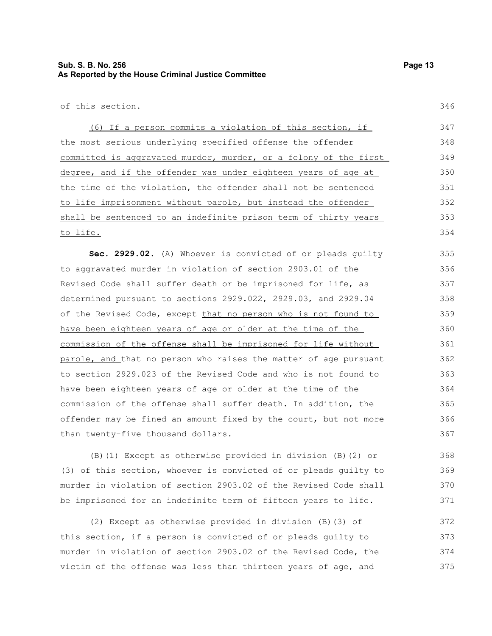346

of this section.

(6) If a person commits a violation of this section, if the most serious underlying specified offense the offender committed is aggravated murder, murder, or a felony of the first degree, and if the offender was under eighteen years of age at the time of the violation, the offender shall not be sentenced to life imprisonment without parole, but instead the offender shall be sentenced to an indefinite prison term of thirty years to life. 347 348 349 350 351 352 353 354

**Sec. 2929.02.** (A) Whoever is convicted of or pleads guilty to aggravated murder in violation of section 2903.01 of the Revised Code shall suffer death or be imprisoned for life, as determined pursuant to sections 2929.022, 2929.03, and 2929.04 of the Revised Code, except that no person who is not found to have been eighteen years of age or older at the time of the commission of the offense shall be imprisoned for life without parole, and that no person who raises the matter of age pursuant to section 2929.023 of the Revised Code and who is not found to have been eighteen years of age or older at the time of the commission of the offense shall suffer death. In addition, the offender may be fined an amount fixed by the court, but not more than twenty-five thousand dollars.

(B)(1) Except as otherwise provided in division (B)(2) or (3) of this section, whoever is convicted of or pleads guilty to murder in violation of section 2903.02 of the Revised Code shall be imprisoned for an indefinite term of fifteen years to life.

(2) Except as otherwise provided in division (B)(3) of this section, if a person is convicted of or pleads guilty to murder in violation of section 2903.02 of the Revised Code, the victim of the offense was less than thirteen years of age, and 372 373 374 375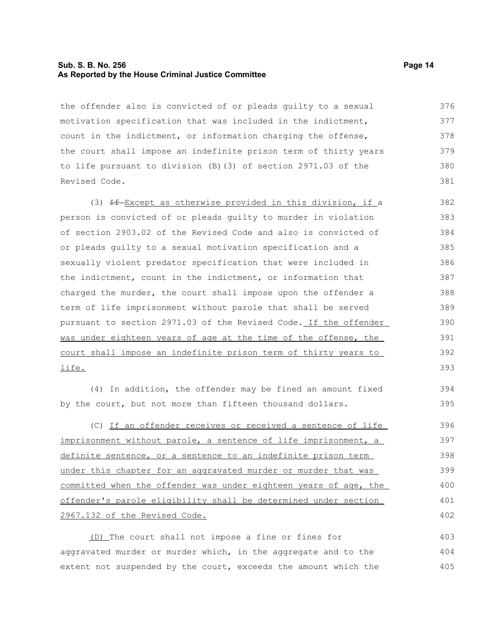#### **Sub. S. B. No. 256 Page 14 As Reported by the House Criminal Justice Committee**

the offender also is convicted of or pleads guilty to a sexual motivation specification that was included in the indictment, count in the indictment, or information charging the offense, the court shall impose an indefinite prison term of thirty years to life pursuant to division (B)(3) of section 2971.03 of the Revised Code. 376 377 378 379 380 381

(3)  $If-Except as otherwise provided in this division, if a$ person is convicted of or pleads guilty to murder in violation of section 2903.02 of the Revised Code and also is convicted of or pleads guilty to a sexual motivation specification and a sexually violent predator specification that were included in the indictment, count in the indictment, or information that charged the murder, the court shall impose upon the offender a term of life imprisonment without parole that shall be served pursuant to section 2971.03 of the Revised Code. If the offender was under eighteen years of age at the time of the offense, the court shall impose an indefinite prison term of thirty years to life. 382 383 384 385 386 387 388 389 390 391 392 393

(4) In addition, the offender may be fined an amount fixed by the court, but not more than fifteen thousand dollars.

(C) If an offender receives or received a sentence of life imprisonment without parole, a sentence of life imprisonment, a definite sentence, or a sentence to an indefinite prison term under this chapter for an aggravated murder or murder that was committed when the offender was under eighteen years of age, the offender's parole eligibility shall be determined under section 2967.132 of the Revised Code. 396 397 398 399 400 401 402

(D) The court shall not impose a fine or fines for aggravated murder or murder which, in the aggregate and to the extent not suspended by the court, exceeds the amount which the 403 404 405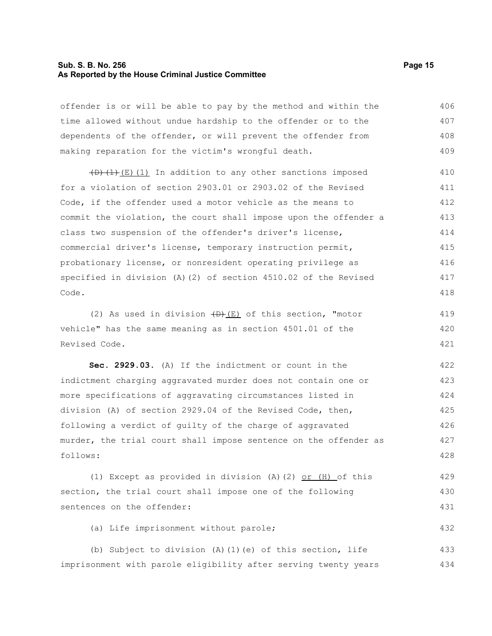#### **Sub. S. B. No. 256 Page 15 As Reported by the House Criminal Justice Committee**

offender is or will be able to pay by the method and within the time allowed without undue hardship to the offender or to the dependents of the offender, or will prevent the offender from making reparation for the victim's wrongful death. 406 407 408 409

 $(D)$   $(1)$   $(E)$   $(1)$  In addition to any other sanctions imposed for a violation of section 2903.01 or 2903.02 of the Revised Code, if the offender used a motor vehicle as the means to commit the violation, the court shall impose upon the offender a class two suspension of the offender's driver's license, commercial driver's license, temporary instruction permit, probationary license, or nonresident operating privilege as specified in division (A)(2) of section 4510.02 of the Revised Code. 410 411 412 413 414 415 416 417 418

(2) As used in division  $(D)$  (E) of this section, "motor vehicle" has the same meaning as in section 4501.01 of the Revised Code. 419 420 421

**Sec. 2929.03.** (A) If the indictment or count in the indictment charging aggravated murder does not contain one or more specifications of aggravating circumstances listed in division (A) of section 2929.04 of the Revised Code, then, following a verdict of guilty of the charge of aggravated murder, the trial court shall impose sentence on the offender as follows: 422 423 424 425 426 427 428

(1) Except as provided in division (A)(2)  $or$  (H) of this section, the trial court shall impose one of the following sentences on the offender: 429 430 431

(a) Life imprisonment without parole; 432

(b) Subject to division (A)(1)(e) of this section, life imprisonment with parole eligibility after serving twenty years 433 434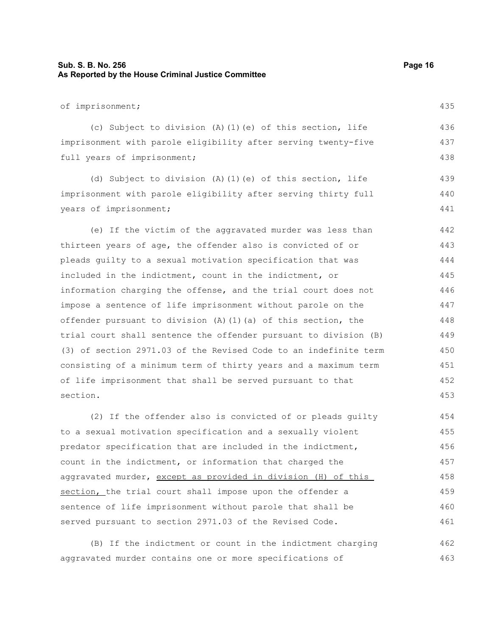#### **Sub. S. B. No. 256 Page 16 As Reported by the House Criminal Justice Committee**

460 461

of imprisonment; (c) Subject to division (A)(1)(e) of this section, life imprisonment with parole eligibility after serving twenty-five full years of imprisonment; (d) Subject to division (A)(1)(e) of this section, life imprisonment with parole eligibility after serving thirty full years of imprisonment; (e) If the victim of the aggravated murder was less than thirteen years of age, the offender also is convicted of or pleads guilty to a sexual motivation specification that was included in the indictment, count in the indictment, or information charging the offense, and the trial court does not impose a sentence of life imprisonment without parole on the offender pursuant to division  $(A)$   $(1)$   $(a)$  of this section, the trial court shall sentence the offender pursuant to division (B) (3) of section 2971.03 of the Revised Code to an indefinite term consisting of a minimum term of thirty years and a maximum term of life imprisonment that shall be served pursuant to that section. (2) If the offender also is convicted of or pleads guilty to a sexual motivation specification and a sexually violent predator specification that are included in the indictment, count in the indictment, or information that charged the aggravated murder, except as provided in division (H) of this section, the trial court shall impose upon the offender a 435 436 437 438 439 440 441 442 443 444 445 446 447 448 449 450 451 452 453 454 455 456 457 458 459

(B) If the indictment or count in the indictment charging aggravated murder contains one or more specifications of 462 463

sentence of life imprisonment without parole that shall be

served pursuant to section 2971.03 of the Revised Code.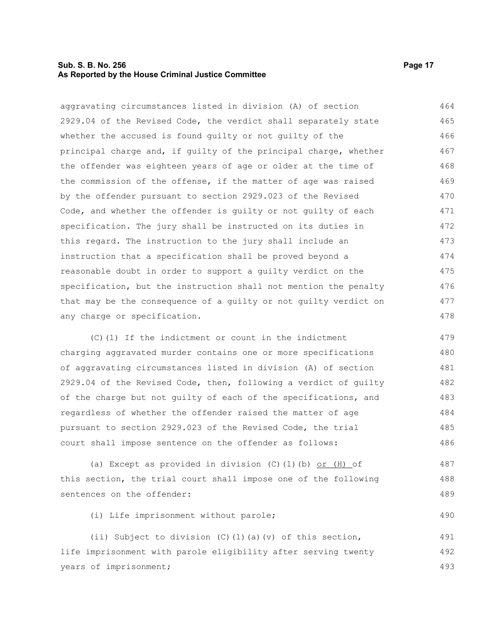#### **Sub. S. B. No. 256 Page 17 As Reported by the House Criminal Justice Committee**

aggravating circumstances listed in division (A) of section 2929.04 of the Revised Code, the verdict shall separately state whether the accused is found guilty or not guilty of the principal charge and, if guilty of the principal charge, whether the offender was eighteen years of age or older at the time of the commission of the offense, if the matter of age was raised by the offender pursuant to section 2929.023 of the Revised Code, and whether the offender is guilty or not guilty of each specification. The jury shall be instructed on its duties in this regard. The instruction to the jury shall include an instruction that a specification shall be proved beyond a reasonable doubt in order to support a guilty verdict on the specification, but the instruction shall not mention the penalty that may be the consequence of a guilty or not guilty verdict on any charge or specification. 464 465 466 467 468 469 470 471 472 473 474 475 476 477 478

(C)(1) If the indictment or count in the indictment charging aggravated murder contains one or more specifications of aggravating circumstances listed in division (A) of section 2929.04 of the Revised Code, then, following a verdict of guilty of the charge but not guilty of each of the specifications, and regardless of whether the offender raised the matter of age pursuant to section 2929.023 of the Revised Code, the trial court shall impose sentence on the offender as follows: 479 480 481 482 483 484 485 486

(a) Except as provided in division (C)(1)(b)  $or$  (H) of this section, the trial court shall impose one of the following sentences on the offender: 487 488 489

(i) Life imprisonment without parole;

(ii) Subject to division (C)(1)(a)(v) of this section, life imprisonment with parole eligibility after serving twenty years of imprisonment; 491 492 493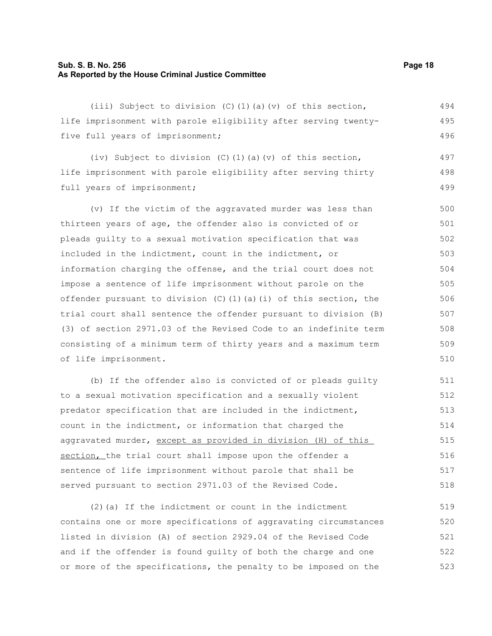#### **Sub. S. B. No. 256 Page 18 As Reported by the House Criminal Justice Committee**

| (iii) Subject to division $(C)$ $(1)$ $(a)$ $(v)$ of this section, | 494 |
|--------------------------------------------------------------------|-----|
| life imprisonment with parole eligibility after serving twenty-    | 495 |
| five full years of imprisonment;                                   | 496 |
| (iv) Subject to division $(C)$ $(1)$ $(a)$ $(v)$ of this section,  | 497 |
| life imprisonment with parole eligibility after serving thirty     | 498 |
| full years of imprisonment;                                        | 499 |
| (v) If the victim of the aggravated murder was less than           | 500 |
| thirteen years of age, the offender also is convicted of or        | 501 |
| pleads guilty to a sexual motivation specification that was        | 502 |
| included in the indictment, count in the indictment, or            | 503 |
| information charging the offense, and the trial court does not     | 504 |
| impose a sentence of life imprisonment without parole on the       | 505 |
| offender pursuant to division (C)(1)(a)(i) of this section, the    | 506 |
| trial court shall sentence the offender pursuant to division (B)   | 507 |

(3) of section 2971.03 of the Revised Code to an indefinite term consisting of a minimum term of thirty years and a maximum term of life imprisonment. 508 509 510

(b) If the offender also is convicted of or pleads guilty to a sexual motivation specification and a sexually violent predator specification that are included in the indictment, count in the indictment, or information that charged the aggravated murder, except as provided in division (H) of this section, the trial court shall impose upon the offender a sentence of life imprisonment without parole that shall be served pursuant to section 2971.03 of the Revised Code. 511 512 513 514 515 516 517 518

(2)(a) If the indictment or count in the indictment contains one or more specifications of aggravating circumstances listed in division (A) of section 2929.04 of the Revised Code and if the offender is found guilty of both the charge and one or more of the specifications, the penalty to be imposed on the 519 520 521 522 523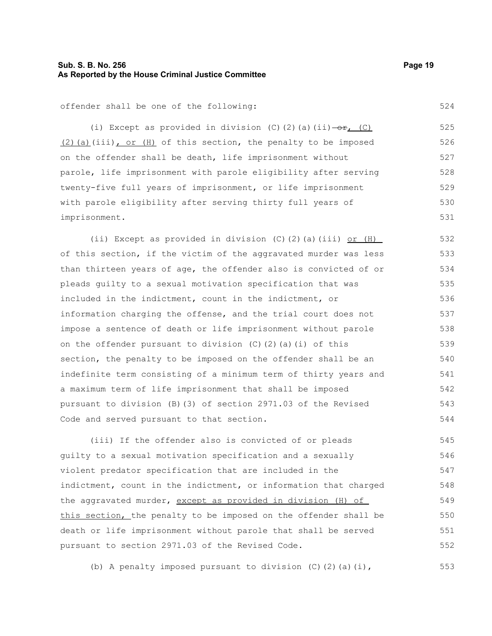#### **Sub. S. B. No. 256 Page 19 As Reported by the House Criminal Justice Committee**

offender shall be one of the following:

(i) Except as provided in division (C)(2)(a)(ii)  $-0f$ , (C) (2)(a)(iii), or (H) of this section, the penalty to be imposed on the offender shall be death, life imprisonment without parole, life imprisonment with parole eligibility after serving twenty-five full years of imprisonment, or life imprisonment with parole eligibility after serving thirty full years of imprisonment. 525 526 527 528 529 530 531

(ii) Except as provided in division (C)(2)(a)(iii)  $or$  (H) of this section, if the victim of the aggravated murder was less than thirteen years of age, the offender also is convicted of or pleads guilty to a sexual motivation specification that was included in the indictment, count in the indictment, or information charging the offense, and the trial court does not impose a sentence of death or life imprisonment without parole on the offender pursuant to division (C)(2)(a)(i) of this section, the penalty to be imposed on the offender shall be an indefinite term consisting of a minimum term of thirty years and a maximum term of life imprisonment that shall be imposed pursuant to division (B)(3) of section 2971.03 of the Revised Code and served pursuant to that section. 532 533 534 535 536 537 538 539 540 541 542 543 544

(iii) If the offender also is convicted of or pleads guilty to a sexual motivation specification and a sexually violent predator specification that are included in the indictment, count in the indictment, or information that charged the aggravated murder, except as provided in division (H) of this section, the penalty to be imposed on the offender shall be death or life imprisonment without parole that shall be served pursuant to section 2971.03 of the Revised Code. 545 546 547 548 549 550 551 552

(b) A penalty imposed pursuant to division  $(C)$  (2)(a)(i),

524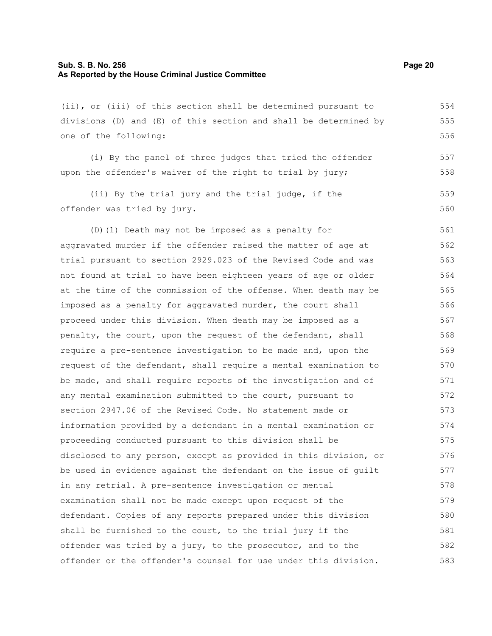#### **Sub. S. B. No. 256 Page 20 As Reported by the House Criminal Justice Committee**

(ii), or (iii) of this section shall be determined pursuant to divisions (D) and (E) of this section and shall be determined by one of the following: 554 555 556

(i) By the panel of three judges that tried the offender upon the offender's waiver of the right to trial by jury; 557 558

(ii) By the trial jury and the trial judge, if the offender was tried by jury. 559 560

(D)(1) Death may not be imposed as a penalty for aggravated murder if the offender raised the matter of age at trial pursuant to section 2929.023 of the Revised Code and was not found at trial to have been eighteen years of age or older at the time of the commission of the offense. When death may be imposed as a penalty for aggravated murder, the court shall proceed under this division. When death may be imposed as a penalty, the court, upon the request of the defendant, shall require a pre-sentence investigation to be made and, upon the request of the defendant, shall require a mental examination to be made, and shall require reports of the investigation and of any mental examination submitted to the court, pursuant to section 2947.06 of the Revised Code. No statement made or information provided by a defendant in a mental examination or proceeding conducted pursuant to this division shall be disclosed to any person, except as provided in this division, or be used in evidence against the defendant on the issue of guilt in any retrial. A pre-sentence investigation or mental examination shall not be made except upon request of the defendant. Copies of any reports prepared under this division shall be furnished to the court, to the trial jury if the offender was tried by a jury, to the prosecutor, and to the offender or the offender's counsel for use under this division. 561 562 563 564 565 566 567 568 569 570 571 572 573 574 575 576 577 578 579 580 581 582 583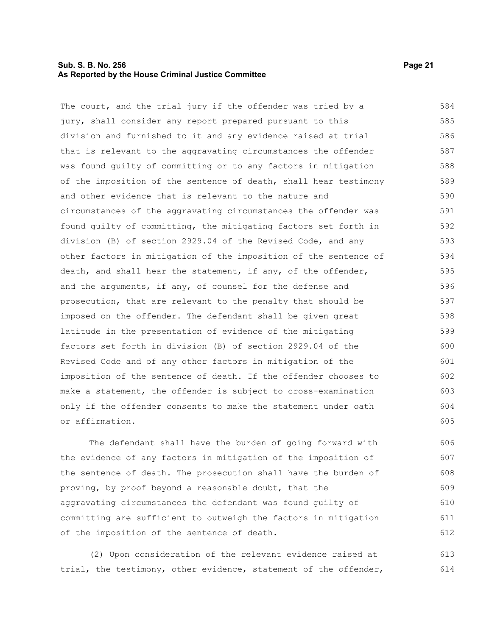#### **Sub. S. B. No. 256 Page 21 As Reported by the House Criminal Justice Committee**

The court, and the trial jury if the offender was tried by a jury, shall consider any report prepared pursuant to this division and furnished to it and any evidence raised at trial that is relevant to the aggravating circumstances the offender was found guilty of committing or to any factors in mitigation of the imposition of the sentence of death, shall hear testimony and other evidence that is relevant to the nature and circumstances of the aggravating circumstances the offender was found guilty of committing, the mitigating factors set forth in division (B) of section 2929.04 of the Revised Code, and any other factors in mitigation of the imposition of the sentence of death, and shall hear the statement, if any, of the offender, and the arguments, if any, of counsel for the defense and prosecution, that are relevant to the penalty that should be imposed on the offender. The defendant shall be given great latitude in the presentation of evidence of the mitigating factors set forth in division (B) of section 2929.04 of the Revised Code and of any other factors in mitigation of the imposition of the sentence of death. If the offender chooses to make a statement, the offender is subject to cross-examination only if the offender consents to make the statement under oath or affirmation. 584 585 586 587 588 589 590 591 592 593 594 595 596 597 598 599 600 601 602 603 604 605

The defendant shall have the burden of going forward with the evidence of any factors in mitigation of the imposition of the sentence of death. The prosecution shall have the burden of proving, by proof beyond a reasonable doubt, that the aggravating circumstances the defendant was found guilty of committing are sufficient to outweigh the factors in mitigation of the imposition of the sentence of death. 606 607 608 609 610 611 612

(2) Upon consideration of the relevant evidence raised at trial, the testimony, other evidence, statement of the offender, 613 614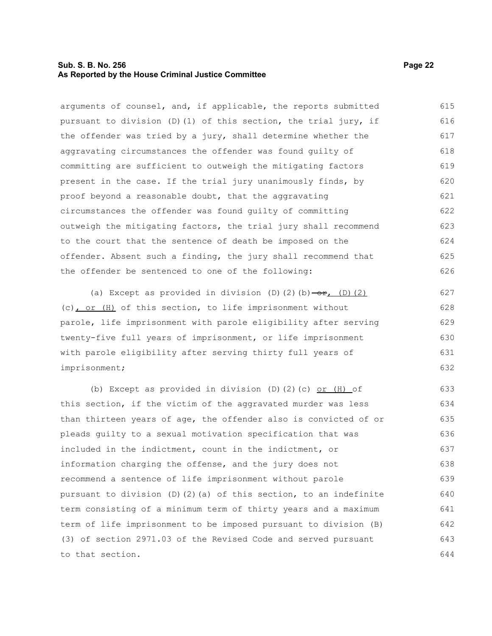#### **Sub. S. B. No. 256 Page 22 As Reported by the House Criminal Justice Committee**

arguments of counsel, and, if applicable, the reports submitted pursuant to division (D)(1) of this section, the trial jury, if the offender was tried by a jury, shall determine whether the aggravating circumstances the offender was found guilty of committing are sufficient to outweigh the mitigating factors present in the case. If the trial jury unanimously finds, by proof beyond a reasonable doubt, that the aggravating circumstances the offender was found guilty of committing outweigh the mitigating factors, the trial jury shall recommend to the court that the sentence of death be imposed on the offender. Absent such a finding, the jury shall recommend that the offender be sentenced to one of the following: 615 616 617 618 619 620 621 622 623 624 625 626

(a) Except as provided in division (D)(2)(b)  $-\theta$ r, (D)(2) (c), or (H) of this section, to life imprisonment without parole, life imprisonment with parole eligibility after serving twenty-five full years of imprisonment, or life imprisonment with parole eligibility after serving thirty full years of imprisonment; 627 628 629 630 631 632

(b) Except as provided in division (D)(2)(c) or  $(H)$  of this section, if the victim of the aggravated murder was less than thirteen years of age, the offender also is convicted of or pleads guilty to a sexual motivation specification that was included in the indictment, count in the indictment, or information charging the offense, and the jury does not recommend a sentence of life imprisonment without parole pursuant to division (D)(2)(a) of this section, to an indefinite term consisting of a minimum term of thirty years and a maximum term of life imprisonment to be imposed pursuant to division (B) (3) of section 2971.03 of the Revised Code and served pursuant to that section. 633 634 635 636 637 638 639 640 641 642 643 644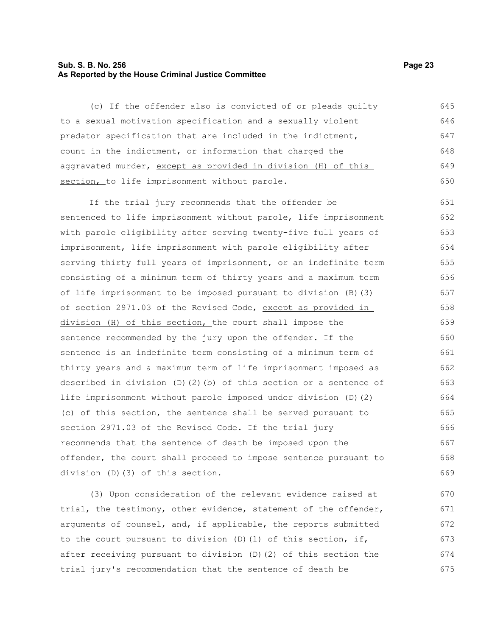#### **Sub. S. B. No. 256 Page 23 As Reported by the House Criminal Justice Committee**

(c) If the offender also is convicted of or pleads guilty to a sexual motivation specification and a sexually violent predator specification that are included in the indictment, count in the indictment, or information that charged the aggravated murder, except as provided in division (H) of this section, to life imprisonment without parole. 645 646 647 648 649 650

If the trial jury recommends that the offender be sentenced to life imprisonment without parole, life imprisonment with parole eligibility after serving twenty-five full years of imprisonment, life imprisonment with parole eligibility after serving thirty full years of imprisonment, or an indefinite term consisting of a minimum term of thirty years and a maximum term of life imprisonment to be imposed pursuant to division (B)(3) of section 2971.03 of the Revised Code, except as provided in division (H) of this section, the court shall impose the sentence recommended by the jury upon the offender. If the sentence is an indefinite term consisting of a minimum term of thirty years and a maximum term of life imprisonment imposed as described in division  $(D)(2)(b)$  of this section or a sentence of life imprisonment without parole imposed under division (D)(2) (c) of this section, the sentence shall be served pursuant to section 2971.03 of the Revised Code. If the trial jury recommends that the sentence of death be imposed upon the offender, the court shall proceed to impose sentence pursuant to division (D)(3) of this section. 651 652 653 654 655 656 657 658 659 660 661 662 663 664 665 666 667 668 669

(3) Upon consideration of the relevant evidence raised at trial, the testimony, other evidence, statement of the offender, arguments of counsel, and, if applicable, the reports submitted to the court pursuant to division (D)(1) of this section, if, after receiving pursuant to division (D)(2) of this section the trial jury's recommendation that the sentence of death be 670 671 672 673 674 675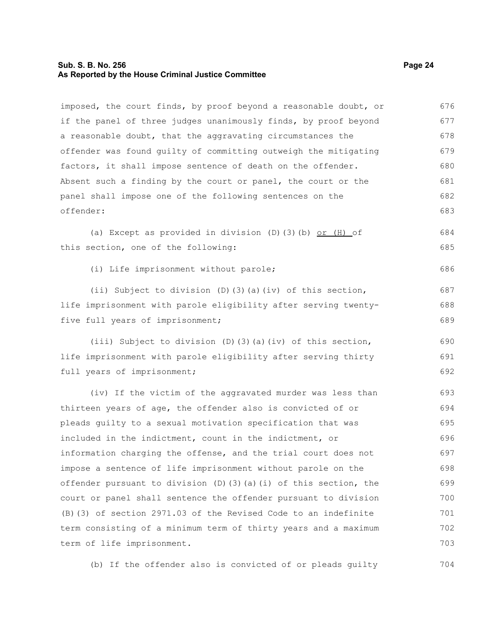#### **Sub. S. B. No. 256 Page 24 As Reported by the House Criminal Justice Committee**

imposed, the court finds, by proof beyond a reasonable doubt, or if the panel of three judges unanimously finds, by proof beyond a reasonable doubt, that the aggravating circumstances the offender was found guilty of committing outweigh the mitigating factors, it shall impose sentence of death on the offender. Absent such a finding by the court or panel, the court or the panel shall impose one of the following sentences on the offender: 676 677 678 679 680 681 682 683

(a) Except as provided in division (D)(3)(b) or  $(H)$  of this section, one of the following: 684 685

(i) Life imprisonment without parole;

(ii) Subject to division (D)(3)(a)(iv) of this section, life imprisonment with parole eligibility after serving twentyfive full years of imprisonment;

(iii) Subject to division (D)(3)(a)(iv) of this section, life imprisonment with parole eligibility after serving thirty full years of imprisonment;

(iv) If the victim of the aggravated murder was less than thirteen years of age, the offender also is convicted of or pleads guilty to a sexual motivation specification that was included in the indictment, count in the indictment, or information charging the offense, and the trial court does not impose a sentence of life imprisonment without parole on the offender pursuant to division  $(D)$   $(3)$   $(a)$   $(i)$  of this section, the court or panel shall sentence the offender pursuant to division (B)(3) of section 2971.03 of the Revised Code to an indefinite term consisting of a minimum term of thirty years and a maximum term of life imprisonment. 693 694 695 696 697 698 699 700 701 702 703

(b) If the offender also is convicted of or pleads guilty 704

686

687 688 689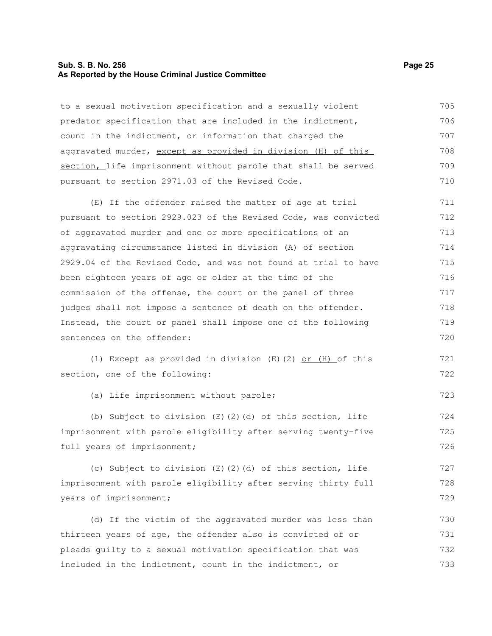#### **Sub. S. B. No. 256 Page 25 As Reported by the House Criminal Justice Committee**

to a sexual motivation specification and a sexually violent predator specification that are included in the indictment, count in the indictment, or information that charged the aggravated murder, except as provided in division (H) of this section, life imprisonment without parole that shall be served pursuant to section 2971.03 of the Revised Code. 705 706 707 708 709 710

(E) If the offender raised the matter of age at trial pursuant to section 2929.023 of the Revised Code, was convicted of aggravated murder and one or more specifications of an aggravating circumstance listed in division (A) of section 2929.04 of the Revised Code, and was not found at trial to have been eighteen years of age or older at the time of the commission of the offense, the court or the panel of three judges shall not impose a sentence of death on the offender. Instead, the court or panel shall impose one of the following sentences on the offender: 711 712 713 714 715 716 717 718 719 720

(1) Except as provided in division (E)(2) or (H) of this section, one of the following:

(a) Life imprisonment without parole;

(b) Subject to division (E)(2)(d) of this section, life imprisonment with parole eligibility after serving twenty-five full years of imprisonment; 724 725 726

(c) Subject to division (E)(2)(d) of this section, life imprisonment with parole eligibility after serving thirty full years of imprisonment; 727 728 729

(d) If the victim of the aggravated murder was less than thirteen years of age, the offender also is convicted of or pleads guilty to a sexual motivation specification that was included in the indictment, count in the indictment, or 730 731 732 733

721 722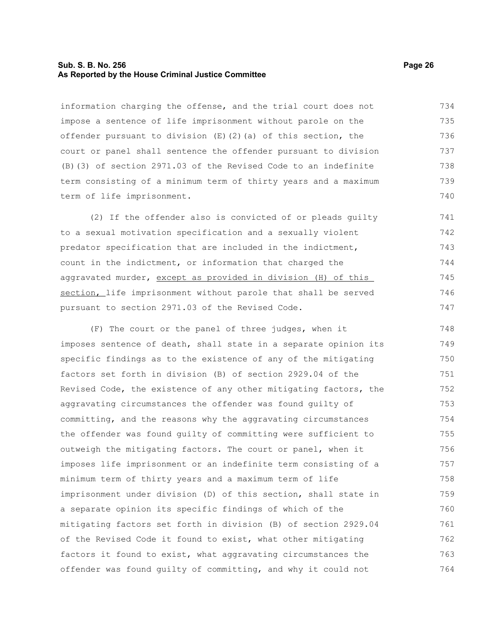#### **Sub. S. B. No. 256 Page 26 As Reported by the House Criminal Justice Committee**

information charging the offense, and the trial court does not impose a sentence of life imprisonment without parole on the offender pursuant to division  $(E)(2)(a)$  of this section, the court or panel shall sentence the offender pursuant to division (B)(3) of section 2971.03 of the Revised Code to an indefinite term consisting of a minimum term of thirty years and a maximum term of life imprisonment. 734 735 736 737 738 739 740

(2) If the offender also is convicted of or pleads guilty to a sexual motivation specification and a sexually violent predator specification that are included in the indictment, count in the indictment, or information that charged the aggravated murder, except as provided in division (H) of this section, life imprisonment without parole that shall be served pursuant to section 2971.03 of the Revised Code. 741 742 743 744 745 746 747

(F) The court or the panel of three judges, when it imposes sentence of death, shall state in a separate opinion its specific findings as to the existence of any of the mitigating factors set forth in division (B) of section 2929.04 of the Revised Code, the existence of any other mitigating factors, the aggravating circumstances the offender was found guilty of committing, and the reasons why the aggravating circumstances the offender was found guilty of committing were sufficient to outweigh the mitigating factors. The court or panel, when it imposes life imprisonment or an indefinite term consisting of a minimum term of thirty years and a maximum term of life imprisonment under division (D) of this section, shall state in a separate opinion its specific findings of which of the mitigating factors set forth in division (B) of section 2929.04 of the Revised Code it found to exist, what other mitigating factors it found to exist, what aggravating circumstances the offender was found guilty of committing, and why it could not 748 749 750 751 752 753 754 755 756 757 758 759 760 761 762 763 764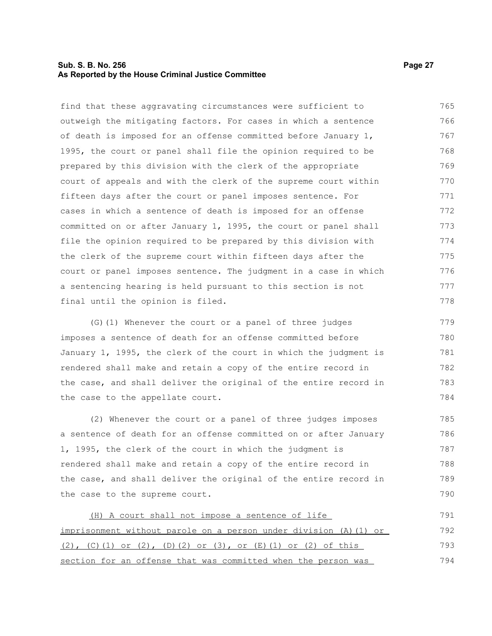#### **Sub. S. B. No. 256 Page 27 As Reported by the House Criminal Justice Committee**

find that these aggravating circumstances were sufficient to outweigh the mitigating factors. For cases in which a sentence of death is imposed for an offense committed before January 1, 1995, the court or panel shall file the opinion required to be prepared by this division with the clerk of the appropriate court of appeals and with the clerk of the supreme court within fifteen days after the court or panel imposes sentence. For cases in which a sentence of death is imposed for an offense committed on or after January 1, 1995, the court or panel shall file the opinion required to be prepared by this division with the clerk of the supreme court within fifteen days after the court or panel imposes sentence. The judgment in a case in which a sentencing hearing is held pursuant to this section is not final until the opinion is filed. 765 766 767 768 769 770 771 772 773 774 775 776 777 778

(G)(1) Whenever the court or a panel of three judges imposes a sentence of death for an offense committed before January 1, 1995, the clerk of the court in which the judgment is rendered shall make and retain a copy of the entire record in the case, and shall deliver the original of the entire record in the case to the appellate court. 779 780 781 782 783 784

(2) Whenever the court or a panel of three judges imposes a sentence of death for an offense committed on or after January 1, 1995, the clerk of the court in which the judgment is rendered shall make and retain a copy of the entire record in the case, and shall deliver the original of the entire record in the case to the supreme court. 785 786 787 788 789 790

(H) A court shall not impose a sentence of life imprisonment without parole on a person under division (A)(1) or  $(2)$ ,  $(C)$   $(1)$  or  $(2)$ ,  $(D)$   $(2)$  or  $(3)$ , or  $(E)$   $(1)$  or  $(2)$  of this section for an offense that was committed when the person was 791 792 793 794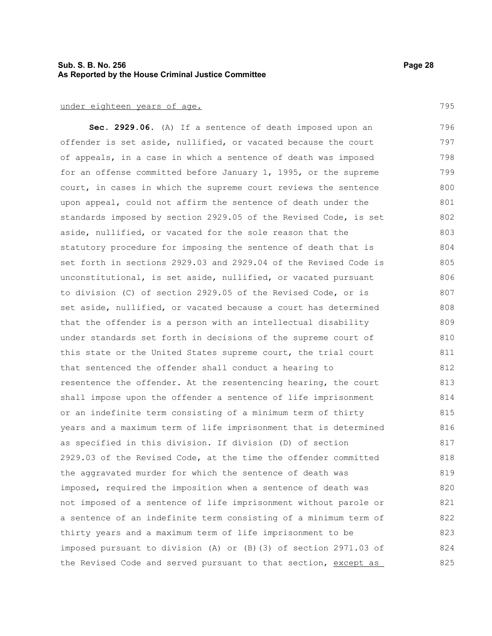#### **Sub. S. B. No. 256 Page 28 As Reported by the House Criminal Justice Committee**

#### under eighteen years of age.

**Sec. 2929.06.** (A) If a sentence of death imposed upon an offender is set aside, nullified, or vacated because the court of appeals, in a case in which a sentence of death was imposed for an offense committed before January 1, 1995, or the supreme court, in cases in which the supreme court reviews the sentence upon appeal, could not affirm the sentence of death under the standards imposed by section 2929.05 of the Revised Code, is set aside, nullified, or vacated for the sole reason that the statutory procedure for imposing the sentence of death that is set forth in sections 2929.03 and 2929.04 of the Revised Code is unconstitutional, is set aside, nullified, or vacated pursuant to division (C) of section 2929.05 of the Revised Code, or is set aside, nullified, or vacated because a court has determined that the offender is a person with an intellectual disability under standards set forth in decisions of the supreme court of this state or the United States supreme court, the trial court that sentenced the offender shall conduct a hearing to resentence the offender. At the resentencing hearing, the court shall impose upon the offender a sentence of life imprisonment or an indefinite term consisting of a minimum term of thirty years and a maximum term of life imprisonment that is determined as specified in this division. If division (D) of section 2929.03 of the Revised Code, at the time the offender committed the aggravated murder for which the sentence of death was imposed, required the imposition when a sentence of death was not imposed of a sentence of life imprisonment without parole or a sentence of an indefinite term consisting of a minimum term of thirty years and a maximum term of life imprisonment to be imposed pursuant to division (A) or (B)(3) of section 2971.03 of the Revised Code and served pursuant to that section, except as 796 797 798 799 800 801 802 803 804 805 806 807 808 809 810 811 812 813 814 815 816 817 818 819 820 821 822 823 824 825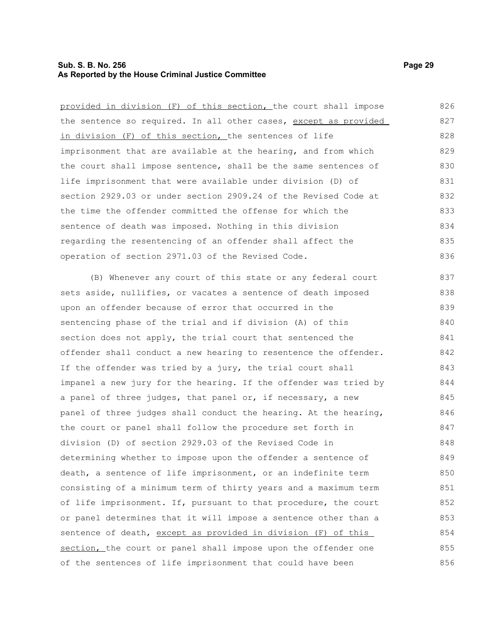#### **Sub. S. B. No. 256 Page 29 As Reported by the House Criminal Justice Committee**

provided in division (F) of this section, the court shall impose the sentence so required. In all other cases, except as provided in division (F) of this section, the sentences of life imprisonment that are available at the hearing, and from which the court shall impose sentence, shall be the same sentences of life imprisonment that were available under division (D) of section 2929.03 or under section 2909.24 of the Revised Code at the time the offender committed the offense for which the sentence of death was imposed. Nothing in this division regarding the resentencing of an offender shall affect the operation of section 2971.03 of the Revised Code. 826 827 828 829 830 831 832 833 834 835 836

(B) Whenever any court of this state or any federal court sets aside, nullifies, or vacates a sentence of death imposed upon an offender because of error that occurred in the sentencing phase of the trial and if division (A) of this section does not apply, the trial court that sentenced the offender shall conduct a new hearing to resentence the offender. If the offender was tried by a jury, the trial court shall impanel a new jury for the hearing. If the offender was tried by a panel of three judges, that panel or, if necessary, a new panel of three judges shall conduct the hearing. At the hearing, the court or panel shall follow the procedure set forth in division (D) of section 2929.03 of the Revised Code in determining whether to impose upon the offender a sentence of death, a sentence of life imprisonment, or an indefinite term consisting of a minimum term of thirty years and a maximum term of life imprisonment. If, pursuant to that procedure, the court or panel determines that it will impose a sentence other than a sentence of death, except as provided in division (F) of this section, the court or panel shall impose upon the offender one of the sentences of life imprisonment that could have been 837 838 839 840 841 842 843 844 845 846 847 848 849 850 851 852 853 854 855 856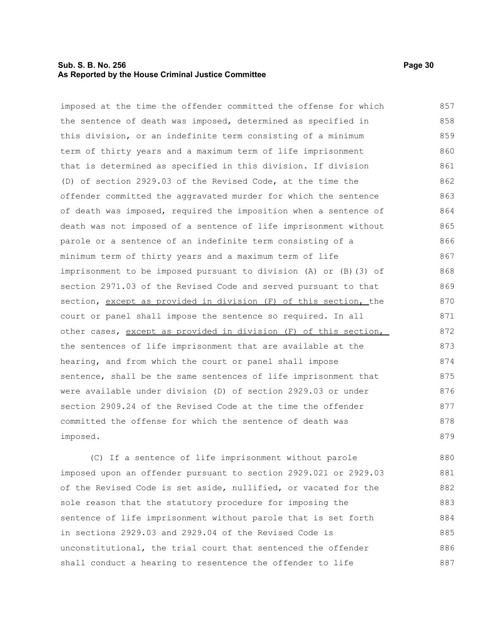#### **Sub. S. B. No. 256 Page 30 As Reported by the House Criminal Justice Committee**

imposed at the time the offender committed the offense for which the sentence of death was imposed, determined as specified in this division, or an indefinite term consisting of a minimum term of thirty years and a maximum term of life imprisonment that is determined as specified in this division. If division (D) of section 2929.03 of the Revised Code, at the time the offender committed the aggravated murder for which the sentence of death was imposed, required the imposition when a sentence of death was not imposed of a sentence of life imprisonment without parole or a sentence of an indefinite term consisting of a minimum term of thirty years and a maximum term of life imprisonment to be imposed pursuant to division (A) or (B)(3) of section 2971.03 of the Revised Code and served pursuant to that section, except as provided in division (F) of this section, the court or panel shall impose the sentence so required. In all other cases, except as provided in division (F) of this section, the sentences of life imprisonment that are available at the hearing, and from which the court or panel shall impose sentence, shall be the same sentences of life imprisonment that were available under division (D) of section 2929.03 or under section 2909.24 of the Revised Code at the time the offender committed the offense for which the sentence of death was imposed. 857 858 859 860 861 862 863 864 865 866 867 868 869 870 871 872 873 874 875 876 877 878 879

(C) If a sentence of life imprisonment without parole imposed upon an offender pursuant to section 2929.021 or 2929.03 of the Revised Code is set aside, nullified, or vacated for the sole reason that the statutory procedure for imposing the sentence of life imprisonment without parole that is set forth in sections 2929.03 and 2929.04 of the Revised Code is unconstitutional, the trial court that sentenced the offender shall conduct a hearing to resentence the offender to life 880 881 882 883 884 885 886 887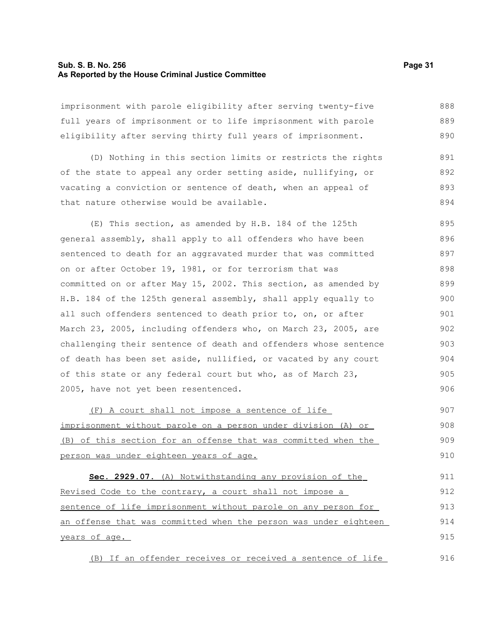#### **Sub. S. B. No. 256 Page 31 As Reported by the House Criminal Justice Committee**

imprisonment with parole eligibility after serving twenty-five full years of imprisonment or to life imprisonment with parole eligibility after serving thirty full years of imprisonment. 888 889 890

(D) Nothing in this section limits or restricts the rights of the state to appeal any order setting aside, nullifying, or vacating a conviction or sentence of death, when an appeal of that nature otherwise would be available. 891 892 893 894

(E) This section, as amended by H.B. 184 of the 125th general assembly, shall apply to all offenders who have been sentenced to death for an aggravated murder that was committed on or after October 19, 1981, or for terrorism that was committed on or after May 15, 2002. This section, as amended by H.B. 184 of the 125th general assembly, shall apply equally to all such offenders sentenced to death prior to, on, or after March 23, 2005, including offenders who, on March 23, 2005, are challenging their sentence of death and offenders whose sentence of death has been set aside, nullified, or vacated by any court of this state or any federal court but who, as of March 23, 2005, have not yet been resentenced. 895 896 897 898 899 900 901 902 903 904 905 906

(F) A court shall not impose a sentence of life imprisonment without parole on a person under division (A) or (B) of this section for an offense that was committed when the person was under eighteen years of age. 907 908 909 910

 **Sec. 2929.07.** (A) Notwithstanding any provision of the Revised Code to the contrary, a court shall not impose a sentence of life imprisonment without parole on any person for an offense that was committed when the person was under eighteen years of age. 911 912 913 914 915

(B) If an offender receives or received a sentence of life 916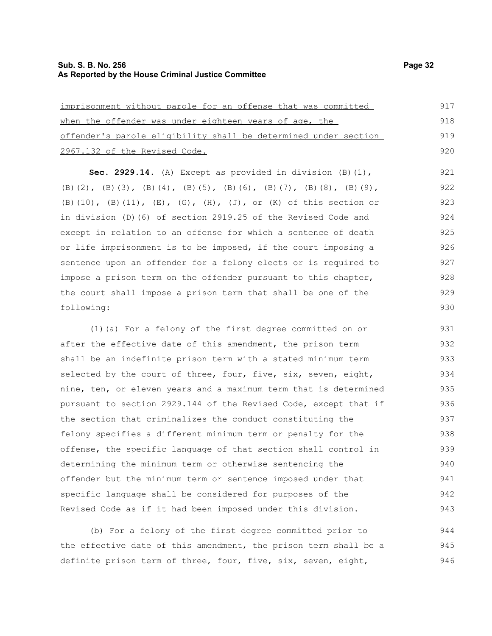#### **Sub. S. B. No. 256 Page 32 As Reported by the House Criminal Justice Committee**

| imprisonment without parole for an offense that was committed                       | 917 |
|-------------------------------------------------------------------------------------|-----|
| when the offender was under eighteen years of age, the                              | 918 |
| offender's parole eligibility shall be determined under section                     | 919 |
| 2967.132 of the Revised Code.                                                       | 920 |
| Sec. 2929.14. (A) Except as provided in division $(B)$ (1),                         | 921 |
| (B) (2), (B) (3), (B) (4), (B) (5), (B) (6), (B) (7), (B) (8), (B) (9),             | 922 |
| $(B)$ (10), $(B)$ (11), $(E)$ , $(G)$ , $(H)$ , $(J)$ , or $(K)$ of this section or | 923 |
| in division (D) (6) of section 2919.25 of the Revised Code and                      | 924 |
| except in relation to an offense for which a sentence of death                      | 925 |
| or life imprisonment is to be imposed, if the court imposing a                      | 926 |
| sentence upon an offender for a felony elects or is required to                     | 927 |
| impose a prison term on the offender pursuant to this chapter,                      | 928 |
| the court shall impose a prison term that shall be one of the                       | 929 |
| following:                                                                          | 930 |

(1)(a) For a felony of the first degree committed on or after the effective date of this amendment, the prison term shall be an indefinite prison term with a stated minimum term selected by the court of three, four, five, six, seven, eight, nine, ten, or eleven years and a maximum term that is determined pursuant to section 2929.144 of the Revised Code, except that if the section that criminalizes the conduct constituting the felony specifies a different minimum term or penalty for the offense, the specific language of that section shall control in determining the minimum term or otherwise sentencing the offender but the minimum term or sentence imposed under that specific language shall be considered for purposes of the Revised Code as if it had been imposed under this division. 931 932 933 934 935 936 937 938 939 940 941 942 943

(b) For a felony of the first degree committed prior to the effective date of this amendment, the prison term shall be a definite prison term of three, four, five, six, seven, eight, 944 945 946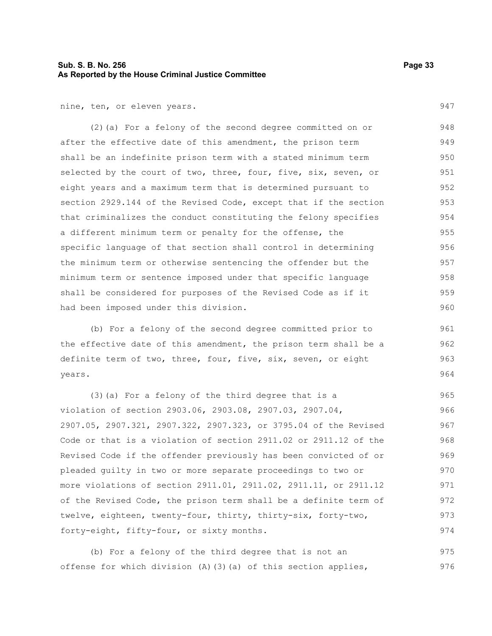#### **Sub. S. B. No. 256 Page 33 As Reported by the House Criminal Justice Committee**

nine, ten, or eleven years.

(2)(a) For a felony of the second degree committed on or after the effective date of this amendment, the prison term shall be an indefinite prison term with a stated minimum term selected by the court of two, three, four, five, six, seven, or eight years and a maximum term that is determined pursuant to section 2929.144 of the Revised Code, except that if the section that criminalizes the conduct constituting the felony specifies a different minimum term or penalty for the offense, the specific language of that section shall control in determining the minimum term or otherwise sentencing the offender but the minimum term or sentence imposed under that specific language shall be considered for purposes of the Revised Code as if it had been imposed under this division. 948 949 950 951 952 953 954 955 956 957 958 959 960

(b) For a felony of the second degree committed prior to the effective date of this amendment, the prison term shall be a definite term of two, three, four, five, six, seven, or eight years.

(3)(a) For a felony of the third degree that is a violation of section 2903.06, 2903.08, 2907.03, 2907.04, 2907.05, 2907.321, 2907.322, 2907.323, or 3795.04 of the Revised Code or that is a violation of section 2911.02 or 2911.12 of the Revised Code if the offender previously has been convicted of or pleaded guilty in two or more separate proceedings to two or more violations of section 2911.01, 2911.02, 2911.11, or 2911.12 of the Revised Code, the prison term shall be a definite term of twelve, eighteen, twenty-four, thirty, thirty-six, forty-two, forty-eight, fifty-four, or sixty months. 965 966 967 968 969 970 971 972 973 974

(b) For a felony of the third degree that is not an offense for which division  $(A)$   $(3)$   $(a)$  of this section applies, 975 976

947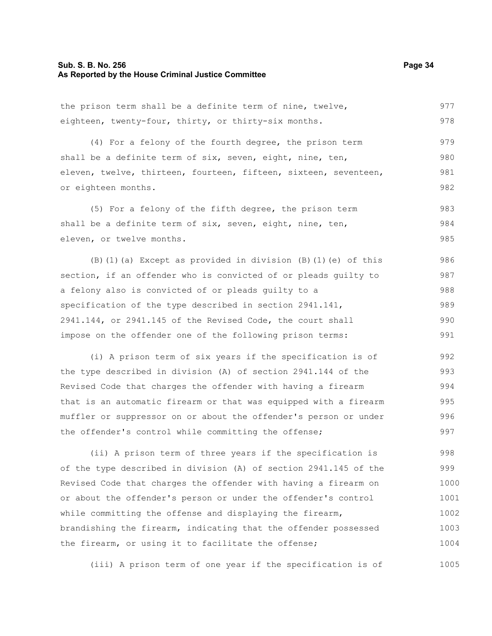#### **Sub. S. B. No. 256 Page 34 As Reported by the House Criminal Justice Committee**

the prison term shall be a definite term of nine, twelve, eighteen, twenty-four, thirty, or thirty-six months. 977 978

(4) For a felony of the fourth degree, the prison term shall be a definite term of six, seven, eight, nine, ten, eleven, twelve, thirteen, fourteen, fifteen, sixteen, seventeen, or eighteen months. 979 980 981 982

(5) For a felony of the fifth degree, the prison term shall be a definite term of six, seven, eight, nine, ten, eleven, or twelve months. 983 984 985

(B)(1)(a) Except as provided in division (B)(1)(e) of this section, if an offender who is convicted of or pleads guilty to a felony also is convicted of or pleads guilty to a specification of the type described in section 2941.141, 2941.144, or 2941.145 of the Revised Code, the court shall impose on the offender one of the following prison terms: 986 987 988 989 990 991

(i) A prison term of six years if the specification is of the type described in division (A) of section 2941.144 of the Revised Code that charges the offender with having a firearm that is an automatic firearm or that was equipped with a firearm muffler or suppressor on or about the offender's person or under the offender's control while committing the offense; 992 993 994 995 996 997

(ii) A prison term of three years if the specification is of the type described in division (A) of section 2941.145 of the Revised Code that charges the offender with having a firearm on or about the offender's person or under the offender's control while committing the offense and displaying the firearm, brandishing the firearm, indicating that the offender possessed the firearm, or using it to facilitate the offense; 998 999 1000 1001 1002 1003 1004

(iii) A prison term of one year if the specification is of 1005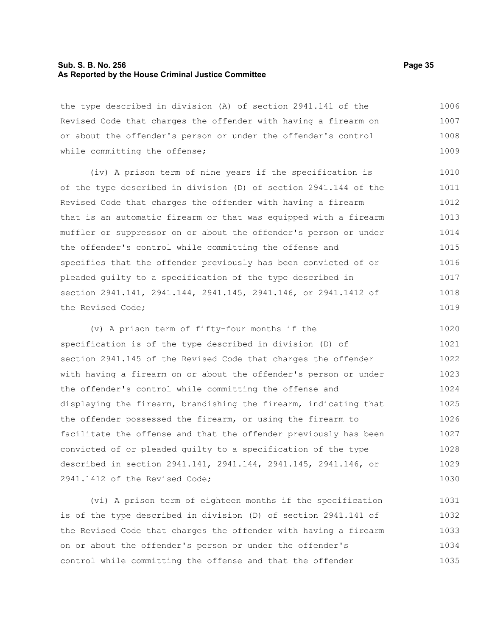#### **Sub. S. B. No. 256 Page 35 As Reported by the House Criminal Justice Committee**

the type described in division (A) of section 2941.141 of the Revised Code that charges the offender with having a firearm on or about the offender's person or under the offender's control while committing the offense; 1006 1007 1008 1009

(iv) A prison term of nine years if the specification is of the type described in division (D) of section 2941.144 of the Revised Code that charges the offender with having a firearm that is an automatic firearm or that was equipped with a firearm muffler or suppressor on or about the offender's person or under the offender's control while committing the offense and specifies that the offender previously has been convicted of or pleaded guilty to a specification of the type described in section 2941.141, 2941.144, 2941.145, 2941.146, or 2941.1412 of the Revised Code; 1010 1011 1012 1013 1014 1015 1016 1017 1018 1019

(v) A prison term of fifty-four months if the specification is of the type described in division (D) of section 2941.145 of the Revised Code that charges the offender with having a firearm on or about the offender's person or under the offender's control while committing the offense and displaying the firearm, brandishing the firearm, indicating that the offender possessed the firearm, or using the firearm to facilitate the offense and that the offender previously has been convicted of or pleaded guilty to a specification of the type described in section 2941.141, 2941.144, 2941.145, 2941.146, or 2941.1412 of the Revised Code; 1020 1021 1022 1023 1024 1025 1026 1027 1028 1029 1030

(vi) A prison term of eighteen months if the specification is of the type described in division (D) of section 2941.141 of the Revised Code that charges the offender with having a firearm on or about the offender's person or under the offender's control while committing the offense and that the offender 1031 1032 1033 1034 1035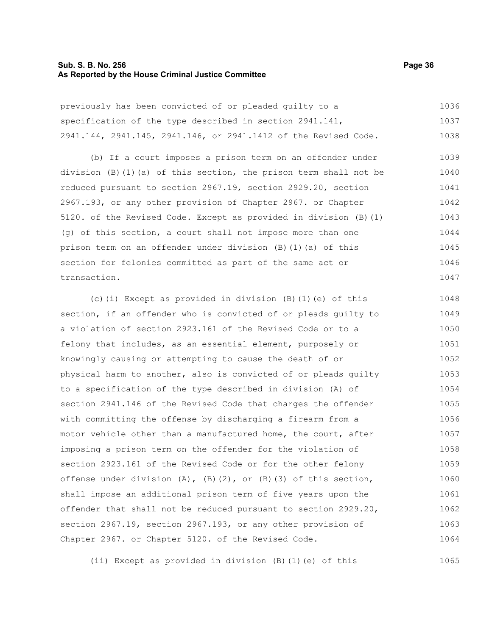#### **Sub. S. B. No. 256 Page 36 As Reported by the House Criminal Justice Committee**

previously has been convicted of or pleaded guilty to a specification of the type described in section 2941.141, 2941.144, 2941.145, 2941.146, or 2941.1412 of the Revised Code. 1036 1037 1038

(b) If a court imposes a prison term on an offender under division (B)(1)(a) of this section, the prison term shall not be reduced pursuant to section 2967.19, section 2929.20, section 2967.193, or any other provision of Chapter 2967. or Chapter 5120. of the Revised Code. Except as provided in division (B)(1) (g) of this section, a court shall not impose more than one prison term on an offender under division (B)(1)(a) of this section for felonies committed as part of the same act or transaction. 1039 1040 1041 1042 1043 1044 1045 1046 1047

(c)(i) Except as provided in division (B)(1)(e) of this section, if an offender who is convicted of or pleads guilty to a violation of section 2923.161 of the Revised Code or to a felony that includes, as an essential element, purposely or knowingly causing or attempting to cause the death of or physical harm to another, also is convicted of or pleads guilty to a specification of the type described in division (A) of section 2941.146 of the Revised Code that charges the offender with committing the offense by discharging a firearm from a motor vehicle other than a manufactured home, the court, after imposing a prison term on the offender for the violation of section 2923.161 of the Revised Code or for the other felony offense under division (A), (B)(2), or (B)(3) of this section, shall impose an additional prison term of five years upon the offender that shall not be reduced pursuant to section 2929.20, section 2967.19, section 2967.193, or any other provision of Chapter 2967. or Chapter 5120. of the Revised Code. 1048 1049 1050 1051 1052 1053 1054 1055 1056 1057 1058 1059 1060 1061 1062 1063 1064

(ii) Except as provided in division (B)(1)(e) of this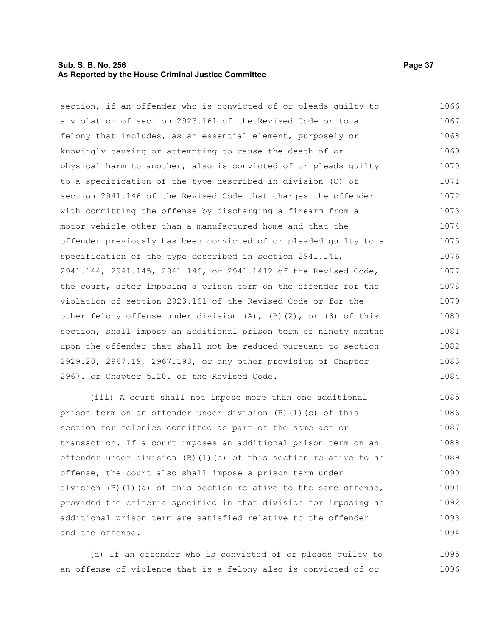## **Sub. S. B. No. 256 Page 37 As Reported by the House Criminal Justice Committee**

section, if an offender who is convicted of or pleads guilty to a violation of section 2923.161 of the Revised Code or to a felony that includes, as an essential element, purposely or knowingly causing or attempting to cause the death of or physical harm to another, also is convicted of or pleads guilty to a specification of the type described in division (C) of section 2941.146 of the Revised Code that charges the offender with committing the offense by discharging a firearm from a motor vehicle other than a manufactured home and that the offender previously has been convicted of or pleaded guilty to a specification of the type described in section 2941.141, 2941.144, 2941.145, 2941.146, or 2941.1412 of the Revised Code, the court, after imposing a prison term on the offender for the violation of section 2923.161 of the Revised Code or for the other felony offense under division (A), (B)(2), or (3) of this section, shall impose an additional prison term of ninety months upon the offender that shall not be reduced pursuant to section 2929.20, 2967.19, 2967.193, or any other provision of Chapter 2967. or Chapter 5120. of the Revised Code. 1066 1067 1068 1069 1070 1071 1072 1073 1074 1075 1076 1077 1078 1079 1080 1081 1082 1083 1084

(iii) A court shall not impose more than one additional prison term on an offender under division (B)(1)(c) of this section for felonies committed as part of the same act or transaction. If a court imposes an additional prison term on an offender under division (B)(1)(c) of this section relative to an offense, the court also shall impose a prison term under division (B)(1)(a) of this section relative to the same offense, provided the criteria specified in that division for imposing an additional prison term are satisfied relative to the offender and the offense. 1085 1086 1087 1088 1089 1090 1091 1092 1093 1094

(d) If an offender who is convicted of or pleads guilty to an offense of violence that is a felony also is convicted of or 1095 1096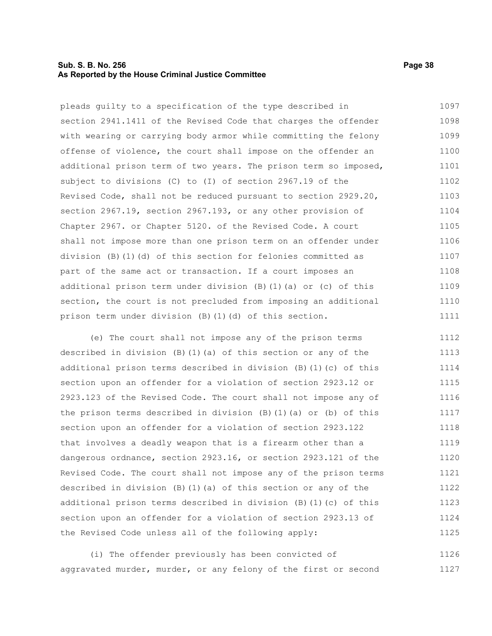## **Sub. S. B. No. 256 Page 38 As Reported by the House Criminal Justice Committee**

pleads guilty to a specification of the type described in section 2941.1411 of the Revised Code that charges the offender with wearing or carrying body armor while committing the felony offense of violence, the court shall impose on the offender an additional prison term of two years. The prison term so imposed, subject to divisions (C) to (I) of section 2967.19 of the Revised Code, shall not be reduced pursuant to section 2929.20, section 2967.19, section 2967.193, or any other provision of Chapter 2967. or Chapter 5120. of the Revised Code. A court shall not impose more than one prison term on an offender under division (B)(1)(d) of this section for felonies committed as part of the same act or transaction. If a court imposes an additional prison term under division (B)(1)(a) or (c) of this section, the court is not precluded from imposing an additional prison term under division (B)(1)(d) of this section. 1097 1098 1099 1100 1101 1102 1103 1104 1105 1106 1107 1108 1109 1110 1111

(e) The court shall not impose any of the prison terms described in division (B)(1)(a) of this section or any of the additional prison terms described in division (B)(1)(c) of this section upon an offender for a violation of section 2923.12 or 2923.123 of the Revised Code. The court shall not impose any of the prison terms described in division (B)(1)(a) or (b) of this section upon an offender for a violation of section 2923.122 that involves a deadly weapon that is a firearm other than a dangerous ordnance, section 2923.16, or section 2923.121 of the Revised Code. The court shall not impose any of the prison terms described in division (B)(1)(a) of this section or any of the additional prison terms described in division (B)(1)(c) of this section upon an offender for a violation of section 2923.13 of the Revised Code unless all of the following apply: 1112 1113 1114 1115 1116 1117 1118 1119 1120 1121 1122 1123 1124 1125

(i) The offender previously has been convicted of aggravated murder, murder, or any felony of the first or second 1126 1127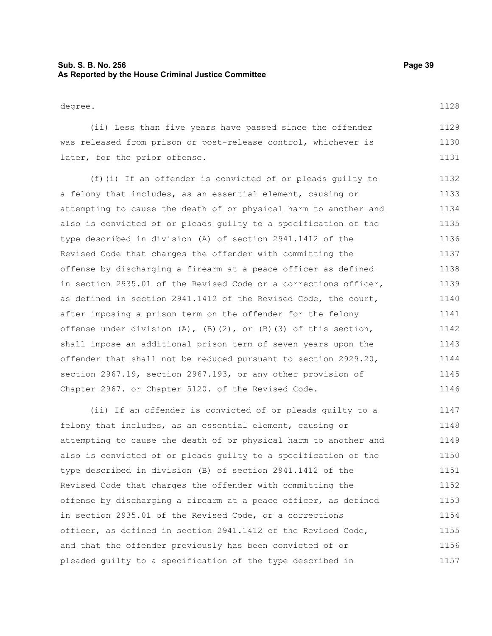# **Sub. S. B. No. 256 Page 39 As Reported by the House Criminal Justice Committee**

degree.

(ii) Less than five years have passed since the offender was released from prison or post-release control, whichever is later, for the prior offense. 1129 1130 1131

(f)(i) If an offender is convicted of or pleads guilty to a felony that includes, as an essential element, causing or attempting to cause the death of or physical harm to another and also is convicted of or pleads guilty to a specification of the type described in division (A) of section 2941.1412 of the Revised Code that charges the offender with committing the offense by discharging a firearm at a peace officer as defined in section 2935.01 of the Revised Code or a corrections officer, as defined in section 2941.1412 of the Revised Code, the court, after imposing a prison term on the offender for the felony offense under division  $(A)$ ,  $(B)$  $(2)$ , or  $(B)$  $(3)$  of this section, shall impose an additional prison term of seven years upon the offender that shall not be reduced pursuant to section 2929.20, section 2967.19, section 2967.193, or any other provision of Chapter 2967. or Chapter 5120. of the Revised Code. 1132 1133 1134 1135 1136 1137 1138 1139 1140 1141 1142 1143 1144 1145 1146

(ii) If an offender is convicted of or pleads guilty to a felony that includes, as an essential element, causing or attempting to cause the death of or physical harm to another and also is convicted of or pleads guilty to a specification of the type described in division (B) of section 2941.1412 of the Revised Code that charges the offender with committing the offense by discharging a firearm at a peace officer, as defined in section 2935.01 of the Revised Code, or a corrections officer, as defined in section 2941.1412 of the Revised Code, and that the offender previously has been convicted of or pleaded guilty to a specification of the type described in 1147 1148 1149 1150 1151 1152 1153 1154 1155 1156 1157

1128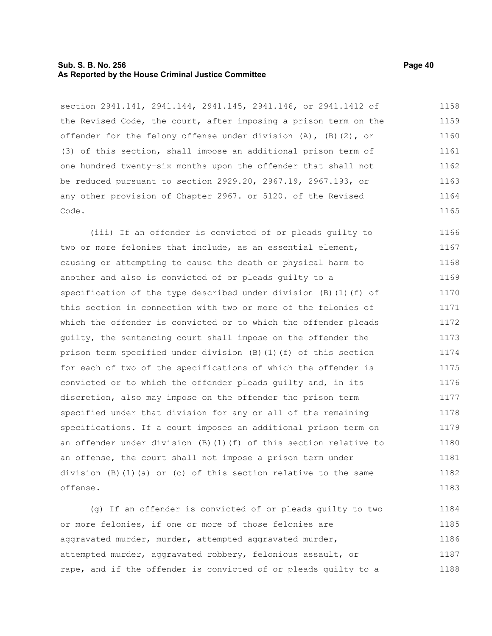## **Sub. S. B. No. 256 Page 40 As Reported by the House Criminal Justice Committee**

section 2941.141, 2941.144, 2941.145, 2941.146, or 2941.1412 of the Revised Code, the court, after imposing a prison term on the offender for the felony offense under division  $(A)$ ,  $(B)$   $(2)$ , or (3) of this section, shall impose an additional prison term of one hundred twenty-six months upon the offender that shall not be reduced pursuant to section 2929.20, 2967.19, 2967.193, or any other provision of Chapter 2967. or 5120. of the Revised Code. 1158 1159 1160 1161 1162 1163 1164 1165

(iii) If an offender is convicted of or pleads guilty to two or more felonies that include, as an essential element, causing or attempting to cause the death or physical harm to another and also is convicted of or pleads guilty to a specification of the type described under division (B)(1)(f) of this section in connection with two or more of the felonies of which the offender is convicted or to which the offender pleads guilty, the sentencing court shall impose on the offender the prison term specified under division (B)(1)(f) of this section for each of two of the specifications of which the offender is convicted or to which the offender pleads guilty and, in its discretion, also may impose on the offender the prison term specified under that division for any or all of the remaining specifications. If a court imposes an additional prison term on an offender under division (B)(1)(f) of this section relative to an offense, the court shall not impose a prison term under division  $(B)(1)(a)$  or  $(c)$  of this section relative to the same offense. 1166 1167 1168 1169 1170 1171 1172 1173 1174 1175 1176 1177 1178 1179 1180 1181 1182 1183

(g) If an offender is convicted of or pleads guilty to two or more felonies, if one or more of those felonies are aggravated murder, murder, attempted aggravated murder, attempted murder, aggravated robbery, felonious assault, or rape, and if the offender is convicted of or pleads guilty to a 1184 1185 1186 1187 1188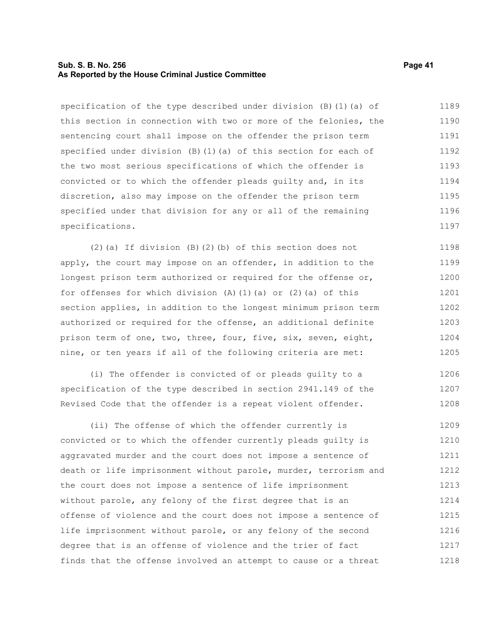## **Sub. S. B. No. 256 Page 41 As Reported by the House Criminal Justice Committee**

specification of the type described under division  $(B)$  (1)(a) of this section in connection with two or more of the felonies, the sentencing court shall impose on the offender the prison term specified under division (B)(1)(a) of this section for each of the two most serious specifications of which the offender is convicted or to which the offender pleads guilty and, in its discretion, also may impose on the offender the prison term specified under that division for any or all of the remaining specifications. 1189 1190 1191 1192 1193 1194 1195 1196 1197

(2)(a) If division (B)(2)(b) of this section does not apply, the court may impose on an offender, in addition to the longest prison term authorized or required for the offense or, for offenses for which division  $(A)$   $(1)$   $(a)$  or  $(2)$   $(a)$  of this section applies, in addition to the longest minimum prison term authorized or required for the offense, an additional definite prison term of one, two, three, four, five, six, seven, eight, nine, or ten years if all of the following criteria are met: 1198 1199 1200 1201 1202 1203 1204 1205

(i) The offender is convicted of or pleads guilty to a specification of the type described in section 2941.149 of the Revised Code that the offender is a repeat violent offender. 1206 1207 1208

(ii) The offense of which the offender currently is convicted or to which the offender currently pleads guilty is aggravated murder and the court does not impose a sentence of death or life imprisonment without parole, murder, terrorism and the court does not impose a sentence of life imprisonment without parole, any felony of the first degree that is an offense of violence and the court does not impose a sentence of life imprisonment without parole, or any felony of the second degree that is an offense of violence and the trier of fact finds that the offense involved an attempt to cause or a threat 1209 1210 1211 1212 1213 1214 1215 1216 1217 1218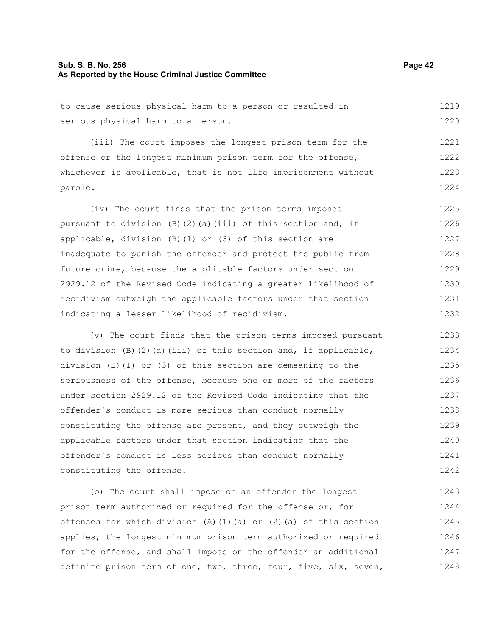## **Sub. S. B. No. 256 Page 42 As Reported by the House Criminal Justice Committee**

to cause serious physical harm to a person or resulted in serious physical harm to a person. 1219 1220

(iii) The court imposes the longest prison term for the offense or the longest minimum prison term for the offense, whichever is applicable, that is not life imprisonment without parole. 1221 1222 1223 1224

(iv) The court finds that the prison terms imposed pursuant to division  $(B)$   $(2)$   $(a)$   $(iii)$  of this section and, if applicable, division (B)(1) or (3) of this section are inadequate to punish the offender and protect the public from future crime, because the applicable factors under section 2929.12 of the Revised Code indicating a greater likelihood of recidivism outweigh the applicable factors under that section indicating a lesser likelihood of recidivism. 1225 1226 1227 1228 1229 1230 1231 1232

(v) The court finds that the prison terms imposed pursuant to division  $(B)$   $(2)$   $(a)$  (iii) of this section and, if applicable, division (B)(1) or (3) of this section are demeaning to the seriousness of the offense, because one or more of the factors under section 2929.12 of the Revised Code indicating that the offender's conduct is more serious than conduct normally constituting the offense are present, and they outweigh the applicable factors under that section indicating that the offender's conduct is less serious than conduct normally constituting the offense. 1233 1234 1235 1236 1237 1238 1239 1240 1241 1242

(b) The court shall impose on an offender the longest prison term authorized or required for the offense or, for offenses for which division (A)(1)(a) or (2)(a) of this section applies, the longest minimum prison term authorized or required for the offense, and shall impose on the offender an additional definite prison term of one, two, three, four, five, six, seven, 1243 1244 1245 1246 1247 1248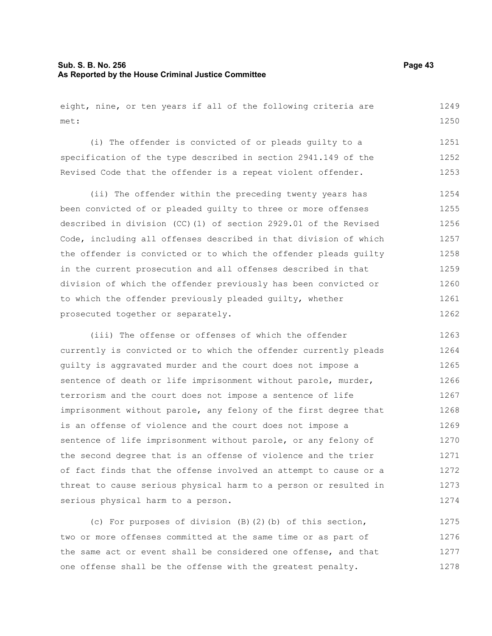# **Sub. S. B. No. 256 Page 43 As Reported by the House Criminal Justice Committee**

eight, nine, or ten years if all of the following criteria are met: 1249 1250

(i) The offender is convicted of or pleads guilty to a specification of the type described in section 2941.149 of the Revised Code that the offender is a repeat violent offender. 1251 1252 1253

(ii) The offender within the preceding twenty years has been convicted of or pleaded guilty to three or more offenses described in division (CC)(1) of section 2929.01 of the Revised Code, including all offenses described in that division of which the offender is convicted or to which the offender pleads guilty in the current prosecution and all offenses described in that division of which the offender previously has been convicted or to which the offender previously pleaded guilty, whether prosecuted together or separately. 1254 1255 1256 1257 1258 1259 1260 1261 1262

(iii) The offense or offenses of which the offender currently is convicted or to which the offender currently pleads guilty is aggravated murder and the court does not impose a sentence of death or life imprisonment without parole, murder, terrorism and the court does not impose a sentence of life imprisonment without parole, any felony of the first degree that is an offense of violence and the court does not impose a sentence of life imprisonment without parole, or any felony of the second degree that is an offense of violence and the trier of fact finds that the offense involved an attempt to cause or a threat to cause serious physical harm to a person or resulted in serious physical harm to a person. 1263 1264 1265 1266 1267 1268 1269 1270 1271 1272 1273 1274

(c) For purposes of division (B)(2)(b) of this section, two or more offenses committed at the same time or as part of the same act or event shall be considered one offense, and that one offense shall be the offense with the greatest penalty. 1275 1276 1277 1278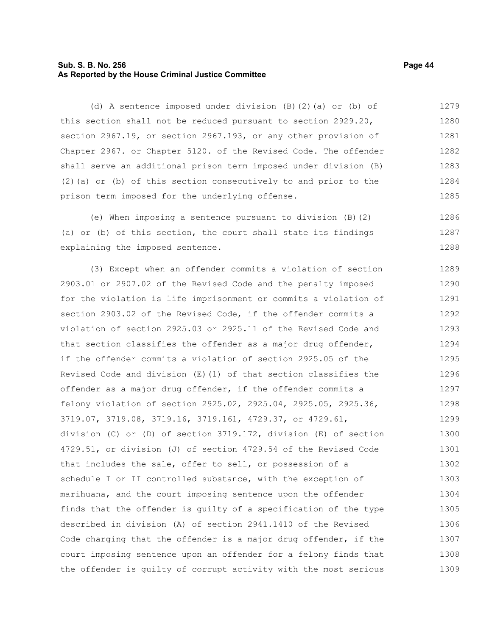## **Sub. S. B. No. 256 Page 44 As Reported by the House Criminal Justice Committee**

(d) A sentence imposed under division (B)(2)(a) or (b) of this section shall not be reduced pursuant to section 2929.20, section 2967.19, or section 2967.193, or any other provision of Chapter 2967. or Chapter 5120. of the Revised Code. The offender shall serve an additional prison term imposed under division (B) (2)(a) or (b) of this section consecutively to and prior to the prison term imposed for the underlying offense. 1279 1280 1281 1282 1283 1284 1285

(e) When imposing a sentence pursuant to division (B)(2) (a) or (b) of this section, the court shall state its findings explaining the imposed sentence. 1286 1287 1288

(3) Except when an offender commits a violation of section 2903.01 or 2907.02 of the Revised Code and the penalty imposed for the violation is life imprisonment or commits a violation of section 2903.02 of the Revised Code, if the offender commits a violation of section 2925.03 or 2925.11 of the Revised Code and that section classifies the offender as a major drug offender, if the offender commits a violation of section 2925.05 of the Revised Code and division  $(E)(1)$  of that section classifies the offender as a major drug offender, if the offender commits a felony violation of section 2925.02, 2925.04, 2925.05, 2925.36, 3719.07, 3719.08, 3719.16, 3719.161, 4729.37, or 4729.61, division (C) or (D) of section 3719.172, division (E) of section 4729.51, or division (J) of section 4729.54 of the Revised Code that includes the sale, offer to sell, or possession of a schedule I or II controlled substance, with the exception of marihuana, and the court imposing sentence upon the offender finds that the offender is guilty of a specification of the type described in division (A) of section 2941.1410 of the Revised Code charging that the offender is a major drug offender, if the court imposing sentence upon an offender for a felony finds that the offender is guilty of corrupt activity with the most serious 1289 1290 1291 1292 1293 1294 1295 1296 1297 1298 1299 1300 1301 1302 1303 1304 1305 1306 1307 1308 1309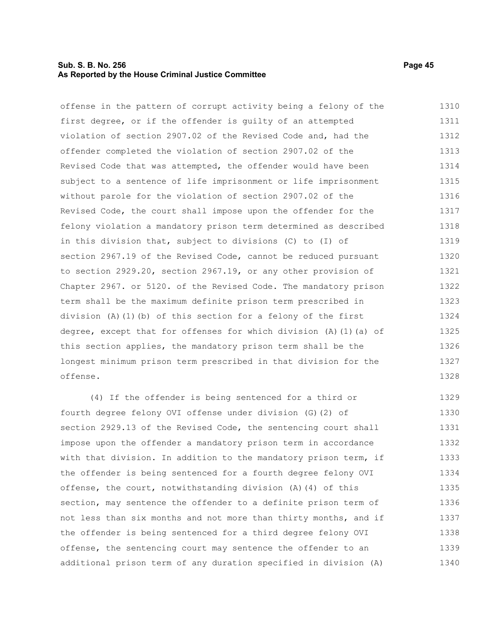## **Sub. S. B. No. 256 Page 45 As Reported by the House Criminal Justice Committee**

offense in the pattern of corrupt activity being a felony of the first degree, or if the offender is guilty of an attempted violation of section 2907.02 of the Revised Code and, had the offender completed the violation of section 2907.02 of the Revised Code that was attempted, the offender would have been subject to a sentence of life imprisonment or life imprisonment without parole for the violation of section 2907.02 of the Revised Code, the court shall impose upon the offender for the felony violation a mandatory prison term determined as described in this division that, subject to divisions (C) to (I) of section 2967.19 of the Revised Code, cannot be reduced pursuant to section 2929.20, section 2967.19, or any other provision of Chapter 2967. or 5120. of the Revised Code. The mandatory prison term shall be the maximum definite prison term prescribed in division (A)(1)(b) of this section for a felony of the first degree, except that for offenses for which division (A)(1)(a) of this section applies, the mandatory prison term shall be the longest minimum prison term prescribed in that division for the offense. 1310 1311 1312 1313 1314 1315 1316 1317 1318 1319 1320 1321 1322 1323 1324 1325 1326 1327 1328

(4) If the offender is being sentenced for a third or fourth degree felony OVI offense under division (G)(2) of section 2929.13 of the Revised Code, the sentencing court shall impose upon the offender a mandatory prison term in accordance with that division. In addition to the mandatory prison term, if the offender is being sentenced for a fourth degree felony OVI offense, the court, notwithstanding division (A)(4) of this section, may sentence the offender to a definite prison term of not less than six months and not more than thirty months, and if the offender is being sentenced for a third degree felony OVI offense, the sentencing court may sentence the offender to an additional prison term of any duration specified in division (A) 1329 1330 1331 1332 1333 1334 1335 1336 1337 1338 1339 1340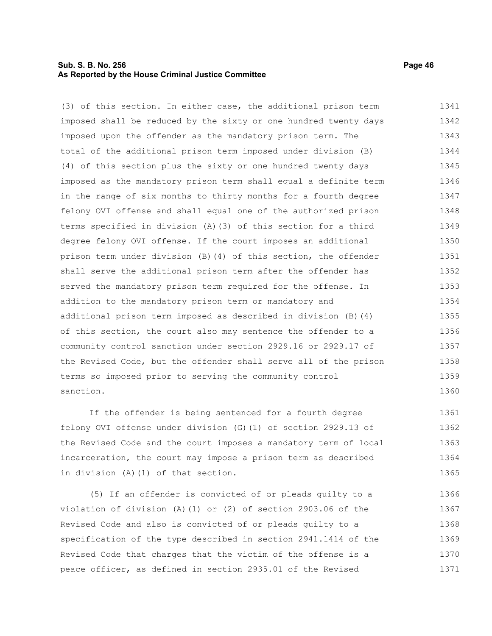## **Sub. S. B. No. 256 Page 46 As Reported by the House Criminal Justice Committee**

(3) of this section. In either case, the additional prison term imposed shall be reduced by the sixty or one hundred twenty days imposed upon the offender as the mandatory prison term. The total of the additional prison term imposed under division (B) (4) of this section plus the sixty or one hundred twenty days imposed as the mandatory prison term shall equal a definite term in the range of six months to thirty months for a fourth degree felony OVI offense and shall equal one of the authorized prison terms specified in division (A)(3) of this section for a third degree felony OVI offense. If the court imposes an additional prison term under division (B)(4) of this section, the offender shall serve the additional prison term after the offender has served the mandatory prison term required for the offense. In addition to the mandatory prison term or mandatory and additional prison term imposed as described in division (B)(4) of this section, the court also may sentence the offender to a community control sanction under section 2929.16 or 2929.17 of the Revised Code, but the offender shall serve all of the prison 1341 1342 1343 1344 1345 1346 1347 1348 1349 1350 1351 1352 1353 1354 1355 1356 1357 1358

If the offender is being sentenced for a fourth degree felony OVI offense under division (G)(1) of section 2929.13 of the Revised Code and the court imposes a mandatory term of local incarceration, the court may impose a prison term as described in division (A)(1) of that section. 1361 1362 1363 1364 1365

terms so imposed prior to serving the community control

sanction.

(5) If an offender is convicted of or pleads guilty to a violation of division (A)(1) or (2) of section 2903.06 of the Revised Code and also is convicted of or pleads guilty to a specification of the type described in section 2941.1414 of the Revised Code that charges that the victim of the offense is a peace officer, as defined in section 2935.01 of the Revised 1366 1367 1368 1369 1370 1371

1359 1360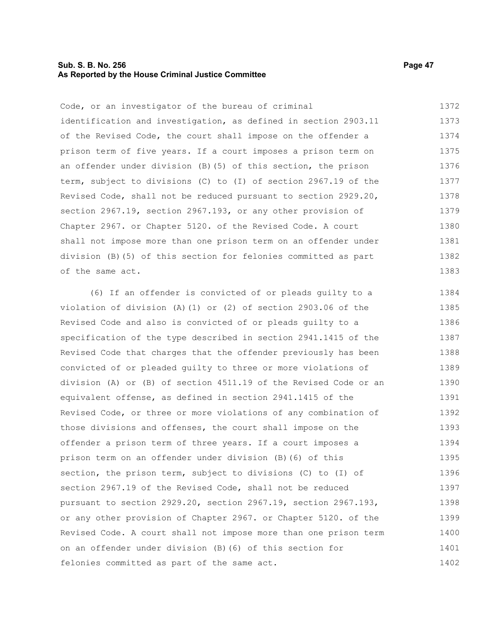## **Sub. S. B. No. 256 Page 47 As Reported by the House Criminal Justice Committee**

Code, or an investigator of the bureau of criminal identification and investigation, as defined in section 2903.11 of the Revised Code, the court shall impose on the offender a prison term of five years. If a court imposes a prison term on an offender under division (B)(5) of this section, the prison term, subject to divisions (C) to (I) of section 2967.19 of the Revised Code, shall not be reduced pursuant to section 2929.20, section 2967.19, section 2967.193, or any other provision of Chapter 2967. or Chapter 5120. of the Revised Code. A court shall not impose more than one prison term on an offender under division (B)(5) of this section for felonies committed as part of the same act. 1372 1373 1374 1375 1376 1377 1378 1379 1380 1381 1382 1383

(6) If an offender is convicted of or pleads guilty to a violation of division (A)(1) or (2) of section 2903.06 of the Revised Code and also is convicted of or pleads guilty to a specification of the type described in section 2941.1415 of the Revised Code that charges that the offender previously has been convicted of or pleaded guilty to three or more violations of division (A) or (B) of section 4511.19 of the Revised Code or an equivalent offense, as defined in section 2941.1415 of the Revised Code, or three or more violations of any combination of those divisions and offenses, the court shall impose on the offender a prison term of three years. If a court imposes a prison term on an offender under division (B)(6) of this section, the prison term, subject to divisions (C) to (I) of section 2967.19 of the Revised Code, shall not be reduced pursuant to section 2929.20, section 2967.19, section 2967.193, or any other provision of Chapter 2967. or Chapter 5120. of the Revised Code. A court shall not impose more than one prison term on an offender under division (B)(6) of this section for felonies committed as part of the same act. 1384 1385 1386 1387 1388 1389 1390 1391 1392 1393 1394 1395 1396 1397 1398 1399 1400 1401 1402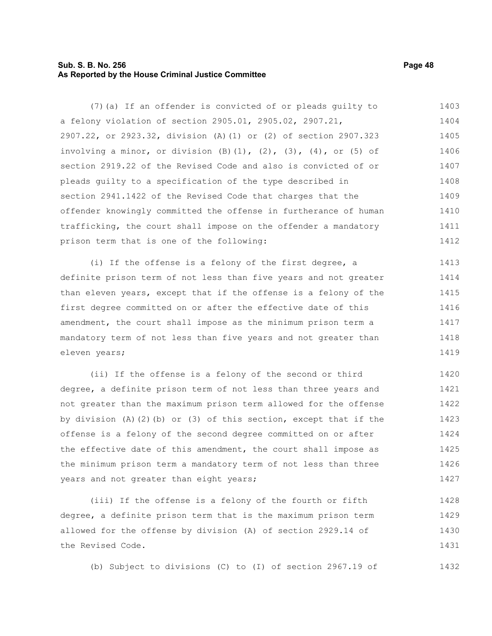## **Sub. S. B. No. 256 Page 48 As Reported by the House Criminal Justice Committee**

(7)(a) If an offender is convicted of or pleads guilty to a felony violation of section 2905.01, 2905.02, 2907.21, 2907.22, or 2923.32, division (A)(1) or (2) of section 2907.323 involving a minor, or division  $(B)$   $(1)$ ,  $(2)$ ,  $(3)$ ,  $(4)$ , or  $(5)$  of section 2919.22 of the Revised Code and also is convicted of or pleads guilty to a specification of the type described in section 2941.1422 of the Revised Code that charges that the offender knowingly committed the offense in furtherance of human trafficking, the court shall impose on the offender a mandatory prison term that is one of the following: 1403 1404 1405 1406 1407 1408 1409 1410 1411 1412

(i) If the offense is a felony of the first degree, a definite prison term of not less than five years and not greater than eleven years, except that if the offense is a felony of the first degree committed on or after the effective date of this amendment, the court shall impose as the minimum prison term a mandatory term of not less than five years and not greater than eleven years; 1413 1414 1415 1416 1417 1418 1419

(ii) If the offense is a felony of the second or third degree, a definite prison term of not less than three years and not greater than the maximum prison term allowed for the offense by division  $(A)$   $(2)$   $(b)$  or  $(3)$  of this section, except that if the offense is a felony of the second degree committed on or after the effective date of this amendment, the court shall impose as the minimum prison term a mandatory term of not less than three years and not greater than eight years; 1420 1421 1422 1423 1424 1425 1426 1427

(iii) If the offense is a felony of the fourth or fifth degree, a definite prison term that is the maximum prison term allowed for the offense by division (A) of section 2929.14 of the Revised Code. 1428 1429 1430 1431

(b) Subject to divisions (C) to (I) of section 2967.19 of

1432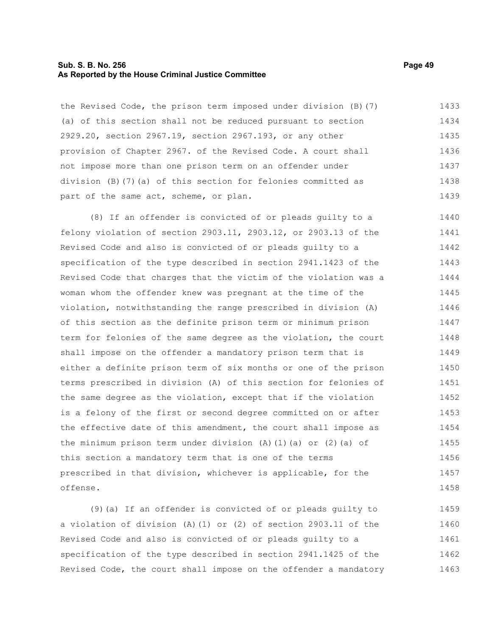## **Sub. S. B. No. 256 Page 49 As Reported by the House Criminal Justice Committee**

the Revised Code, the prison term imposed under division (B)(7) (a) of this section shall not be reduced pursuant to section 2929.20, section 2967.19, section 2967.193, or any other provision of Chapter 2967. of the Revised Code. A court shall not impose more than one prison term on an offender under division (B)(7)(a) of this section for felonies committed as part of the same act, scheme, or plan. 1433 1434 1435 1436 1437 1438 1439

(8) If an offender is convicted of or pleads guilty to a felony violation of section 2903.11, 2903.12, or 2903.13 of the Revised Code and also is convicted of or pleads guilty to a specification of the type described in section 2941.1423 of the Revised Code that charges that the victim of the violation was a woman whom the offender knew was pregnant at the time of the violation, notwithstanding the range prescribed in division (A) of this section as the definite prison term or minimum prison term for felonies of the same degree as the violation, the court shall impose on the offender a mandatory prison term that is either a definite prison term of six months or one of the prison terms prescribed in division (A) of this section for felonies of the same degree as the violation, except that if the violation is a felony of the first or second degree committed on or after the effective date of this amendment, the court shall impose as the minimum prison term under division  $(A)$   $(1)$   $(a)$  or  $(2)$   $(a)$  of this section a mandatory term that is one of the terms prescribed in that division, whichever is applicable, for the offense. 1440 1441 1442 1443 1444 1445 1446 1447 1448 1449 1450 1451 1452 1453 1454 1455 1456 1457 1458

(9)(a) If an offender is convicted of or pleads guilty to a violation of division (A)(1) or (2) of section 2903.11 of the Revised Code and also is convicted of or pleads guilty to a specification of the type described in section 2941.1425 of the Revised Code, the court shall impose on the offender a mandatory 1459 1460 1461 1462 1463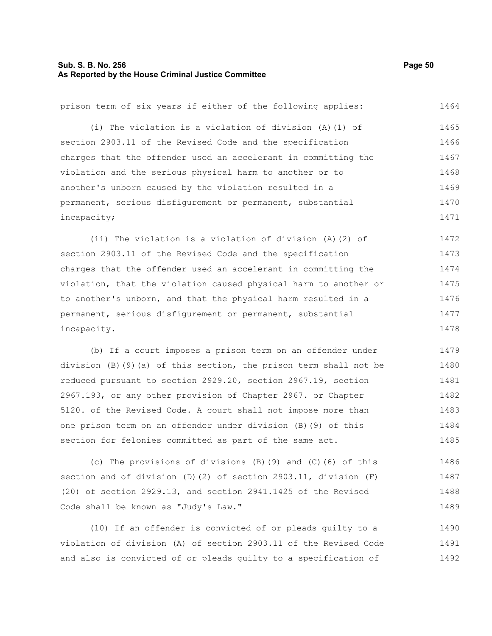## **Sub. S. B. No. 256 Page 50 As Reported by the House Criminal Justice Committee**

prison term of six years if either of the following applies: (i) The violation is a violation of division (A)(1) of section 2903.11 of the Revised Code and the specification charges that the offender used an accelerant in committing the violation and the serious physical harm to another or to 1464 1465 1466 1467 1468

another's unborn caused by the violation resulted in a permanent, serious disfigurement or permanent, substantial incapacity; 1469 1470 1471

(ii) The violation is a violation of division (A)(2) of section 2903.11 of the Revised Code and the specification charges that the offender used an accelerant in committing the violation, that the violation caused physical harm to another or to another's unborn, and that the physical harm resulted in a permanent, serious disfigurement or permanent, substantial incapacity. 1472 1473 1474 1475 1476 1477 1478

(b) If a court imposes a prison term on an offender under division (B)(9)(a) of this section, the prison term shall not be reduced pursuant to section 2929.20, section 2967.19, section 2967.193, or any other provision of Chapter 2967. or Chapter 5120. of the Revised Code. A court shall not impose more than one prison term on an offender under division (B)(9) of this section for felonies committed as part of the same act. 1479 1480 1481 1482 1484 1485

(c) The provisions of divisions (B)(9) and (C)(6) of this section and of division (D)(2) of section 2903.11, division (F) (20) of section 2929.13, and section 2941.1425 of the Revised Code shall be known as "Judy's Law." 1486 1487 1488 1489

(10) If an offender is convicted of or pleads guilty to a violation of division (A) of section 2903.11 of the Revised Code and also is convicted of or pleads guilty to a specification of 1490 1491 1492

1483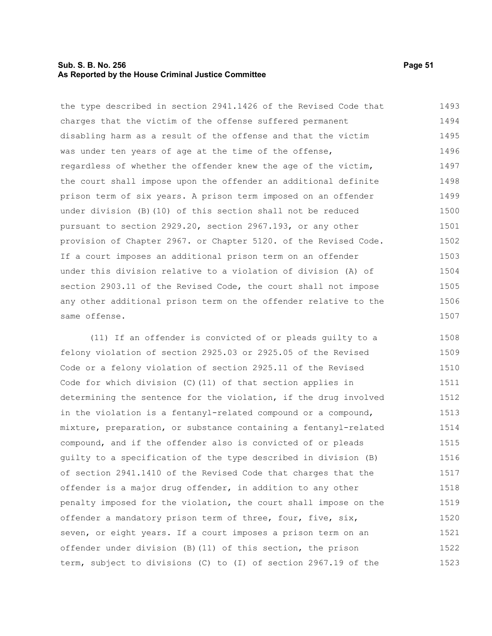## **Sub. S. B. No. 256 Page 51 As Reported by the House Criminal Justice Committee**

the type described in section 2941.1426 of the Revised Code that charges that the victim of the offense suffered permanent disabling harm as a result of the offense and that the victim was under ten years of age at the time of the offense, regardless of whether the offender knew the age of the victim, the court shall impose upon the offender an additional definite prison term of six years. A prison term imposed on an offender under division (B)(10) of this section shall not be reduced pursuant to section 2929.20, section 2967.193, or any other provision of Chapter 2967. or Chapter 5120. of the Revised Code. If a court imposes an additional prison term on an offender under this division relative to a violation of division (A) of section 2903.11 of the Revised Code, the court shall not impose any other additional prison term on the offender relative to the same offense. 1493 1494 1495 1496 1497 1498 1499 1500 1501 1502 1503 1504 1505 1506 1507

(11) If an offender is convicted of or pleads guilty to a felony violation of section 2925.03 or 2925.05 of the Revised Code or a felony violation of section 2925.11 of the Revised Code for which division (C)(11) of that section applies in determining the sentence for the violation, if the drug involved in the violation is a fentanyl-related compound or a compound, mixture, preparation, or substance containing a fentanyl-related compound, and if the offender also is convicted of or pleads guilty to a specification of the type described in division (B) of section 2941.1410 of the Revised Code that charges that the offender is a major drug offender, in addition to any other penalty imposed for the violation, the court shall impose on the offender a mandatory prison term of three, four, five, six, seven, or eight years. If a court imposes a prison term on an offender under division (B)(11) of this section, the prison term, subject to divisions (C) to (I) of section 2967.19 of the 1508 1509 1510 1511 1512 1513 1514 1515 1516 1517 1518 1519 1520 1521 1522 1523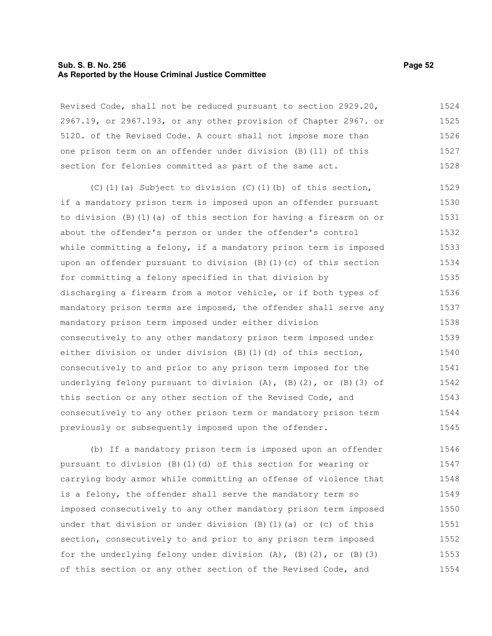#### **Sub. S. B. No. 256 Page 52 As Reported by the House Criminal Justice Committee**

Revised Code, shall not be reduced pursuant to section 2929.20, 2967.19, or 2967.193, or any other provision of Chapter 2967. or 5120. of the Revised Code. A court shall not impose more than one prison term on an offender under division (B)(11) of this section for felonies committed as part of the same act. 1524 1525 1526 1527 1528

(C)(1)(a) Subject to division (C)(1)(b) of this section, if a mandatory prison term is imposed upon an offender pursuant to division (B)(1)(a) of this section for having a firearm on or about the offender's person or under the offender's control while committing a felony, if a mandatory prison term is imposed upon an offender pursuant to division (B)(1)(c) of this section for committing a felony specified in that division by discharging a firearm from a motor vehicle, or if both types of mandatory prison terms are imposed, the offender shall serve any mandatory prison term imposed under either division consecutively to any other mandatory prison term imposed under either division or under division (B)(1)(d) of this section, consecutively to and prior to any prison term imposed for the underlying felony pursuant to division  $(A)$ ,  $(B)$   $(2)$ , or  $(B)$   $(3)$  of this section or any other section of the Revised Code, and consecutively to any other prison term or mandatory prison term previously or subsequently imposed upon the offender. 1529 1530 1531 1532 1533 1534 1535 1536 1537 1538 1539 1540 1541 1542 1543 1544 1545

(b) If a mandatory prison term is imposed upon an offender pursuant to division (B)(1)(d) of this section for wearing or carrying body armor while committing an offense of violence that is a felony, the offender shall serve the mandatory term so imposed consecutively to any other mandatory prison term imposed under that division or under division (B)(1)(a) or (c) of this section, consecutively to and prior to any prison term imposed for the underlying felony under division  $(A)$ ,  $(B)$   $(2)$ , or  $(B)$   $(3)$ of this section or any other section of the Revised Code, and 1546 1547 1548 1549 1550 1551 1552 1553 1554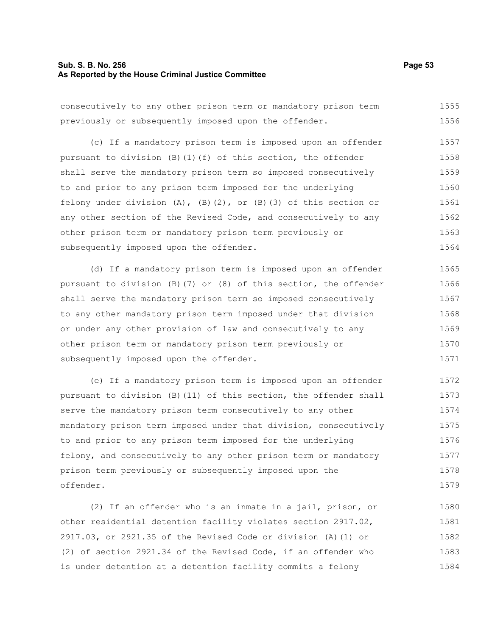## **Sub. S. B. No. 256 Page 53 As Reported by the House Criminal Justice Committee**

consecutively to any other prison term or mandatory prison term previously or subsequently imposed upon the offender. 1555 1556

(c) If a mandatory prison term is imposed upon an offender pursuant to division (B)(1)(f) of this section, the offender shall serve the mandatory prison term so imposed consecutively to and prior to any prison term imposed for the underlying felony under division  $(A)$ ,  $(B)$   $(2)$ , or  $(B)$   $(3)$  of this section or any other section of the Revised Code, and consecutively to any other prison term or mandatory prison term previously or subsequently imposed upon the offender. 1557 1558 1559 1560 1561 1562 1563 1564

(d) If a mandatory prison term is imposed upon an offender pursuant to division (B)(7) or (8) of this section, the offender shall serve the mandatory prison term so imposed consecutively to any other mandatory prison term imposed under that division or under any other provision of law and consecutively to any other prison term or mandatory prison term previously or subsequently imposed upon the offender. 1565 1566 1567 1568 1569 1570 1571

(e) If a mandatory prison term is imposed upon an offender pursuant to division (B)(11) of this section, the offender shall serve the mandatory prison term consecutively to any other mandatory prison term imposed under that division, consecutively to and prior to any prison term imposed for the underlying felony, and consecutively to any other prison term or mandatory prison term previously or subsequently imposed upon the offender. 1572 1573 1574 1575 1576 1577 1578 1579

(2) If an offender who is an inmate in a jail, prison, or other residential detention facility violates section 2917.02, 2917.03, or 2921.35 of the Revised Code or division (A)(1) or (2) of section 2921.34 of the Revised Code, if an offender who is under detention at a detention facility commits a felony 1580 1581 1582 1583 1584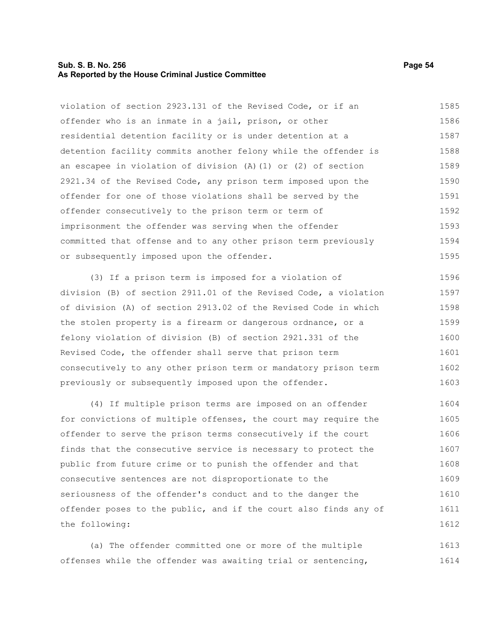## **Sub. S. B. No. 256 Page 54 As Reported by the House Criminal Justice Committee**

violation of section 2923.131 of the Revised Code, or if an offender who is an inmate in a jail, prison, or other residential detention facility or is under detention at a detention facility commits another felony while the offender is an escapee in violation of division (A)(1) or (2) of section 2921.34 of the Revised Code, any prison term imposed upon the offender for one of those violations shall be served by the offender consecutively to the prison term or term of imprisonment the offender was serving when the offender committed that offense and to any other prison term previously or subsequently imposed upon the offender. 1585 1586 1587 1588 1589 1590 1591 1592 1593 1594 1595

(3) If a prison term is imposed for a violation of division (B) of section 2911.01 of the Revised Code, a violation of division (A) of section 2913.02 of the Revised Code in which the stolen property is a firearm or dangerous ordnance, or a felony violation of division (B) of section 2921.331 of the Revised Code, the offender shall serve that prison term consecutively to any other prison term or mandatory prison term previously or subsequently imposed upon the offender. 1596 1597 1598 1599 1600 1601 1602 1603

(4) If multiple prison terms are imposed on an offender for convictions of multiple offenses, the court may require the offender to serve the prison terms consecutively if the court finds that the consecutive service is necessary to protect the public from future crime or to punish the offender and that consecutive sentences are not disproportionate to the seriousness of the offender's conduct and to the danger the offender poses to the public, and if the court also finds any of the following: 1604 1605 1606 1607 1608 1609 1610 1611 1612

(a) The offender committed one or more of the multiple offenses while the offender was awaiting trial or sentencing, 1613 1614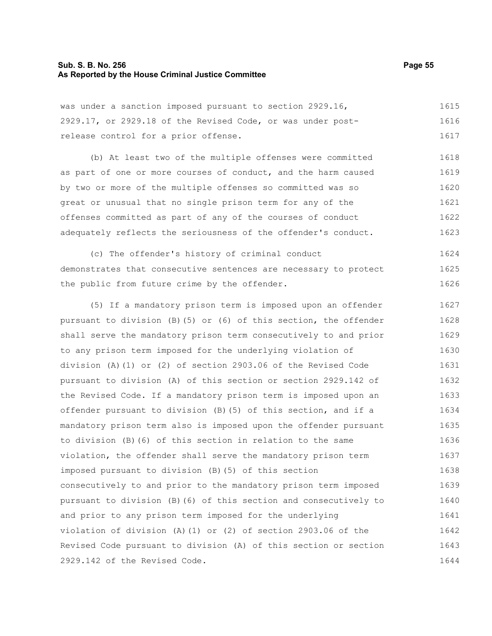## **Sub. S. B. No. 256 Page 55 As Reported by the House Criminal Justice Committee**

was under a sanction imposed pursuant to section 2929.16, 2929.17, or 2929.18 of the Revised Code, or was under postrelease control for a prior offense. 1615 1616 1617

(b) At least two of the multiple offenses were committed as part of one or more courses of conduct, and the harm caused by two or more of the multiple offenses so committed was so great or unusual that no single prison term for any of the offenses committed as part of any of the courses of conduct adequately reflects the seriousness of the offender's conduct. 1618 1619 1620 1621 1622 1623

(c) The offender's history of criminal conduct demonstrates that consecutive sentences are necessary to protect the public from future crime by the offender. 1624 1625 1626

(5) If a mandatory prison term is imposed upon an offender pursuant to division (B)(5) or (6) of this section, the offender shall serve the mandatory prison term consecutively to and prior to any prison term imposed for the underlying violation of division (A)(1) or (2) of section 2903.06 of the Revised Code pursuant to division (A) of this section or section 2929.142 of the Revised Code. If a mandatory prison term is imposed upon an offender pursuant to division (B)(5) of this section, and if a mandatory prison term also is imposed upon the offender pursuant to division (B)(6) of this section in relation to the same violation, the offender shall serve the mandatory prison term imposed pursuant to division (B)(5) of this section consecutively to and prior to the mandatory prison term imposed pursuant to division (B)(6) of this section and consecutively to and prior to any prison term imposed for the underlying violation of division (A)(1) or (2) of section 2903.06 of the Revised Code pursuant to division (A) of this section or section 2929.142 of the Revised Code. 1627 1628 1629 1630 1631 1632 1633 1634 1635 1636 1637 1638 1639 1640 1641 1642 1643 1644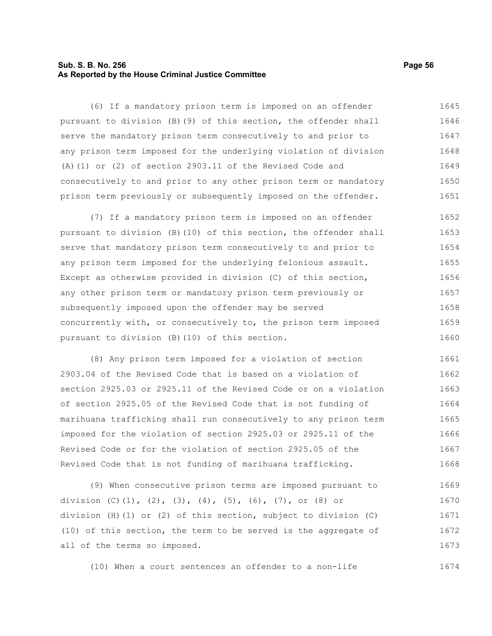## **Sub. S. B. No. 256 Page 56 As Reported by the House Criminal Justice Committee**

(6) If a mandatory prison term is imposed on an offender pursuant to division (B)(9) of this section, the offender shall serve the mandatory prison term consecutively to and prior to any prison term imposed for the underlying violation of division (A)(1) or (2) of section 2903.11 of the Revised Code and consecutively to and prior to any other prison term or mandatory prison term previously or subsequently imposed on the offender. 1645 1646 1647 1648 1649 1650 1651

(7) If a mandatory prison term is imposed on an offender pursuant to division (B)(10) of this section, the offender shall serve that mandatory prison term consecutively to and prior to any prison term imposed for the underlying felonious assault. Except as otherwise provided in division (C) of this section, any other prison term or mandatory prison term previously or subsequently imposed upon the offender may be served concurrently with, or consecutively to, the prison term imposed pursuant to division (B)(10) of this section. 1652 1653 1654 1655 1656 1657 1658 1659 1660

(8) Any prison term imposed for a violation of section 2903.04 of the Revised Code that is based on a violation of section 2925.03 or 2925.11 of the Revised Code or on a violation of section 2925.05 of the Revised Code that is not funding of marihuana trafficking shall run consecutively to any prison term imposed for the violation of section 2925.03 or 2925.11 of the Revised Code or for the violation of section 2925.05 of the Revised Code that is not funding of marihuana trafficking. 1661 1662 1663 1664 1665 1666 1667 1668

(9) When consecutive prison terms are imposed pursuant to division  $(C)$ (1),  $(2)$ ,  $(3)$ ,  $(4)$ ,  $(5)$ ,  $(6)$ ,  $(7)$ , or  $(8)$  or division (H)(1) or (2) of this section, subject to division (C) (10) of this section, the term to be served is the aggregate of all of the terms so imposed. 1669 1670 1671 1672 1673

(10) When a court sentences an offender to a non-life 1674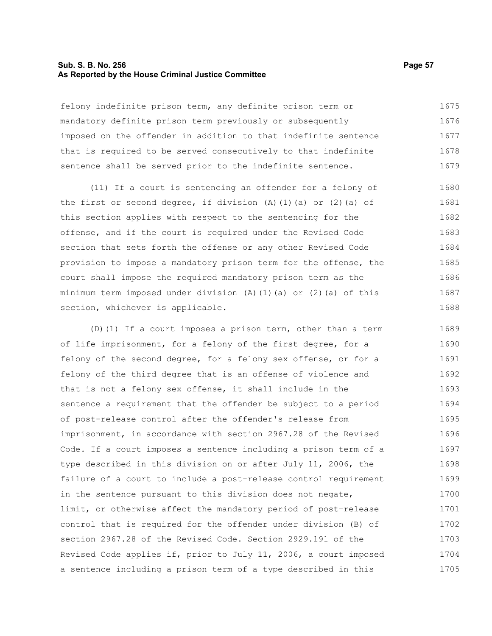#### **Sub. S. B. No. 256 Page 57 As Reported by the House Criminal Justice Committee**

felony indefinite prison term, any definite prison term or mandatory definite prison term previously or subsequently imposed on the offender in addition to that indefinite sentence that is required to be served consecutively to that indefinite sentence shall be served prior to the indefinite sentence. 1675 1676 1677 1678 1679

(11) If a court is sentencing an offender for a felony of the first or second degree, if division  $(A)$   $(1)$   $(a)$  or  $(2)$   $(a)$  of this section applies with respect to the sentencing for the offense, and if the court is required under the Revised Code section that sets forth the offense or any other Revised Code provision to impose a mandatory prison term for the offense, the court shall impose the required mandatory prison term as the minimum term imposed under division  $(A)$  (1)(a) or (2)(a) of this section, whichever is applicable. 1680 1681 1682 1683 1684 1685 1686 1687 1688

(D)(1) If a court imposes a prison term, other than a term of life imprisonment, for a felony of the first degree, for a felony of the second degree, for a felony sex offense, or for a felony of the third degree that is an offense of violence and that is not a felony sex offense, it shall include in the sentence a requirement that the offender be subject to a period of post-release control after the offender's release from imprisonment, in accordance with section 2967.28 of the Revised Code. If a court imposes a sentence including a prison term of a type described in this division on or after July 11, 2006, the failure of a court to include a post-release control requirement in the sentence pursuant to this division does not negate, limit, or otherwise affect the mandatory period of post-release control that is required for the offender under division (B) of section 2967.28 of the Revised Code. Section 2929.191 of the Revised Code applies if, prior to July 11, 2006, a court imposed a sentence including a prison term of a type described in this 1689 1690 1691 1692 1693 1694 1695 1696 1697 1698 1699 1700 1701 1702 1703 1704 1705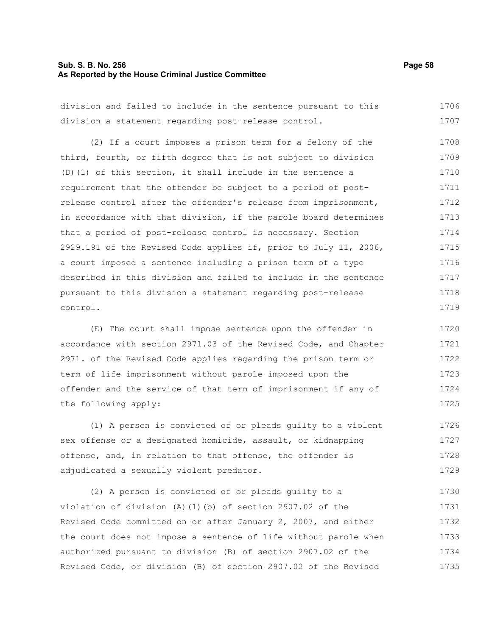### **Sub. S. B. No. 256 Page 58 As Reported by the House Criminal Justice Committee**

division and failed to include in the sentence pursuant to this division a statement regarding post-release control. (2) If a court imposes a prison term for a felony of the third, fourth, or fifth degree that is not subject to division (D)(1) of this section, it shall include in the sentence a requirement that the offender be subject to a period of postrelease control after the offender's release from imprisonment, in accordance with that division, if the parole board determines that a period of post-release control is necessary. Section 2929.191 of the Revised Code applies if, prior to July 11, 2006, a court imposed a sentence including a prison term of a type described in this division and failed to include in the sentence pursuant to this division a statement regarding post-release control. 1706 1707 1708 1709 1710 1711 1712 1713 1714 1715 1716 1717 1718 1719

(E) The court shall impose sentence upon the offender in accordance with section 2971.03 of the Revised Code, and Chapter 2971. of the Revised Code applies regarding the prison term or term of life imprisonment without parole imposed upon the offender and the service of that term of imprisonment if any of the following apply: 1720 1721 1722 1723 1724 1725

(1) A person is convicted of or pleads guilty to a violent sex offense or a designated homicide, assault, or kidnapping offense, and, in relation to that offense, the offender is adjudicated a sexually violent predator. 1726 1727 1728 1729

(2) A person is convicted of or pleads guilty to a violation of division (A)(1)(b) of section 2907.02 of the Revised Code committed on or after January 2, 2007, and either the court does not impose a sentence of life without parole when authorized pursuant to division (B) of section 2907.02 of the Revised Code, or division (B) of section 2907.02 of the Revised 1730 1731 1732 1733 1734 1735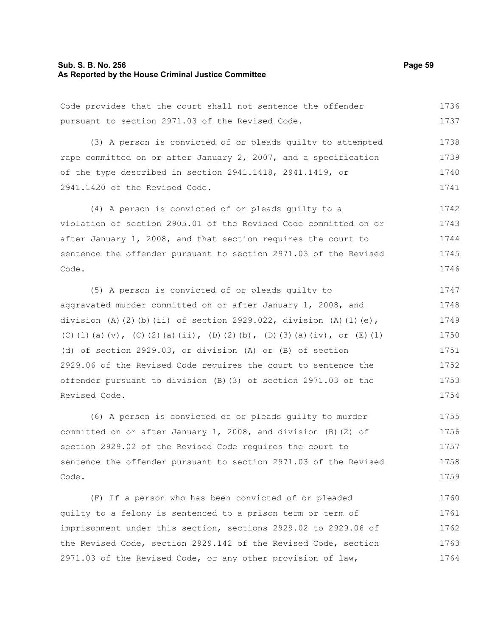## **Sub. S. B. No. 256 Page 59 As Reported by the House Criminal Justice Committee**

Code provides that the court shall not sentence the offender pursuant to section 2971.03 of the Revised Code. 1736 1737

(3) A person is convicted of or pleads guilty to attempted rape committed on or after January 2, 2007, and a specification of the type described in section 2941.1418, 2941.1419, or 2941.1420 of the Revised Code. 1739 1740 1741

(4) A person is convicted of or pleads guilty to a violation of section 2905.01 of the Revised Code committed on or after January 1, 2008, and that section requires the court to sentence the offender pursuant to section 2971.03 of the Revised Code. 1742 1743 1744 1745 1746

(5) A person is convicted of or pleads guilty to aggravated murder committed on or after January 1, 2008, and division (A)(2)(b)(ii) of section 2929.022, division (A)(1)(e), (C)(1)(a)(v), (C)(2)(a)(ii), (D)(2)(b), (D)(3)(a)(iv), or (E)(1) (d) of section 2929.03, or division (A) or (B) of section 2929.06 of the Revised Code requires the court to sentence the offender pursuant to division (B)(3) of section 2971.03 of the Revised Code. 1747 1748 1749 1750 1751 1752 1753 1754

(6) A person is convicted of or pleads guilty to murder committed on or after January 1, 2008, and division (B)(2) of section 2929.02 of the Revised Code requires the court to sentence the offender pursuant to section 2971.03 of the Revised Code. 1755 1756 1757 1758 1759

(F) If a person who has been convicted of or pleaded guilty to a felony is sentenced to a prison term or term of imprisonment under this section, sections 2929.02 to 2929.06 of the Revised Code, section 2929.142 of the Revised Code, section 2971.03 of the Revised Code, or any other provision of law, 1760 1761 1762 1763 1764

1738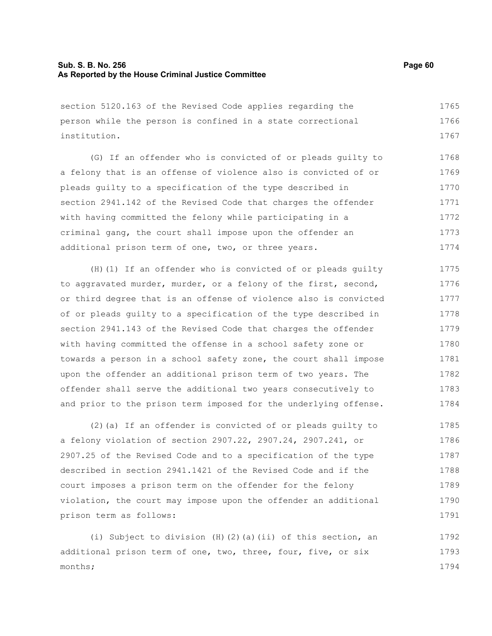## **Sub. S. B. No. 256 Page 60 As Reported by the House Criminal Justice Committee**

section 5120.163 of the Revised Code applies regarding the person while the person is confined in a state correctional institution. 1765 1766 1767

(G) If an offender who is convicted of or pleads guilty to a felony that is an offense of violence also is convicted of or pleads guilty to a specification of the type described in section 2941.142 of the Revised Code that charges the offender with having committed the felony while participating in a criminal gang, the court shall impose upon the offender an additional prison term of one, two, or three years. 1768 1769 1770 1771 1772 1773 1774

(H)(1) If an offender who is convicted of or pleads guilty to aggravated murder, murder, or a felony of the first, second, or third degree that is an offense of violence also is convicted of or pleads guilty to a specification of the type described in section 2941.143 of the Revised Code that charges the offender with having committed the offense in a school safety zone or towards a person in a school safety zone, the court shall impose upon the offender an additional prison term of two years. The offender shall serve the additional two years consecutively to and prior to the prison term imposed for the underlying offense. 1775 1776 1777 1778 1779 1780 1781 1782 1783 1784

(2)(a) If an offender is convicted of or pleads guilty to a felony violation of section 2907.22, 2907.24, 2907.241, or 2907.25 of the Revised Code and to a specification of the type described in section 2941.1421 of the Revised Code and if the court imposes a prison term on the offender for the felony violation, the court may impose upon the offender an additional prison term as follows: 1785 1786 1787 1788 1789 1790 1791

(i) Subject to division (H)(2)(a)(ii) of this section, an additional prison term of one, two, three, four, five, or six months; 1792 1793 1794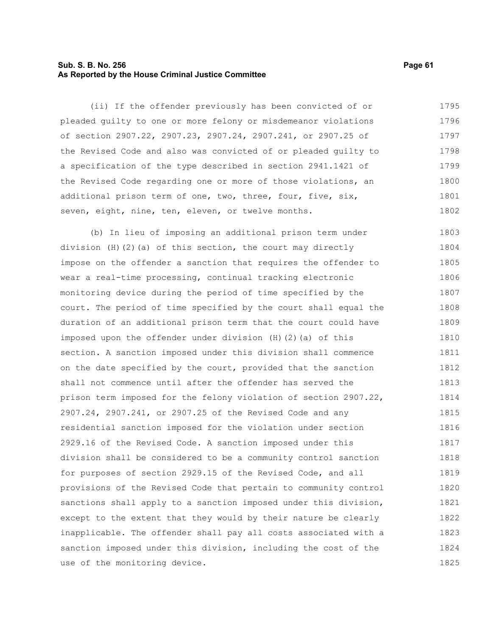# **Sub. S. B. No. 256 Page 61 As Reported by the House Criminal Justice Committee**

(ii) If the offender previously has been convicted of or pleaded guilty to one or more felony or misdemeanor violations of section 2907.22, 2907.23, 2907.24, 2907.241, or 2907.25 of the Revised Code and also was convicted of or pleaded guilty to a specification of the type described in section 2941.1421 of the Revised Code regarding one or more of those violations, an additional prison term of one, two, three, four, five, six, seven, eight, nine, ten, eleven, or twelve months. 1795 1796 1797 1798 1799 1800 1801 1802

(b) In lieu of imposing an additional prison term under division (H)(2)(a) of this section, the court may directly impose on the offender a sanction that requires the offender to wear a real-time processing, continual tracking electronic monitoring device during the period of time specified by the court. The period of time specified by the court shall equal the duration of an additional prison term that the court could have imposed upon the offender under division (H)(2)(a) of this section. A sanction imposed under this division shall commence on the date specified by the court, provided that the sanction shall not commence until after the offender has served the prison term imposed for the felony violation of section 2907.22, 2907.24, 2907.241, or 2907.25 of the Revised Code and any residential sanction imposed for the violation under section 2929.16 of the Revised Code. A sanction imposed under this division shall be considered to be a community control sanction for purposes of section 2929.15 of the Revised Code, and all provisions of the Revised Code that pertain to community control sanctions shall apply to a sanction imposed under this division, except to the extent that they would by their nature be clearly inapplicable. The offender shall pay all costs associated with a sanction imposed under this division, including the cost of the use of the monitoring device. 1803 1804 1805 1806 1807 1808 1809 1810 1811 1812 1813 1814 1815 1816 1817 1818 1819 1820 1821 1822 1823 1824 1825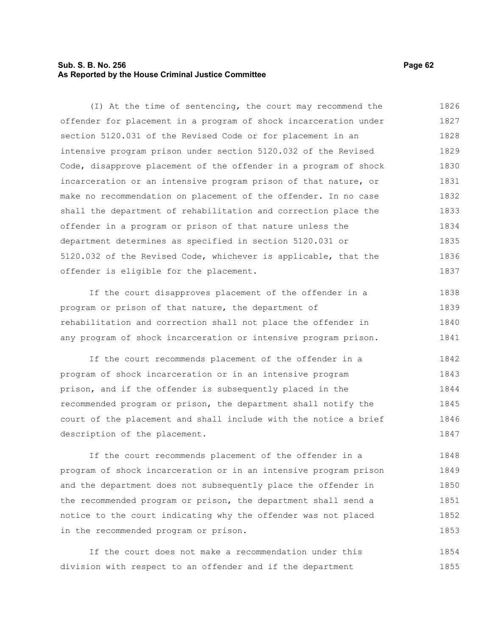# **Sub. S. B. No. 256 Page 62 As Reported by the House Criminal Justice Committee**

(I) At the time of sentencing, the court may recommend the offender for placement in a program of shock incarceration under section 5120.031 of the Revised Code or for placement in an intensive program prison under section 5120.032 of the Revised Code, disapprove placement of the offender in a program of shock incarceration or an intensive program prison of that nature, or make no recommendation on placement of the offender. In no case shall the department of rehabilitation and correction place the offender in a program or prison of that nature unless the department determines as specified in section 5120.031 or 5120.032 of the Revised Code, whichever is applicable, that the offender is eligible for the placement. 1826 1827 1828 1829 1830 1831 1832 1833 1834 1835 1836 1837

If the court disapproves placement of the offender in a program or prison of that nature, the department of rehabilitation and correction shall not place the offender in any program of shock incarceration or intensive program prison. 1838 1839 1840 1841

If the court recommends placement of the offender in a program of shock incarceration or in an intensive program prison, and if the offender is subsequently placed in the recommended program or prison, the department shall notify the court of the placement and shall include with the notice a brief description of the placement. 1842 1843 1844 1845 1846 1847

If the court recommends placement of the offender in a program of shock incarceration or in an intensive program prison and the department does not subsequently place the offender in the recommended program or prison, the department shall send a notice to the court indicating why the offender was not placed in the recommended program or prison. 1848 1849 1850 1851 1852 1853

If the court does not make a recommendation under this division with respect to an offender and if the department 1854 1855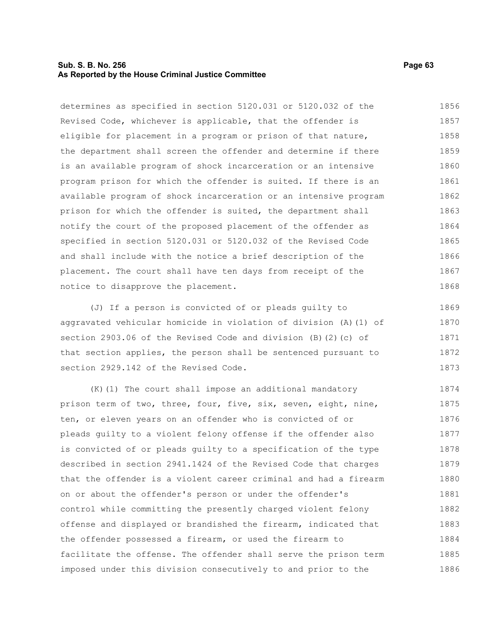## **Sub. S. B. No. 256 Page 63 As Reported by the House Criminal Justice Committee**

determines as specified in section 5120.031 or 5120.032 of the Revised Code, whichever is applicable, that the offender is eligible for placement in a program or prison of that nature, the department shall screen the offender and determine if there is an available program of shock incarceration or an intensive program prison for which the offender is suited. If there is an available program of shock incarceration or an intensive program prison for which the offender is suited, the department shall notify the court of the proposed placement of the offender as specified in section 5120.031 or 5120.032 of the Revised Code and shall include with the notice a brief description of the placement. The court shall have ten days from receipt of the notice to disapprove the placement. 1856 1857 1858 1859 1860 1861 1862 1863 1864 1865 1866 1867 1868

(J) If a person is convicted of or pleads guilty to aggravated vehicular homicide in violation of division (A)(1) of section 2903.06 of the Revised Code and division (B)(2)(c) of that section applies, the person shall be sentenced pursuant to section 2929.142 of the Revised Code. 1869 1870 1871 1872 1873

(K)(1) The court shall impose an additional mandatory prison term of two, three, four, five, six, seven, eight, nine, ten, or eleven years on an offender who is convicted of or pleads guilty to a violent felony offense if the offender also is convicted of or pleads guilty to a specification of the type described in section 2941.1424 of the Revised Code that charges that the offender is a violent career criminal and had a firearm on or about the offender's person or under the offender's control while committing the presently charged violent felony offense and displayed or brandished the firearm, indicated that the offender possessed a firearm, or used the firearm to facilitate the offense. The offender shall serve the prison term imposed under this division consecutively to and prior to the 1874 1875 1876 1877 1878 1879 1880 1881 1882 1883 1884 1885 1886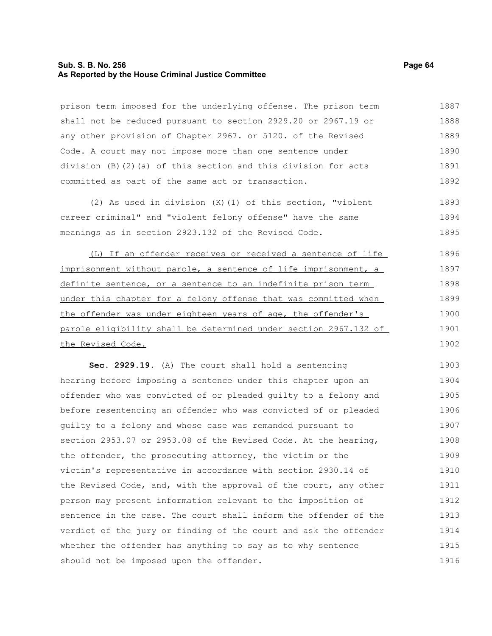#### **Sub. S. B. No. 256 Page 64 As Reported by the House Criminal Justice Committee**

prison term imposed for the underlying offense. The prison term shall not be reduced pursuant to section 2929.20 or 2967.19 or any other provision of Chapter 2967. or 5120. of the Revised Code. A court may not impose more than one sentence under division (B)(2)(a) of this section and this division for acts committed as part of the same act or transaction. 1887 1888 1889 1890 1891 1892

(2) As used in division (K)(1) of this section, "violent career criminal" and "violent felony offense" have the same meanings as in section 2923.132 of the Revised Code. 1893 1894 1895

(L) If an offender receives or received a sentence of life imprisonment without parole, a sentence of life imprisonment, a definite sentence, or a sentence to an indefinite prison term under this chapter for a felony offense that was committed when the offender was under eighteen years of age, the offender's parole eligibility shall be determined under section 2967.132 of the Revised Code. 1896 1897 1898 1899 1900 1901 1902

**Sec. 2929.19.** (A) The court shall hold a sentencing hearing before imposing a sentence under this chapter upon an offender who was convicted of or pleaded guilty to a felony and before resentencing an offender who was convicted of or pleaded guilty to a felony and whose case was remanded pursuant to section 2953.07 or 2953.08 of the Revised Code. At the hearing, the offender, the prosecuting attorney, the victim or the victim's representative in accordance with section 2930.14 of the Revised Code, and, with the approval of the court, any other person may present information relevant to the imposition of sentence in the case. The court shall inform the offender of the verdict of the jury or finding of the court and ask the offender whether the offender has anything to say as to why sentence should not be imposed upon the offender. 1903 1904 1905 1906 1907 1908 1909 1910 1911 1912 1913 1914 1915 1916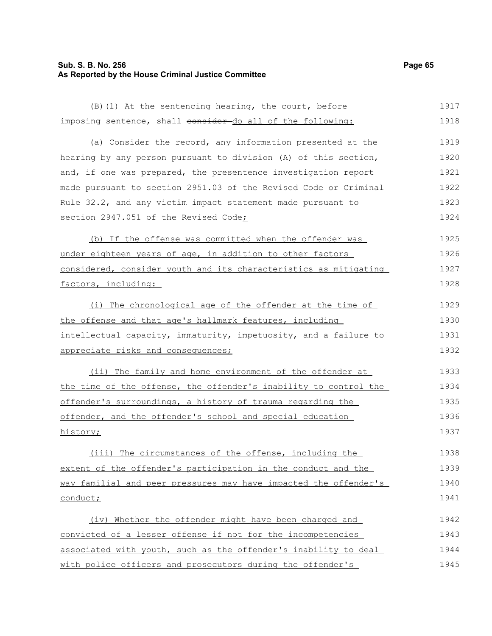# **Sub. S. B. No. 256 Page 65 As Reported by the House Criminal Justice Committee**

(B)(1) At the sentencing hearing, the court, before imposing sentence, shall consider-do all of the following: (a) Consider the record, any information presented at the hearing by any person pursuant to division (A) of this section, and, if one was prepared, the presentence investigation report made pursuant to section 2951.03 of the Revised Code or Criminal Rule 32.2, and any victim impact statement made pursuant to section 2947.051 of the Revised Code; (b) If the offense was committed when the offender was under eighteen years of age, in addition to other factors considered, consider youth and its characteristics as mitigating factors, including: (i) The chronological age of the offender at the time of the offense and that age's hallmark features, including intellectual capacity, immaturity, impetuosity, and a failure to appreciate risks and consequences; (ii) The family and home environment of the offender at the time of the offense, the offender's inability to control the offender's surroundings, a history of trauma regarding the offender, and the offender's school and special education history; (iii) The circumstances of the offense, including the extent of the offender's participation in the conduct and the way familial and peer pressures may have impacted the offender's conduct; (iv) Whether the offender might have been charged and convicted of a lesser offense if not for the incompetencies associated with youth, such as the offender's inability to deal with police officers and prosecutors during the offender's 1917 1918 1919 1920 1921 1922 1923 1924 1925 1926 1927 1928 1929 1930 1931 1932 1933 1934 1935 1936 1937 1938 1939 1940 1941 1942 1943 1944 1945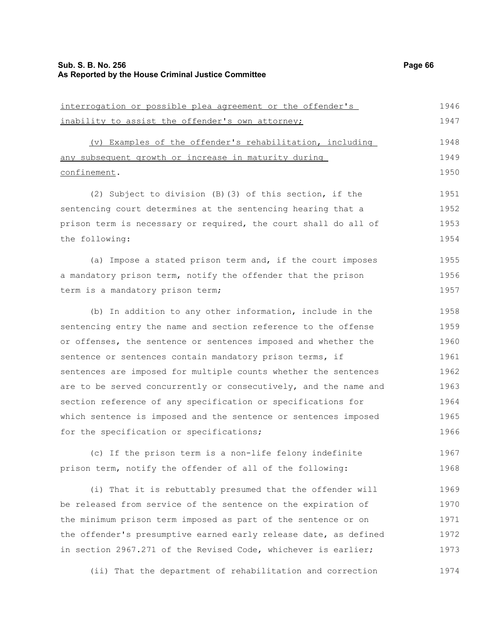# **Sub. S. B. No. 256 Page 66 As Reported by the House Criminal Justice Committee**

interrogation or possible plea agreement or the offender's

inability to assist the offender's own attorney; (v) Examples of the offender's rehabilitation, including any subsequent growth or increase in maturity during confinement. (2) Subject to division (B)(3) of this section, if the sentencing court determines at the sentencing hearing that a prison term is necessary or required, the court shall do all of the following: (a) Impose a stated prison term and, if the court imposes a mandatory prison term, notify the offender that the prison term is a mandatory prison term; (b) In addition to any other information, include in the sentencing entry the name and section reference to the offense or offenses, the sentence or sentences imposed and whether the sentence or sentences contain mandatory prison terms, if sentences are imposed for multiple counts whether the sentences are to be served concurrently or consecutively, and the name and section reference of any specification or specifications for which sentence is imposed and the sentence or sentences imposed for the specification or specifications; (c) If the prison term is a non-life felony indefinite prison term, notify the offender of all of the following: (i) That it is rebuttably presumed that the offender will be released from service of the sentence on the expiration of the minimum prison term imposed as part of the sentence or on the offender's presumptive earned early release date, as defined in section 2967.271 of the Revised Code, whichever is earlier; 1947 1948 1949 1950 1951 1952 1953 1954 1955 1956 1957 1958 1959 1960 1961 1962 1963 1964 1965 1966 1967 1968 1969 1970 1971 1972 1973

(ii) That the department of rehabilitation and correction 1974

1946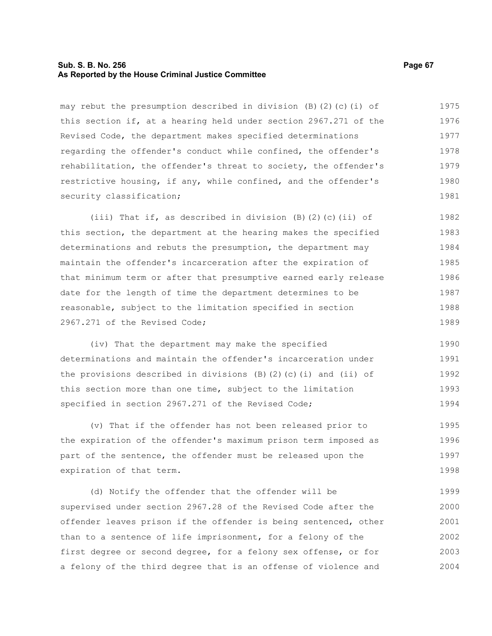## **Sub. S. B. No. 256 Page 67 As Reported by the House Criminal Justice Committee**

may rebut the presumption described in division  $(B)$   $(2)$   $(c)$   $(i)$  of this section if, at a hearing held under section 2967.271 of the Revised Code, the department makes specified determinations regarding the offender's conduct while confined, the offender's rehabilitation, the offender's threat to society, the offender's restrictive housing, if any, while confined, and the offender's security classification; 1975 1976 1977 1978 1979 1980 1981

(iii) That if, as described in division  $(B)$   $(2)$   $(c)$  (ii) of this section, the department at the hearing makes the specified determinations and rebuts the presumption, the department may maintain the offender's incarceration after the expiration of that minimum term or after that presumptive earned early release date for the length of time the department determines to be reasonable, subject to the limitation specified in section 2967.271 of the Revised Code; 1982 1983 1984 1985 1986 1987 1988 1989

(iv) That the department may make the specified determinations and maintain the offender's incarceration under the provisions described in divisions (B)(2)(c)(i) and (ii) of this section more than one time, subject to the limitation specified in section 2967.271 of the Revised Code; 1990 1991 1992 1993 1994

(v) That if the offender has not been released prior to the expiration of the offender's maximum prison term imposed as part of the sentence, the offender must be released upon the expiration of that term. 1995 1996 1997 1998

(d) Notify the offender that the offender will be supervised under section 2967.28 of the Revised Code after the offender leaves prison if the offender is being sentenced, other than to a sentence of life imprisonment, for a felony of the first degree or second degree, for a felony sex offense, or for a felony of the third degree that is an offense of violence and 1999 2000 2001 2002 2003 2004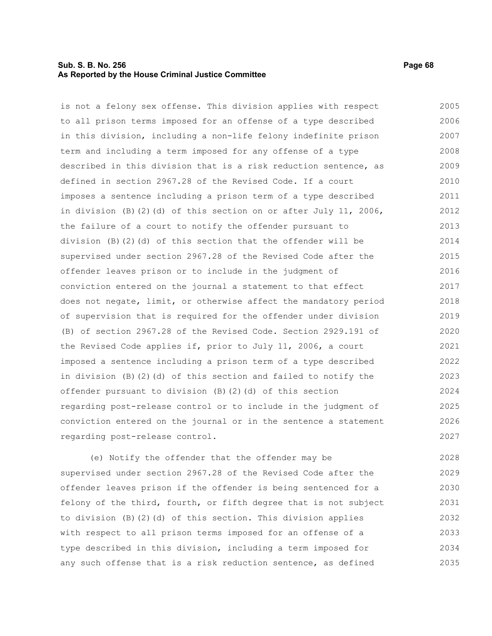## **Sub. S. B. No. 256 Page 68 As Reported by the House Criminal Justice Committee**

is not a felony sex offense. This division applies with respect to all prison terms imposed for an offense of a type described in this division, including a non-life felony indefinite prison term and including a term imposed for any offense of a type described in this division that is a risk reduction sentence, as defined in section 2967.28 of the Revised Code. If a court imposes a sentence including a prison term of a type described in division  $(B)$   $(2)$   $(d)$  of this section on or after July 11, 2006, the failure of a court to notify the offender pursuant to division (B)(2)(d) of this section that the offender will be supervised under section 2967.28 of the Revised Code after the offender leaves prison or to include in the judgment of conviction entered on the journal a statement to that effect does not negate, limit, or otherwise affect the mandatory period of supervision that is required for the offender under division (B) of section 2967.28 of the Revised Code. Section 2929.191 of the Revised Code applies if, prior to July 11, 2006, a court imposed a sentence including a prison term of a type described in division (B)(2)(d) of this section and failed to notify the offender pursuant to division (B)(2)(d) of this section regarding post-release control or to include in the judgment of conviction entered on the journal or in the sentence a statement regarding post-release control. 2005 2006 2007 2008 2009 2010 2011 2012 2013 2014 2015 2016 2017 2018 2019 2020 2021 2022 2023 2024 2025 2026 2027

(e) Notify the offender that the offender may be supervised under section 2967.28 of the Revised Code after the offender leaves prison if the offender is being sentenced for a felony of the third, fourth, or fifth degree that is not subject to division (B)(2)(d) of this section. This division applies with respect to all prison terms imposed for an offense of a type described in this division, including a term imposed for any such offense that is a risk reduction sentence, as defined 2028 2029 2030 2031 2032 2033 2034 2035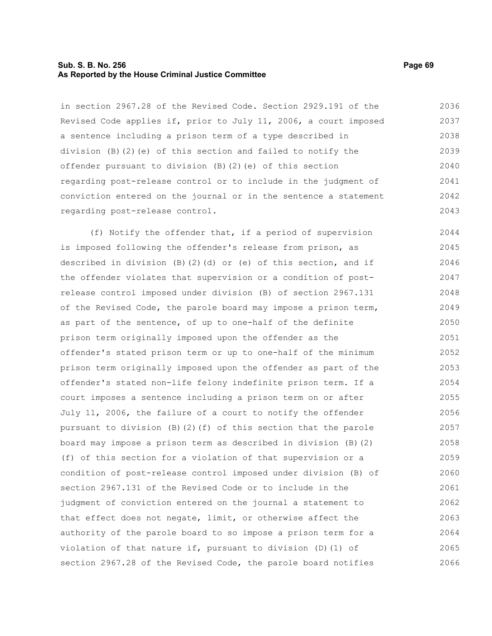## **Sub. S. B. No. 256 Page 69 As Reported by the House Criminal Justice Committee**

in section 2967.28 of the Revised Code. Section 2929.191 of the Revised Code applies if, prior to July 11, 2006, a court imposed a sentence including a prison term of a type described in division  $(B)(2)$  (e) of this section and failed to notify the offender pursuant to division (B)(2)(e) of this section regarding post-release control or to include in the judgment of conviction entered on the journal or in the sentence a statement regarding post-release control. 2036 2037 2038 2039 2040 2041 2042 2043

(f) Notify the offender that, if a period of supervision is imposed following the offender's release from prison, as described in division (B)(2)(d) or (e) of this section, and if the offender violates that supervision or a condition of postrelease control imposed under division (B) of section 2967.131 of the Revised Code, the parole board may impose a prison term, as part of the sentence, of up to one-half of the definite prison term originally imposed upon the offender as the offender's stated prison term or up to one-half of the minimum prison term originally imposed upon the offender as part of the offender's stated non-life felony indefinite prison term. If a court imposes a sentence including a prison term on or after July 11, 2006, the failure of a court to notify the offender pursuant to division  $(B)(2)(f)$  of this section that the parole board may impose a prison term as described in division (B)(2) (f) of this section for a violation of that supervision or a condition of post-release control imposed under division (B) of section 2967.131 of the Revised Code or to include in the judgment of conviction entered on the journal a statement to that effect does not negate, limit, or otherwise affect the authority of the parole board to so impose a prison term for a violation of that nature if, pursuant to division (D)(1) of section 2967.28 of the Revised Code, the parole board notifies 2044 2045 2046 2047 2048 2049 2050 2051 2052 2053 2054 2055 2056 2057 2058 2059 2060 2061 2062 2063 2064 2065 2066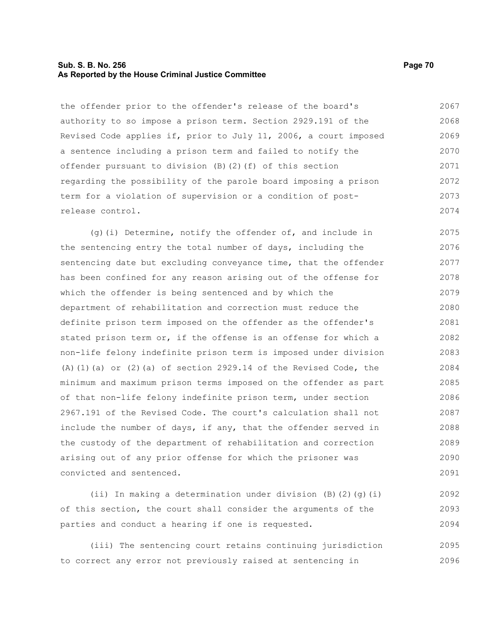## **Sub. S. B. No. 256 Page 70 As Reported by the House Criminal Justice Committee**

the offender prior to the offender's release of the board's authority to so impose a prison term. Section 2929.191 of the Revised Code applies if, prior to July 11, 2006, a court imposed a sentence including a prison term and failed to notify the offender pursuant to division (B)(2)(f) of this section regarding the possibility of the parole board imposing a prison term for a violation of supervision or a condition of postrelease control. 2067 2068 2069 2070 2071 2072 2073 2074

(g)(i) Determine, notify the offender of, and include in the sentencing entry the total number of days, including the sentencing date but excluding conveyance time, that the offender has been confined for any reason arising out of the offense for which the offender is being sentenced and by which the department of rehabilitation and correction must reduce the definite prison term imposed on the offender as the offender's stated prison term or, if the offense is an offense for which a non-life felony indefinite prison term is imposed under division (A)(1)(a) or (2)(a) of section  $2929.14$  of the Revised Code, the minimum and maximum prison terms imposed on the offender as part of that non-life felony indefinite prison term, under section 2967.191 of the Revised Code. The court's calculation shall not include the number of days, if any, that the offender served in the custody of the department of rehabilitation and correction arising out of any prior offense for which the prisoner was convicted and sentenced. 2075 2076 2077 2078 2079 2080 2081 2082 2083 2084 2085 2086 2087 2088 2089 2090 2091

(ii) In making a determination under division (B)(2)(g)(i) of this section, the court shall consider the arguments of the parties and conduct a hearing if one is requested. 2092 2093 2094

(iii) The sentencing court retains continuing jurisdiction to correct any error not previously raised at sentencing in 2095 2096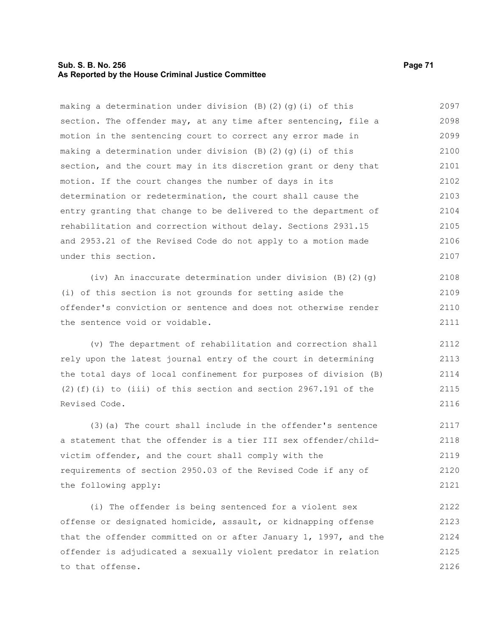## **Sub. S. B. No. 256 Page 71 As Reported by the House Criminal Justice Committee**

making a determination under division (B)(2)(g)(i) of this section. The offender may, at any time after sentencing, file a motion in the sentencing court to correct any error made in making a determination under division  $(B)$   $(2)$   $(q)$   $(i)$  of this section, and the court may in its discretion grant or deny that motion. If the court changes the number of days in its determination or redetermination, the court shall cause the entry granting that change to be delivered to the department of rehabilitation and correction without delay. Sections 2931.15 and 2953.21 of the Revised Code do not apply to a motion made under this section. 2097 2098 2099 2100 2101 2102 2103 2104 2105 2106 2107

(iv) An inaccurate determination under division (B)(2)(g) (i) of this section is not grounds for setting aside the offender's conviction or sentence and does not otherwise render the sentence void or voidable.

(v) The department of rehabilitation and correction shall rely upon the latest journal entry of the court in determining the total days of local confinement for purposes of division (B) (2)(f)(i) to (iii) of this section and section 2967.191 of the Revised Code.

(3)(a) The court shall include in the offender's sentence a statement that the offender is a tier III sex offender/childvictim offender, and the court shall comply with the requirements of section 2950.03 of the Revised Code if any of the following apply: 2117 2118 2119 2120 2121

(i) The offender is being sentenced for a violent sex offense or designated homicide, assault, or kidnapping offense that the offender committed on or after January 1, 1997, and the offender is adjudicated a sexually violent predator in relation to that offense. 2122 2123 2124 2125 2126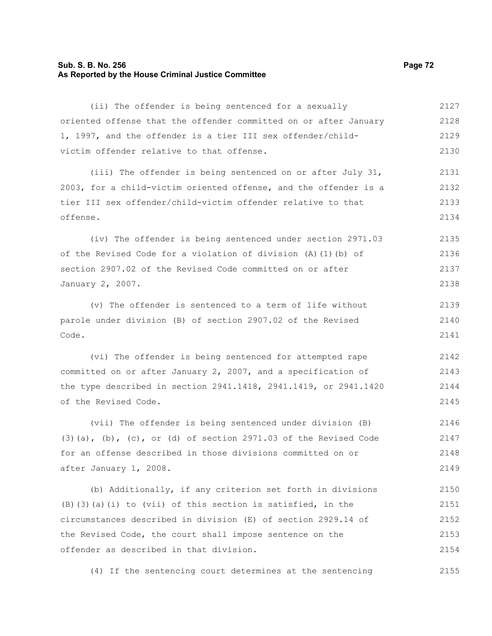## **Sub. S. B. No. 256 Page 72 As Reported by the House Criminal Justice Committee**

(ii) The offender is being sentenced for a sexually oriented offense that the offender committed on or after January 1, 1997, and the offender is a tier III sex offender/childvictim offender relative to that offense. 2127 2128 2129 2130

(iii) The offender is being sentenced on or after July 31, 2003, for a child-victim oriented offense, and the offender is a tier III sex offender/child-victim offender relative to that offense. 2131 2132 2133 2134

(iv) The offender is being sentenced under section 2971.03 of the Revised Code for a violation of division (A)(1)(b) of section 2907.02 of the Revised Code committed on or after January 2, 2007. 2135 2136 2137 2138

(v) The offender is sentenced to a term of life without parole under division (B) of section 2907.02 of the Revised Code. 2139 2140 2141

(vi) The offender is being sentenced for attempted rape committed on or after January 2, 2007, and a specification of the type described in section 2941.1418, 2941.1419, or 2941.1420 of the Revised Code. 2142 2143 2144 2145

(vii) The offender is being sentenced under division (B)  $(3)(a)$ ,  $(b)$ ,  $(c)$ , or  $(d)$  of section 2971.03 of the Revised Code for an offense described in those divisions committed on or after January 1, 2008. 2146 2147 2148 2149

(b) Additionally, if any criterion set forth in divisions  $(B)$ (3)(a)(i) to (vii) of this section is satisfied, in the circumstances described in division (E) of section 2929.14 of the Revised Code, the court shall impose sentence on the offender as described in that division. 2150 2151 2152 2153 2154

(4) If the sentencing court determines at the sentencing 2155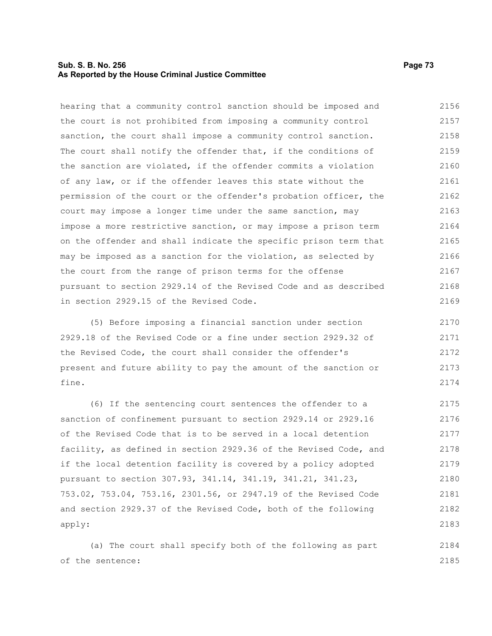# **Sub. S. B. No. 256 Page 73 As Reported by the House Criminal Justice Committee**

hearing that a community control sanction should be imposed and the court is not prohibited from imposing a community control sanction, the court shall impose a community control sanction. The court shall notify the offender that, if the conditions of the sanction are violated, if the offender commits a violation of any law, or if the offender leaves this state without the permission of the court or the offender's probation officer, the court may impose a longer time under the same sanction, may impose a more restrictive sanction, or may impose a prison term on the offender and shall indicate the specific prison term that may be imposed as a sanction for the violation, as selected by the court from the range of prison terms for the offense pursuant to section 2929.14 of the Revised Code and as described in section 2929.15 of the Revised Code. 2156 2157 2158 2159 2160 2161 2162 2163 2164 2165 2166 2167 2168 2169

(5) Before imposing a financial sanction under section 2929.18 of the Revised Code or a fine under section 2929.32 of the Revised Code, the court shall consider the offender's present and future ability to pay the amount of the sanction or fine. 2170 2171 2172 2173 2174

(6) If the sentencing court sentences the offender to a sanction of confinement pursuant to section 2929.14 or 2929.16 of the Revised Code that is to be served in a local detention facility, as defined in section 2929.36 of the Revised Code, and if the local detention facility is covered by a policy adopted pursuant to section 307.93, 341.14, 341.19, 341.21, 341.23, 753.02, 753.04, 753.16, 2301.56, or 2947.19 of the Revised Code and section 2929.37 of the Revised Code, both of the following apply: 2175 2176 2177 2178 2179 2180 2181 2182 2183

(a) The court shall specify both of the following as part of the sentence: 2184 2185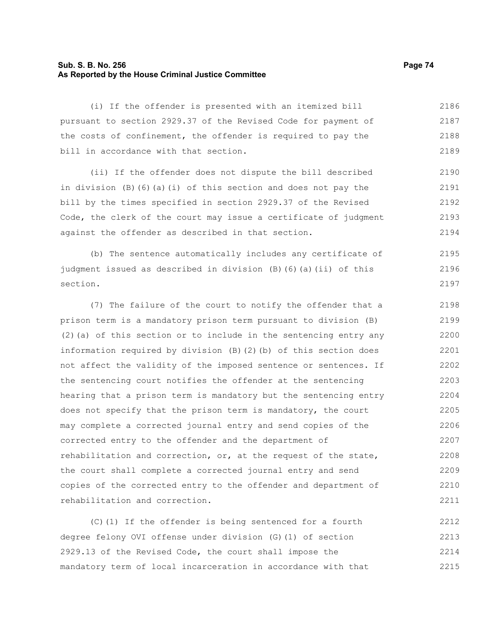# **Sub. S. B. No. 256 Page 74 As Reported by the House Criminal Justice Committee**

(i) If the offender is presented with an itemized bill pursuant to section 2929.37 of the Revised Code for payment of the costs of confinement, the offender is required to pay the bill in accordance with that section. 2186 2187 2188 2189

(ii) If the offender does not dispute the bill described in division (B)(6)(a)(i) of this section and does not pay the bill by the times specified in section 2929.37 of the Revised Code, the clerk of the court may issue a certificate of judgment against the offender as described in that section. 2190 2191 2192 2193 2194

(b) The sentence automatically includes any certificate of judgment issued as described in division (B)(6)(a)(ii) of this section. 2195 2196 2197

(7) The failure of the court to notify the offender that a prison term is a mandatory prison term pursuant to division (B) (2)(a) of this section or to include in the sentencing entry any information required by division (B)(2)(b) of this section does not affect the validity of the imposed sentence or sentences. If the sentencing court notifies the offender at the sentencing hearing that a prison term is mandatory but the sentencing entry does not specify that the prison term is mandatory, the court may complete a corrected journal entry and send copies of the corrected entry to the offender and the department of rehabilitation and correction, or, at the request of the state, the court shall complete a corrected journal entry and send copies of the corrected entry to the offender and department of rehabilitation and correction. 2198 2199 2200 2201 2202 2203 2204 2205 2206 2207 2208 2209 2210 2211

(C)(1) If the offender is being sentenced for a fourth degree felony OVI offense under division (G)(1) of section 2929.13 of the Revised Code, the court shall impose the mandatory term of local incarceration in accordance with that 2212 2213 2214 2215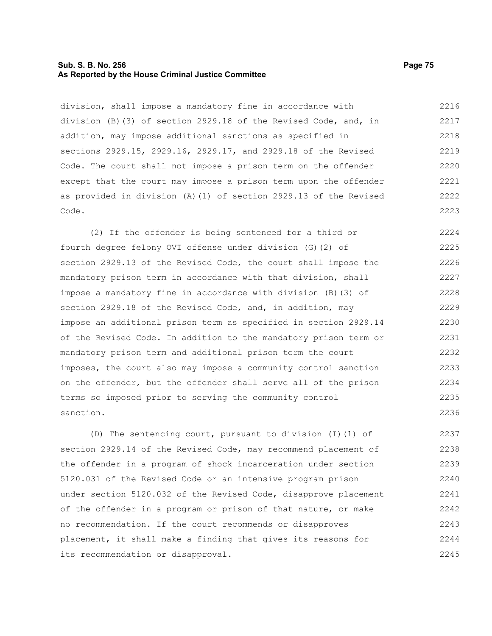# **Sub. S. B. No. 256 Page 75 As Reported by the House Criminal Justice Committee**

division, shall impose a mandatory fine in accordance with division (B)(3) of section 2929.18 of the Revised Code, and, in addition, may impose additional sanctions as specified in sections 2929.15, 2929.16, 2929.17, and 2929.18 of the Revised Code. The court shall not impose a prison term on the offender except that the court may impose a prison term upon the offender as provided in division (A)(1) of section 2929.13 of the Revised Code. 2216 2217 2218 2219 2220 2221 2222 2223

(2) If the offender is being sentenced for a third or fourth degree felony OVI offense under division (G)(2) of section 2929.13 of the Revised Code, the court shall impose the mandatory prison term in accordance with that division, shall impose a mandatory fine in accordance with division (B)(3) of section 2929.18 of the Revised Code, and, in addition, may impose an additional prison term as specified in section 2929.14 of the Revised Code. In addition to the mandatory prison term or mandatory prison term and additional prison term the court imposes, the court also may impose a community control sanction on the offender, but the offender shall serve all of the prison terms so imposed prior to serving the community control sanction. 2224 2225 2226 2227 2228 2229 2230 2231 2232 2233 2234 2235 2236

(D) The sentencing court, pursuant to division (I)(1) of section 2929.14 of the Revised Code, may recommend placement of the offender in a program of shock incarceration under section 5120.031 of the Revised Code or an intensive program prison under section 5120.032 of the Revised Code, disapprove placement of the offender in a program or prison of that nature, or make no recommendation. If the court recommends or disapproves placement, it shall make a finding that gives its reasons for its recommendation or disapproval. 2237 2238 2239 2240 2241 2242 2243 2244 2245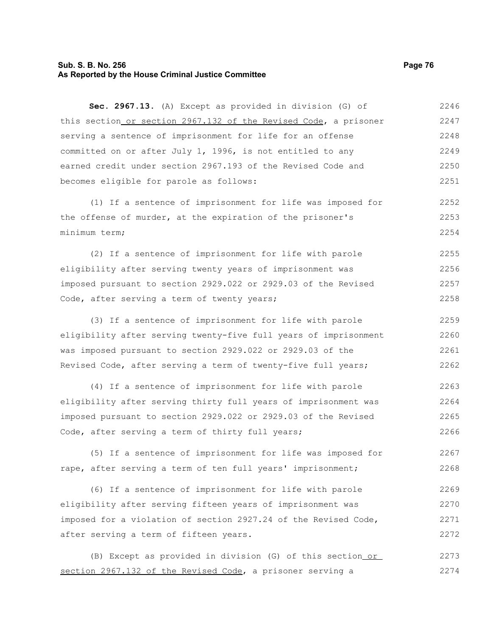# **Sub. S. B. No. 256 Page 76 As Reported by the House Criminal Justice Committee**

**Sec. 2967.13.** (A) Except as provided in division (G) of this section or section 2967.132 of the Revised Code, a prisoner serving a sentence of imprisonment for life for an offense committed on or after July 1, 1996, is not entitled to any earned credit under section 2967.193 of the Revised Code and becomes eligible for parole as follows: (1) If a sentence of imprisonment for life was imposed for the offense of murder, at the expiration of the prisoner's minimum term; (2) If a sentence of imprisonment for life with parole 2246 2247 2248 2249 2250 2251 2252 2253 2254 2255

eligibility after serving twenty years of imprisonment was imposed pursuant to section 2929.022 or 2929.03 of the Revised Code, after serving a term of twenty years; 2256 2257 2258

(3) If a sentence of imprisonment for life with parole eligibility after serving twenty-five full years of imprisonment was imposed pursuant to section 2929.022 or 2929.03 of the Revised Code, after serving a term of twenty-five full years; 2259 2260 2261 2262

(4) If a sentence of imprisonment for life with parole eligibility after serving thirty full years of imprisonment was imposed pursuant to section 2929.022 or 2929.03 of the Revised Code, after serving a term of thirty full years; 2263 2264 2265 2266

(5) If a sentence of imprisonment for life was imposed for rape, after serving a term of ten full years' imprisonment; 2267 2268

(6) If a sentence of imprisonment for life with parole eligibility after serving fifteen years of imprisonment was imposed for a violation of section 2927.24 of the Revised Code, after serving a term of fifteen years. 2269 2270 2271 2272

(B) Except as provided in division (G) of this section or section 2967.132 of the Revised Code, a prisoner serving a 2273 2274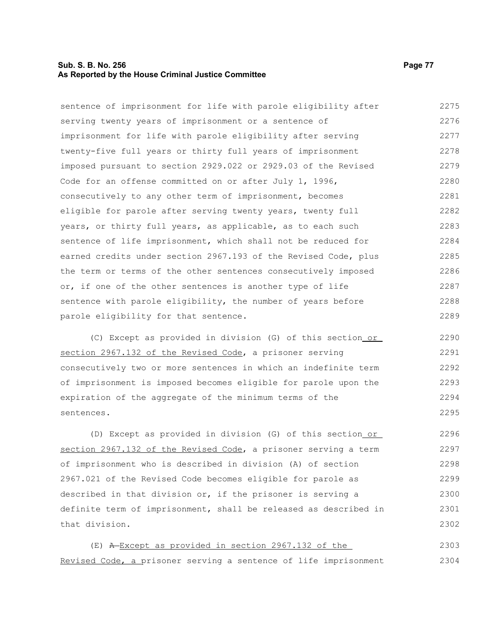# **Sub. S. B. No. 256 Page 77 As Reported by the House Criminal Justice Committee**

sentence of imprisonment for life with parole eligibility after serving twenty years of imprisonment or a sentence of imprisonment for life with parole eligibility after serving twenty-five full years or thirty full years of imprisonment imposed pursuant to section 2929.022 or 2929.03 of the Revised Code for an offense committed on or after July 1, 1996, consecutively to any other term of imprisonment, becomes eligible for parole after serving twenty years, twenty full years, or thirty full years, as applicable, as to each such sentence of life imprisonment, which shall not be reduced for earned credits under section 2967.193 of the Revised Code, plus the term or terms of the other sentences consecutively imposed or, if one of the other sentences is another type of life sentence with parole eligibility, the number of years before parole eligibility for that sentence. 2275 2276 2277 2278 2279 2280 2281 2282 2283 2284 2285 2286 2287 2288 2289

(C) Except as provided in division (G) of this section or section 2967.132 of the Revised Code, a prisoner serving consecutively two or more sentences in which an indefinite term of imprisonment is imposed becomes eligible for parole upon the expiration of the aggregate of the minimum terms of the sentences. 2290 2291 2292 2293 2294 2295

(D) Except as provided in division (G) of this section or section 2967.132 of the Revised Code, a prisoner serving a term of imprisonment who is described in division (A) of section 2967.021 of the Revised Code becomes eligible for parole as described in that division or, if the prisoner is serving a definite term of imprisonment, shall be released as described in that division. 2296 2297 2298 2299 2300 2301 2302

(E) A Except as provided in section 2967.132 of the Revised Code, a prisoner serving a sentence of life imprisonment 2303 2304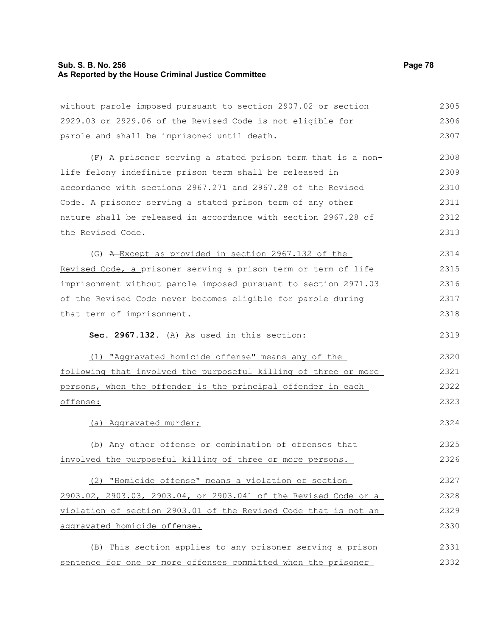# **Sub. S. B. No. 256** Page 78 **As Reported by the House Criminal Justice Committee**

| without parole imposed pursuant to section 2907.02 or section   | 2305 |
|-----------------------------------------------------------------|------|
| 2929.03 or 2929.06 of the Revised Code is not eligible for      | 2306 |
| parole and shall be imprisoned until death.                     | 2307 |
| (F) A prisoner serving a stated prison term that is a non-      | 2308 |
| life felony indefinite prison term shall be released in         | 2309 |
| accordance with sections 2967.271 and 2967.28 of the Revised    | 2310 |
| Code. A prisoner serving a stated prison term of any other      | 2311 |
| nature shall be released in accordance with section 2967.28 of  | 2312 |
| the Revised Code.                                               | 2313 |
| (G) A-Except as provided in section 2967.132 of the             | 2314 |
| Revised Code, a prisoner serving a prison term or term of life  | 2315 |
| imprisonment without parole imposed pursuant to section 2971.03 | 2316 |
| of the Revised Code never becomes eligible for parole during    | 2317 |
| that term of imprisonment.                                      | 2318 |
| Sec. 2967.132. (A) As used in this section:                     | 2319 |
| (1) "Aggravated homicide offense" means any of the              | 2320 |
| following that involved the purposeful killing of three or more | 2321 |
| persons, when the offender is the principal offender in each    | 2322 |
| offense:                                                        | 2323 |
| (a) Aggravated murder;                                          | 2324 |
| (b) Any other offense or combination of offenses that           | 2325 |
| involved the purposeful killing of three or more persons.       | 2326 |
| (2) "Homicide offense" means a violation of section             | 2327 |
| 2903.02, 2903.03, 2903.04, or 2903.041 of the Revised Code or a | 2328 |
| violation of section 2903.01 of the Revised Code that is not an | 2329 |
| aggravated homicide offense.                                    | 2330 |
| (B) This section applies to any prisoner serving a prison       | 2331 |
| sentence for one or more offenses committed when the prisoner   | 2332 |
|                                                                 |      |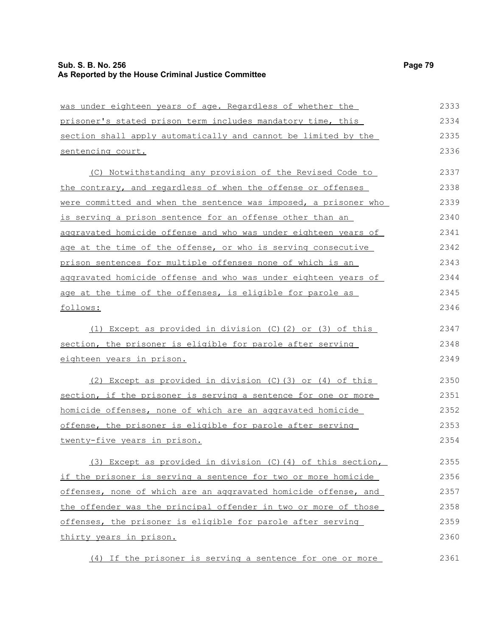| was under eighteen years of age. Regardless of whether the        | 2333 |
|-------------------------------------------------------------------|------|
| prisoner's stated prison term includes mandatory time, this       | 2334 |
| section shall apply automatically and cannot be limited by the    | 2335 |
| sentencing court.                                                 | 2336 |
| (C) Notwithstanding any provision of the Revised Code to          | 2337 |
| the contrary, and regardless of when the offense or offenses      | 2338 |
| were committed and when the sentence was imposed, a prisoner who  | 2339 |
| <u>is serving a prison sentence for an offense other than an </u> | 2340 |
| aggravated homicide offense and who was under eighteen years of   | 2341 |
| age at the time of the offense, or who is serving consecutive     | 2342 |
| prison sentences for multiple offenses none of which is an        | 2343 |
| aggravated homicide offense and who was under eighteen years of   | 2344 |
| age at the time of the offenses, is eligible for parole as        | 2345 |
| follows:                                                          | 2346 |
| $(1)$ Except as provided in division $(C)$ $(2)$ or $(3)$ of this | 2347 |
| section, the prisoner is eligible for parole after serving        | 2348 |
| eighteen years in prison.                                         | 2349 |
| $(2)$ Except as provided in division $(C)$ $(3)$ or $(4)$ of this | 2350 |
| section, if the prisoner is serving a sentence for one or more    | 2351 |
| homicide offenses, none of which are an aggravated homicide       | 2352 |
| offense, the prisoner is eligible for parole after serving        | 2353 |
| <u>twenty-five years in prison.</u>                               | 2354 |
| (3) Except as provided in division (C) (4) of this section,       | 2355 |
| if the prisoner is serving a sentence for two or more homicide    | 2356 |
| offenses, none of which are an aggravated homicide offense, and   | 2357 |
| the offender was the principal offender in two or more of those   | 2358 |
| offenses, the prisoner is eligible for parole after serving       | 2359 |
| thirty years in prison.                                           | 2360 |
| (4) If the prisoner is serving a sentence for one or more         | 2361 |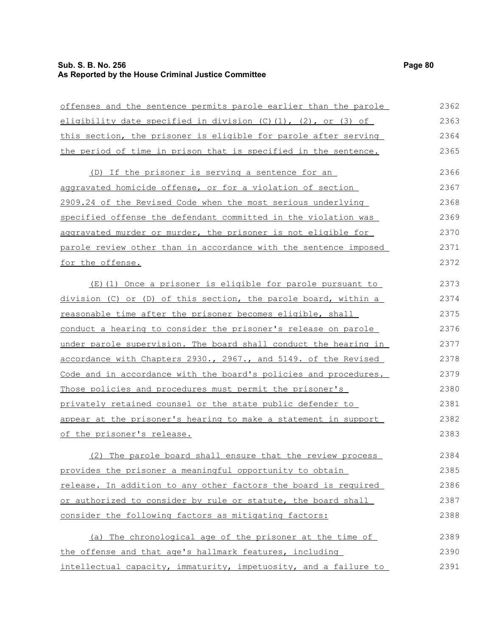# **Sub. S. B. No. 256 Page 80 As Reported by the House Criminal Justice Committee**

| offenses and the sentence permits parole earlier than the parole         | 2362 |
|--------------------------------------------------------------------------|------|
| eligibility date specified in division $(C)$ $(1)$ , $(2)$ , or $(3)$ of | 2363 |
| this section, the prisoner is eligible for parole after serving          | 2364 |
| the period of time in prison that is specified in the sentence.          | 2365 |
| (D) If the prisoner is serving a sentence for an                         | 2366 |
| aggravated homicide offense, or for a violation of section               | 2367 |
| 2909.24 of the Revised Code when the most serious underlying             | 2368 |
| specified offense the defendant committed in the violation was           | 2369 |
| aggravated murder or murder, the prisoner is not eligible for            | 2370 |
| parole review other than in accordance with the sentence imposed         | 2371 |
| for the offense.                                                         | 2372 |
| (E)(1) Once a prisoner is eligible for parole pursuant to                | 2373 |
| division (C) or (D) of this section, the parole board, within a          | 2374 |
| reasonable time after the prisoner becomes eligible, shall               | 2375 |
| conduct a hearing to consider the prisoner's release on parole           | 2376 |
| under parole supervision. The board shall conduct the hearing in         | 2377 |
| accordance with Chapters 2930., 2967., and 5149. of the Revised          | 2378 |
| Code and in accordance with the board's policies and procedures.         | 2379 |
| Those policies and procedures must permit the prisoner's                 | 2380 |
| privately retained counsel or the state public defender to               | 2381 |
| appear at the prisoner's hearing to make a statement in support          | 2382 |
| of the prisoner's release.                                               | 2383 |
| (2) The parole board shall ensure that the review process                | 2384 |
| provides the prisoner a meaningful opportunity to obtain                 | 2385 |
| release. In addition to any other factors the board is required          | 2386 |
| or authorized to consider by rule or statute, the board shall            | 2387 |
| consider the following factors as mitigating factors:                    | 2388 |
| (a) The chronological age of the prisoner at the time of                 | 2389 |
| the offense and that age's hallmark features, including                  | 2390 |
| intellectual capacity, immaturity, impetuosity, and a failure to         | 2391 |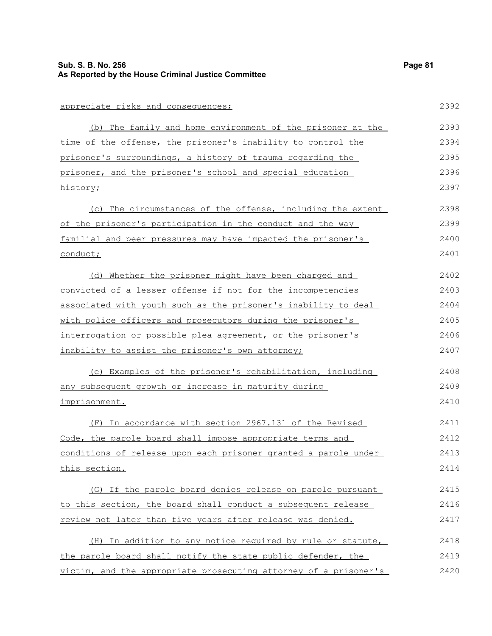#### **Sub. S. B. No. 256 Page 81 As Reported by the House Criminal Justice Committee** appreciate risks and consequences; (b) The family and home environment of the prisoner at the time of the offense, the prisoner's inability to control the prisoner's surroundings, a history of trauma regarding the prisoner, and the prisoner's school and special education history; (c) The circumstances of the offense, including the extent of the prisoner's participation in the conduct and the way familial and peer pressures may have impacted the prisoner's conduct; (d) Whether the prisoner might have been charged and convicted of a lesser offense if not for the incompetencies associated with youth such as the prisoner's inability to deal with police officers and prosecutors during the prisoner's interrogation or possible plea agreement, or the prisoner's inability to assist the prisoner's own attorney; (e) Examples of the prisoner's rehabilitation, including any subsequent growth or increase in maturity during imprisonment. (F) In accordance with section 2967.131 of the Revised Code, the parole board shall impose appropriate terms and conditions of release upon each prisoner granted a parole under this section. (G) If the parole board denies release on parole pursuant to this section, the board shall conduct a subsequent release review not later than five years after release was denied. (H) In addition to any notice required by rule or statute, the parole board shall notify the state public defender, the victim, and the appropriate prosecuting attorney of a prisoner's 2392 2393 2394 2395 2396 2397 2398 2399 2400 2401 2402 2403 2404 2405 2406 2407 2408 2409 2410 2411 2412 2413 2414 2415 2416 2417 2418 2419 2420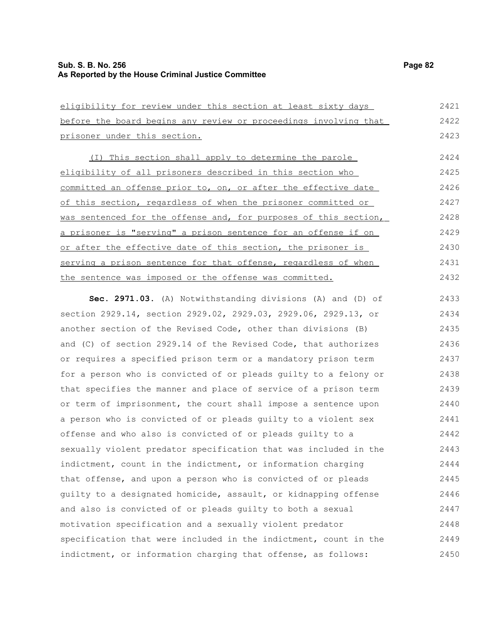| eligibility for review under this section at least sixty days    | 2421 |
|------------------------------------------------------------------|------|
| before the board begins any review or proceedings involving that | 2422 |
| prisoner under this section.                                     | 2423 |

(I) This section shall apply to determine the parole eligibility of all prisoners described in this section who committed an offense prior to, on, or after the effective date of this section, regardless of when the prisoner committed or was sentenced for the offense and, for purposes of this section, a prisoner is "serving" a prison sentence for an offense if on or after the effective date of this section, the prisoner is serving a prison sentence for that offense, regardless of when the sentence was imposed or the offense was committed. 2424 2425 2426 2427 2428 2429 2430 2431 2432

**Sec. 2971.03.** (A) Notwithstanding divisions (A) and (D) of section 2929.14, section 2929.02, 2929.03, 2929.06, 2929.13, or another section of the Revised Code, other than divisions (B) and (C) of section 2929.14 of the Revised Code, that authorizes or requires a specified prison term or a mandatory prison term for a person who is convicted of or pleads guilty to a felony or that specifies the manner and place of service of a prison term or term of imprisonment, the court shall impose a sentence upon a person who is convicted of or pleads guilty to a violent sex offense and who also is convicted of or pleads guilty to a sexually violent predator specification that was included in the indictment, count in the indictment, or information charging that offense, and upon a person who is convicted of or pleads guilty to a designated homicide, assault, or kidnapping offense and also is convicted of or pleads guilty to both a sexual motivation specification and a sexually violent predator specification that were included in the indictment, count in the indictment, or information charging that offense, as follows: 2433 2434 2435 2436 2437 2438 2439 2440 2441 2442 2443 2444 2445 2446 2447 2448 2449 2450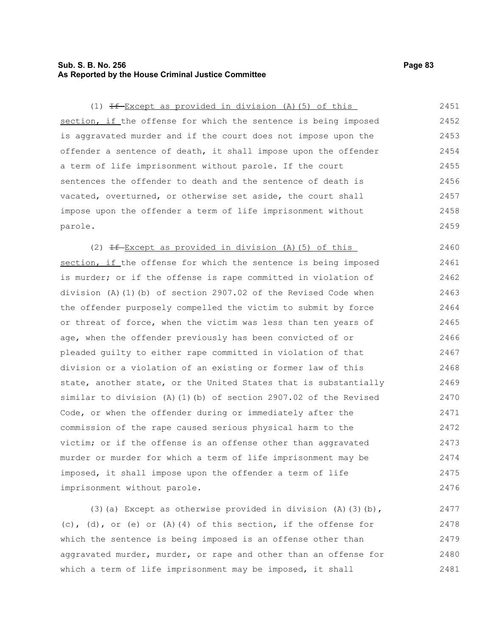# **Sub. S. B. No. 256 Page 83 As Reported by the House Criminal Justice Committee**

(1)  $H = Except$  as provided in division (A)(5) of this section, if the offense for which the sentence is being imposed is aggravated murder and if the court does not impose upon the offender a sentence of death, it shall impose upon the offender a term of life imprisonment without parole. If the court sentences the offender to death and the sentence of death is vacated, overturned, or otherwise set aside, the court shall impose upon the offender a term of life imprisonment without parole. 2451 2452 2453 2454 2455 2456 2457 2458 2459

(2)  $H - Except$  as provided in division (A)(5) of this section, if the offense for which the sentence is being imposed is murder; or if the offense is rape committed in violation of division (A)(1)(b) of section 2907.02 of the Revised Code when the offender purposely compelled the victim to submit by force or threat of force, when the victim was less than ten years of age, when the offender previously has been convicted of or pleaded guilty to either rape committed in violation of that division or a violation of an existing or former law of this state, another state, or the United States that is substantially similar to division (A)(1)(b) of section 2907.02 of the Revised Code, or when the offender during or immediately after the commission of the rape caused serious physical harm to the victim; or if the offense is an offense other than aggravated murder or murder for which a term of life imprisonment may be imposed, it shall impose upon the offender a term of life imprisonment without parole. 2460 2461 2462 2463 2464 2465 2466 2467 2468 2469 2470 2471 2472 2473 2474 2475 2476

(3)(a) Except as otherwise provided in division (A)(3)(b), (c), (d), or (e) or (A)(4) of this section, if the offense for which the sentence is being imposed is an offense other than aggravated murder, murder, or rape and other than an offense for which a term of life imprisonment may be imposed, it shall 2477 2478 2479 2480 2481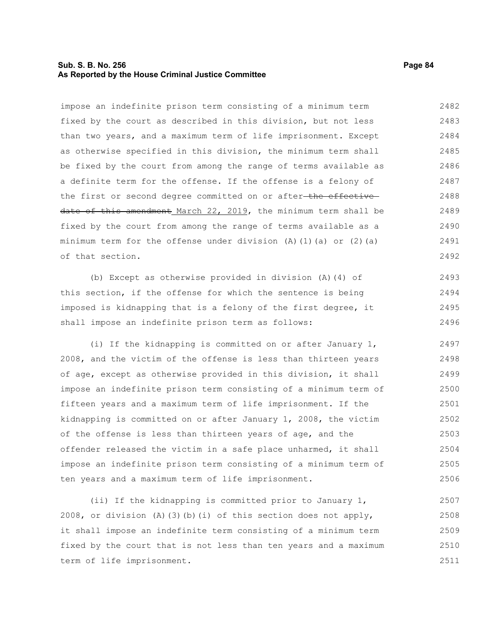# **Sub. S. B. No. 256 Page 84 As Reported by the House Criminal Justice Committee**

impose an indefinite prison term consisting of a minimum term fixed by the court as described in this division, but not less than two years, and a maximum term of life imprisonment. Except as otherwise specified in this division, the minimum term shall be fixed by the court from among the range of terms available as a definite term for the offense. If the offense is a felony of the first or second degree committed on or after-the effectivedate of this amendment March 22, 2019, the minimum term shall be fixed by the court from among the range of terms available as a minimum term for the offense under division (A)(1)(a) or  $(2)$  (a) of that section. 2482 2483 2484 2485 2486 2487 2488 2489 2490 2491 2492

(b) Except as otherwise provided in division (A)(4) of this section, if the offense for which the sentence is being imposed is kidnapping that is a felony of the first degree, it shall impose an indefinite prison term as follows:

(i) If the kidnapping is committed on or after January 1, 2008, and the victim of the offense is less than thirteen years of age, except as otherwise provided in this division, it shall impose an indefinite prison term consisting of a minimum term of fifteen years and a maximum term of life imprisonment. If the kidnapping is committed on or after January 1, 2008, the victim of the offense is less than thirteen years of age, and the offender released the victim in a safe place unharmed, it shall impose an indefinite prison term consisting of a minimum term of ten years and a maximum term of life imprisonment. 2497 2498 2499 2500 2501 2502 2503 2504 2505 2506

(ii) If the kidnapping is committed prior to January 1, 2008, or division (A)(3)(b)(i) of this section does not apply, it shall impose an indefinite term consisting of a minimum term fixed by the court that is not less than ten years and a maximum term of life imprisonment. 2507 2508 2509 2510 2511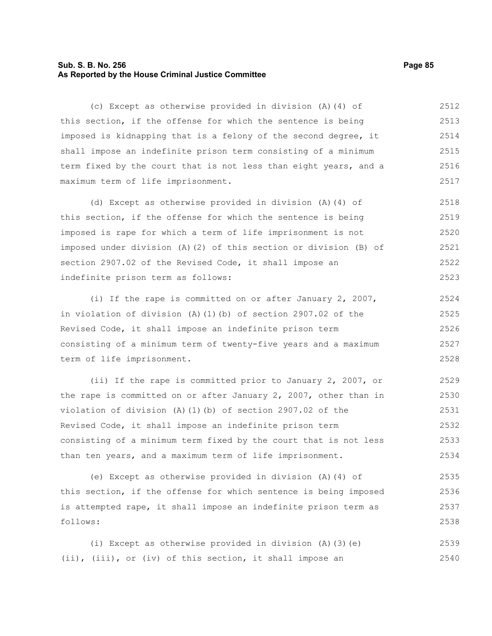# **Sub. S. B. No. 256 Page 85 As Reported by the House Criminal Justice Committee**

(c) Except as otherwise provided in division (A)(4) of this section, if the offense for which the sentence is being imposed is kidnapping that is a felony of the second degree, it shall impose an indefinite prison term consisting of a minimum term fixed by the court that is not less than eight years, and a maximum term of life imprisonment. 2512 2513 2514 2515 2516 2517

(d) Except as otherwise provided in division (A)(4) of this section, if the offense for which the sentence is being imposed is rape for which a term of life imprisonment is not imposed under division (A)(2) of this section or division (B) of section 2907.02 of the Revised Code, it shall impose an indefinite prison term as follows: 2518 2519 2520 2521 2522 2523

(i) If the rape is committed on or after January 2, 2007, in violation of division  $(A)$   $(1)$   $(b)$  of section 2907.02 of the Revised Code, it shall impose an indefinite prison term consisting of a minimum term of twenty-five years and a maximum term of life imprisonment. 2524 2525 2526 2527 2528

(ii) If the rape is committed prior to January 2, 2007, or the rape is committed on or after January 2, 2007, other than in violation of division (A)(1)(b) of section 2907.02 of the Revised Code, it shall impose an indefinite prison term consisting of a minimum term fixed by the court that is not less than ten years, and a maximum term of life imprisonment. 2529 2530 2531 2532 2533 2534

(e) Except as otherwise provided in division (A)(4) of this section, if the offense for which sentence is being imposed is attempted rape, it shall impose an indefinite prison term as follows: 2535 2536 2537 2538

(i) Except as otherwise provided in division (A)(3)(e) (ii), (iii), or (iv) of this section, it shall impose an 2539 2540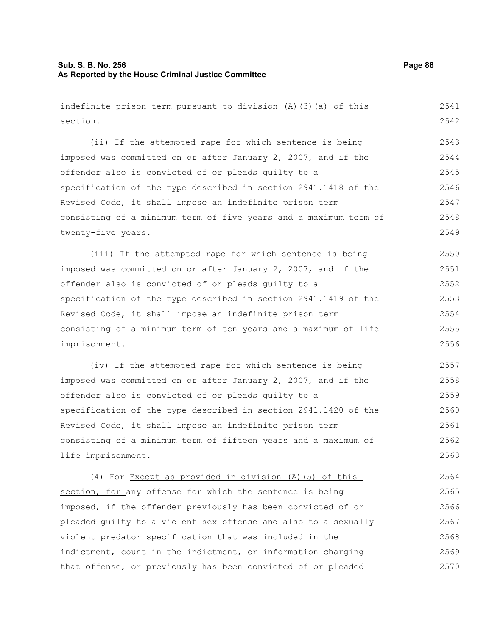# **Sub. S. B. No. 256 Page 86 As Reported by the House Criminal Justice Committee**

| indefinite prison term pursuant to division (A) (3) (a) of this  | 2541 |
|------------------------------------------------------------------|------|
| section.                                                         | 2542 |
| (ii) If the attempted rape for which sentence is being           | 2543 |
| imposed was committed on or after January 2, 2007, and if the    | 2544 |
| offender also is convicted of or pleads guilty to a              | 2545 |
| specification of the type described in section 2941.1418 of the  | 2546 |
| Revised Code, it shall impose an indefinite prison term          | 2547 |
| consisting of a minimum term of five years and a maximum term of | 2548 |
| twenty-five years.                                               | 2549 |
| (iii) If the attempted rape for which sentence is being          | 2550 |
| imposed was committed on or after January 2, 2007, and if the    | 2551 |
| offender also is convicted of or pleads quilty to a              | 2552 |
| specification of the type described in section 2941.1419 of the  | 2553 |
| Revised Code, it shall impose an indefinite prison term          | 2554 |
| consisting of a minimum term of ten years and a maximum of life  | 2555 |
| imprisonment.                                                    | 2556 |
| (iv) If the attempted rape for which sentence is being           | 2557 |
| imposed was committed on or after January 2, 2007, and if the    | 2558 |
| offender also is convicted of or pleads guilty to a              | 2559 |
| specification of the type described in section 2941.1420 of the  | 2560 |
| Revised Code, it shall impose an indefinite prison term          | 2561 |
| consisting of a minimum term of fifteen years and a maximum of   | 2562 |
| life imprisonment.                                               | 2563 |
| (4) For Except as provided in division (A) (5) of this           | 2564 |
| section, for any offense for which the sentence is being         | 2565 |
| imposed, if the offender previously has been convicted of or     | 2566 |

pleaded guilty to a violent sex offense and also to a sexually violent predator specification that was included in the indictment, count in the indictment, or information charging that offense, or previously has been convicted of or pleaded 2567 2568 2569 2570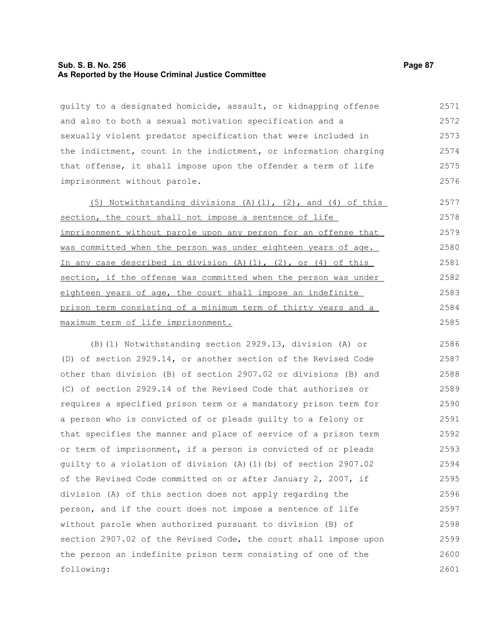# **Sub. S. B. No. 256 Page 87 As Reported by the House Criminal Justice Committee**

guilty to a designated homicide, assault, or kidnapping offense and also to both a sexual motivation specification and a sexually violent predator specification that were included in the indictment, count in the indictment, or information charging that offense, it shall impose upon the offender a term of life imprisonment without parole. 2571 2572 2573 2574 2575 2576

(5) Notwithstanding divisions  $(A)$   $(1)$ ,  $(2)$ , and  $(4)$  of this section, the court shall not impose a sentence of life imprisonment without parole upon any person for an offense that was committed when the person was under eighteen years of age. In any case described in division  $(A)(1)$ ,  $(2)$ , or  $(4)$  of this section, if the offense was committed when the person was under eighteen years of age, the court shall impose an indefinite prison term consisting of a minimum term of thirty years and a maximum term of life imprisonment. 2577 2578 2579 2580 2581 2582 2583 2584 2585

(B)(1) Notwithstanding section 2929.13, division (A) or (D) of section 2929.14, or another section of the Revised Code other than division (B) of section 2907.02 or divisions (B) and (C) of section 2929.14 of the Revised Code that authorizes or requires a specified prison term or a mandatory prison term for a person who is convicted of or pleads guilty to a felony or that specifies the manner and place of service of a prison term or term of imprisonment, if a person is convicted of or pleads guilty to a violation of division (A)(1)(b) of section 2907.02 of the Revised Code committed on or after January 2, 2007, if division (A) of this section does not apply regarding the person, and if the court does not impose a sentence of life without parole when authorized pursuant to division (B) of section 2907.02 of the Revised Code, the court shall impose upon the person an indefinite prison term consisting of one of the following: 2586 2587 2588 2589 2590 2591 2592 2593 2594 2595 2596 2597 2598 2599 2600 2601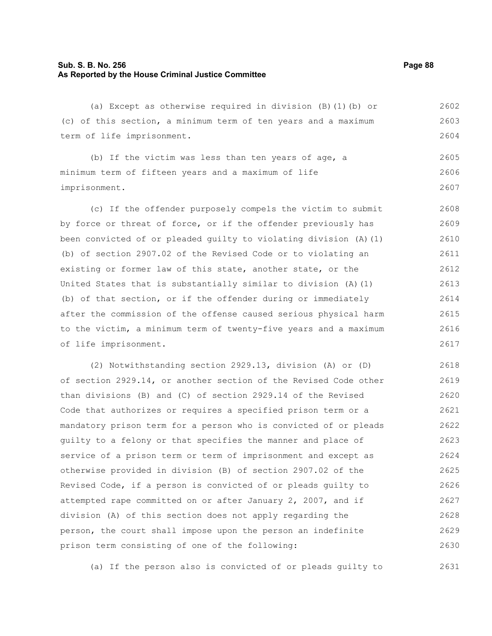# **Sub. S. B. No. 256 Page 88 As Reported by the House Criminal Justice Committee**

(a) Except as otherwise required in division (B)(1)(b) or (c) of this section, a minimum term of ten years and a maximum term of life imprisonment.

(b) If the victim was less than ten years of age, a minimum term of fifteen years and a maximum of life imprisonment. 2605 2606 2607

(c) If the offender purposely compels the victim to submit by force or threat of force, or if the offender previously has been convicted of or pleaded guilty to violating division (A)(1) (b) of section 2907.02 of the Revised Code or to violating an existing or former law of this state, another state, or the United States that is substantially similar to division (A)(1) (b) of that section, or if the offender during or immediately after the commission of the offense caused serious physical harm to the victim, a minimum term of twenty-five years and a maximum of life imprisonment. 2608 2609 2610 2611 2612 2613 2614 2615 2616 2617

(2) Notwithstanding section 2929.13, division (A) or (D) of section 2929.14, or another section of the Revised Code other than divisions (B) and (C) of section 2929.14 of the Revised Code that authorizes or requires a specified prison term or a mandatory prison term for a person who is convicted of or pleads guilty to a felony or that specifies the manner and place of service of a prison term or term of imprisonment and except as otherwise provided in division (B) of section 2907.02 of the Revised Code, if a person is convicted of or pleads guilty to attempted rape committed on or after January 2, 2007, and if division (A) of this section does not apply regarding the person, the court shall impose upon the person an indefinite prison term consisting of one of the following: 2618 2619 2620 2621 2622 2623 2624 2625 2626 2627 2628 2629 2630

(a) If the person also is convicted of or pleads guilty to 2631

2602 2603 2604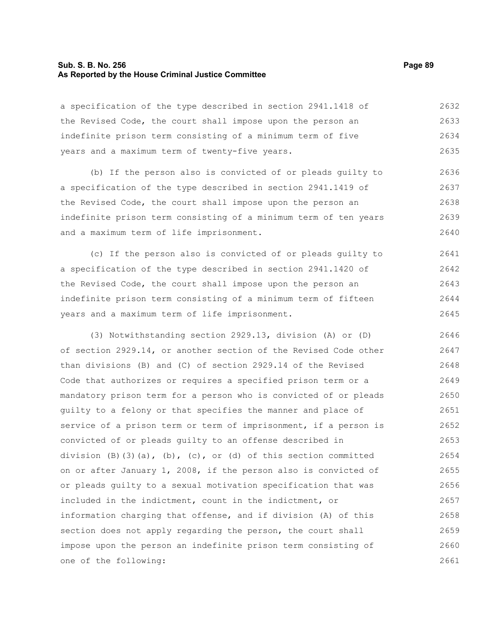# **Sub. S. B. No. 256 Page 89 As Reported by the House Criminal Justice Committee**

a specification of the type described in section 2941.1418 of the Revised Code, the court shall impose upon the person an indefinite prison term consisting of a minimum term of five years and a maximum term of twenty-five years. 2632 2633 2634 2635

(b) If the person also is convicted of or pleads guilty to a specification of the type described in section 2941.1419 of the Revised Code, the court shall impose upon the person an indefinite prison term consisting of a minimum term of ten years and a maximum term of life imprisonment. 2636 2637 2638 2639 2640

(c) If the person also is convicted of or pleads guilty to a specification of the type described in section 2941.1420 of the Revised Code, the court shall impose upon the person an indefinite prison term consisting of a minimum term of fifteen years and a maximum term of life imprisonment. 2641 2642 2643 2644 2645

(3) Notwithstanding section 2929.13, division (A) or (D) of section 2929.14, or another section of the Revised Code other than divisions (B) and (C) of section 2929.14 of the Revised Code that authorizes or requires a specified prison term or a mandatory prison term for a person who is convicted of or pleads guilty to a felony or that specifies the manner and place of service of a prison term or term of imprisonment, if a person is convicted of or pleads guilty to an offense described in division  $(B)(3)(a)$ ,  $(b)$ ,  $(c)$ , or  $(d)$  of this section committed on or after January 1, 2008, if the person also is convicted of or pleads guilty to a sexual motivation specification that was included in the indictment, count in the indictment, or information charging that offense, and if division (A) of this section does not apply regarding the person, the court shall impose upon the person an indefinite prison term consisting of one of the following: 2646 2647 2648 2649 2650 2651 2652 2653 2654 2655 2656 2657 2658 2659 2660 2661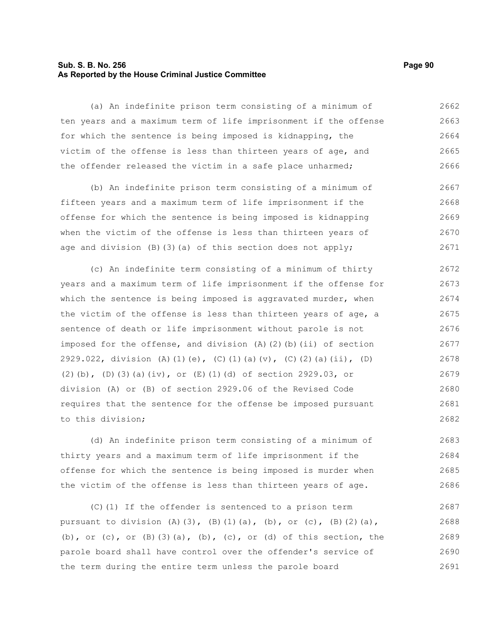# **Sub. S. B. No. 256 Page 90 As Reported by the House Criminal Justice Committee**

(a) An indefinite prison term consisting of a minimum of ten years and a maximum term of life imprisonment if the offense for which the sentence is being imposed is kidnapping, the victim of the offense is less than thirteen years of age, and the offender released the victim in a safe place unharmed; 2662 2663 2664 2665 2666

(b) An indefinite prison term consisting of a minimum of fifteen years and a maximum term of life imprisonment if the offense for which the sentence is being imposed is kidnapping when the victim of the offense is less than thirteen years of age and division (B)(3)(a) of this section does not apply; 2667 2668 2669 2670 2671

(c) An indefinite term consisting of a minimum of thirty years and a maximum term of life imprisonment if the offense for which the sentence is being imposed is aggravated murder, when the victim of the offense is less than thirteen years of age, a sentence of death or life imprisonment without parole is not imposed for the offense, and division  $(A)$   $(2)$   $(b)$   $(ii)$  of section 2929.022, division (A)(1)(e), (C)(1)(a)(v), (C)(2)(a)(ii), (D) (2)(b), (D)(3)(a)(iv), or (E)(1)(d) of section 2929.03, or division (A) or (B) of section 2929.06 of the Revised Code requires that the sentence for the offense be imposed pursuant to this division; 2672 2673 2674 2675 2676 2677 2678 2679 2680 2681 2682

(d) An indefinite prison term consisting of a minimum of thirty years and a maximum term of life imprisonment if the offense for which the sentence is being imposed is murder when the victim of the offense is less than thirteen years of age. 2683 2684 2685 2686

(C)(1) If the offender is sentenced to a prison term pursuant to division (A)(3), (B)(1)(a), (b), or (c), (B)(2)(a), (b), or (c), or  $(B)$ (3)(a), (b), (c), or (d) of this section, the parole board shall have control over the offender's service of the term during the entire term unless the parole board 2687 2688 2689 2690 2691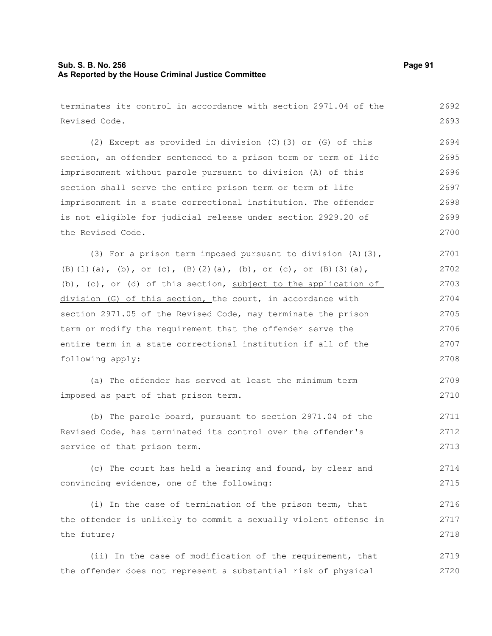# **Sub. S. B. No. 256 Page 91 As Reported by the House Criminal Justice Committee**

terminates its control in accordance with section 2971.04 of the Revised Code. 2692 2693

(2) Except as provided in division (C)(3)  $or$  (G) of this</u> section, an offender sentenced to a prison term or term of life imprisonment without parole pursuant to division (A) of this section shall serve the entire prison term or term of life imprisonment in a state correctional institution. The offender is not eligible for judicial release under section 2929.20 of the Revised Code. 2694 2695 2696 2697 2698 2699 2700

(3) For a prison term imposed pursuant to division  $(A)$  (3), (B)(1)(a), (b), or (c), (B)(2)(a), (b), or (c), or (B)(3)(a), (b), (c), or (d) of this section, subject to the application of division (G) of this section, the court, in accordance with section 2971.05 of the Revised Code, may terminate the prison term or modify the requirement that the offender serve the entire term in a state correctional institution if all of the following apply: 2701 2702 2703 2704 2705 2706 2707 2708

(a) The offender has served at least the minimum term imposed as part of that prison term.

(b) The parole board, pursuant to section 2971.04 of the Revised Code, has terminated its control over the offender's service of that prison term. 2711 2712 2713

(c) The court has held a hearing and found, by clear and convincing evidence, one of the following: 2714 2715

(i) In the case of termination of the prison term, that the offender is unlikely to commit a sexually violent offense in the future; 2716 2717 2718

(ii) In the case of modification of the requirement, that the offender does not represent a substantial risk of physical 2719 2720

2709 2710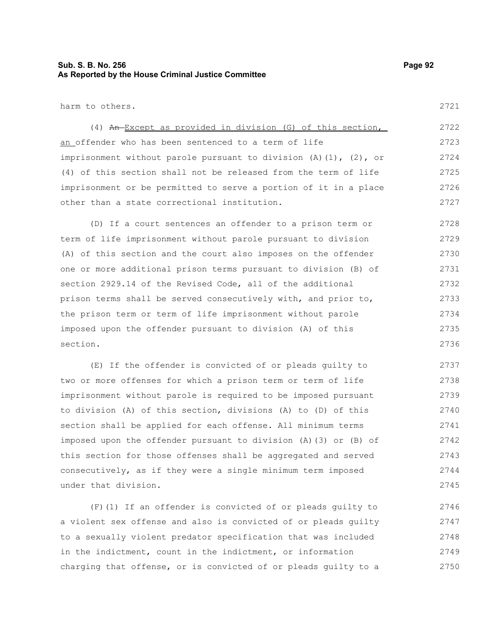# **Sub. S. B. No. 256 Page 92 As Reported by the House Criminal Justice Committee**

harm to others.

(4) An Except as provided in division (G) of this section, an offender who has been sentenced to a term of life imprisonment without parole pursuant to division (A)(1), (2), or (4) of this section shall not be released from the term of life imprisonment or be permitted to serve a portion of it in a place other than a state correctional institution. 2722 2723 2724 2725 2726 2727

(D) If a court sentences an offender to a prison term or term of life imprisonment without parole pursuant to division (A) of this section and the court also imposes on the offender one or more additional prison terms pursuant to division (B) of section 2929.14 of the Revised Code, all of the additional prison terms shall be served consecutively with, and prior to, the prison term or term of life imprisonment without parole imposed upon the offender pursuant to division (A) of this section. 2728 2729 2730 2731 2732 2733 2734 2735 2736

(E) If the offender is convicted of or pleads guilty to two or more offenses for which a prison term or term of life imprisonment without parole is required to be imposed pursuant to division (A) of this section, divisions (A) to (D) of this section shall be applied for each offense. All minimum terms imposed upon the offender pursuant to division (A)(3) or (B) of this section for those offenses shall be aggregated and served consecutively, as if they were a single minimum term imposed under that division. 2737 2738 2739 2740 2741 2742 2743 2744 2745

(F)(1) If an offender is convicted of or pleads guilty to a violent sex offense and also is convicted of or pleads guilty to a sexually violent predator specification that was included in the indictment, count in the indictment, or information charging that offense, or is convicted of or pleads guilty to a 2746 2747 2748 2749 2750

2721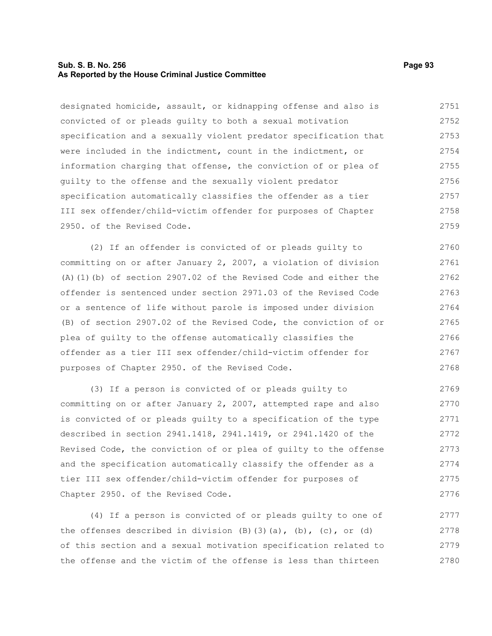# **Sub. S. B. No. 256 Page 93 As Reported by the House Criminal Justice Committee**

designated homicide, assault, or kidnapping offense and also is convicted of or pleads guilty to both a sexual motivation specification and a sexually violent predator specification that were included in the indictment, count in the indictment, or information charging that offense, the conviction of or plea of guilty to the offense and the sexually violent predator specification automatically classifies the offender as a tier III sex offender/child-victim offender for purposes of Chapter 2950. of the Revised Code. 2751 2752 2753 2754 2755 2756 2757 2758 2759

(2) If an offender is convicted of or pleads guilty to committing on or after January 2, 2007, a violation of division (A)(1)(b) of section 2907.02 of the Revised Code and either the offender is sentenced under section 2971.03 of the Revised Code or a sentence of life without parole is imposed under division (B) of section 2907.02 of the Revised Code, the conviction of or plea of guilty to the offense automatically classifies the offender as a tier III sex offender/child-victim offender for purposes of Chapter 2950. of the Revised Code. 2760 2761 2762 2763 2764 2765 2766 2767 2768

(3) If a person is convicted of or pleads guilty to committing on or after January 2, 2007, attempted rape and also is convicted of or pleads guilty to a specification of the type described in section 2941.1418, 2941.1419, or 2941.1420 of the Revised Code, the conviction of or plea of guilty to the offense and the specification automatically classify the offender as a tier III sex offender/child-victim offender for purposes of Chapter 2950. of the Revised Code. 2769 2770 2771 2772 2773 2774 2775 2776

(4) If a person is convicted of or pleads guilty to one of the offenses described in division  $(B)$   $(3)$   $(a)$ ,  $(b)$ ,  $(c)$ , or  $(d)$ of this section and a sexual motivation specification related to the offense and the victim of the offense is less than thirteen 2777 2778 2779 2780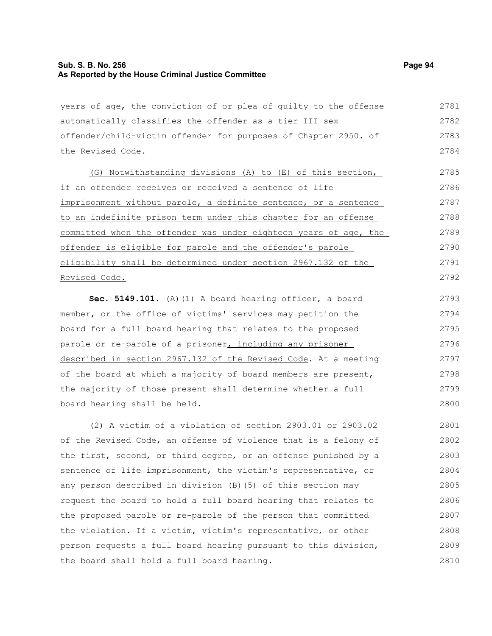# **Sub. S. B. No. 256 Page 94 As Reported by the House Criminal Justice Committee**

years of age, the conviction of or plea of guilty to the offense automatically classifies the offender as a tier III sex offender/child-victim offender for purposes of Chapter 2950. of the Revised Code. (G) Notwithstanding divisions (A) to (E) of this section, if an offender receives or received a sentence of life imprisonment without parole, a definite sentence, or a sentence to an indefinite prison term under this chapter for an offense committed when the offender was under eighteen years of age, the offender is eligible for parole and the offender's parole eligibility shall be determined under section 2967.132 of the Revised Code. **Sec. 5149.101.** (A)(1) A board hearing officer, a board member, or the office of victims' services may petition the board for a full board hearing that relates to the proposed parole or re-parole of a prisoner, including any prisoner described in section 2967.132 of the Revised Code. At a meeting of the board at which a majority of board members are present, the majority of those present shall determine whether a full board hearing shall be held. (2) A victim of a violation of section 2903.01 or 2903.02 of the Revised Code, an offense of violence that is a felony of the first, second, or third degree, or an offense punished by a sentence of life imprisonment, the victim's representative, or any person described in division (B)(5) of this section may request the board to hold a full board hearing that relates to the proposed parole or re-parole of the person that committed 2781 2782 2783 2784 2785 2786 2787 2788 2789 2790 2791 2792 2793 2794 2795 2796 2797 2798 2799 2800 2801 2802 2803 2804 2805 2806 2807

the violation. If a victim, victim's representative, or other person requests a full board hearing pursuant to this division, the board shall hold a full board hearing. 2808 2809 2810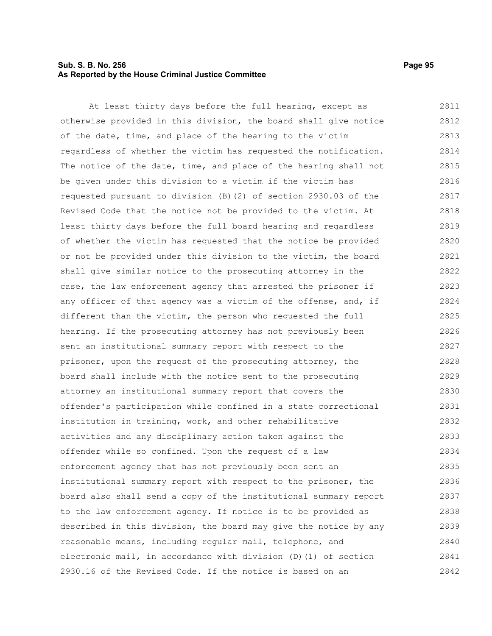# **Sub. S. B. No. 256 Page 95 As Reported by the House Criminal Justice Committee**

At least thirty days before the full hearing, except as otherwise provided in this division, the board shall give notice of the date, time, and place of the hearing to the victim regardless of whether the victim has requested the notification. The notice of the date, time, and place of the hearing shall not be given under this division to a victim if the victim has requested pursuant to division (B)(2) of section 2930.03 of the Revised Code that the notice not be provided to the victim. At least thirty days before the full board hearing and regardless of whether the victim has requested that the notice be provided or not be provided under this division to the victim, the board shall give similar notice to the prosecuting attorney in the case, the law enforcement agency that arrested the prisoner if any officer of that agency was a victim of the offense, and, if different than the victim, the person who requested the full hearing. If the prosecuting attorney has not previously been sent an institutional summary report with respect to the prisoner, upon the request of the prosecuting attorney, the board shall include with the notice sent to the prosecuting attorney an institutional summary report that covers the offender's participation while confined in a state correctional institution in training, work, and other rehabilitative activities and any disciplinary action taken against the offender while so confined. Upon the request of a law enforcement agency that has not previously been sent an institutional summary report with respect to the prisoner, the board also shall send a copy of the institutional summary report to the law enforcement agency. If notice is to be provided as described in this division, the board may give the notice by any reasonable means, including regular mail, telephone, and electronic mail, in accordance with division (D)(1) of section 2930.16 of the Revised Code. If the notice is based on an 2811 2812 2813 2814 2815 2816 2817 2818 2819 2820 2821 2822 2823 2824 2825 2826 2827 2828 2829 2830 2831 2832 2833 2834 2835 2836 2837 2838 2839 2840 2841 2842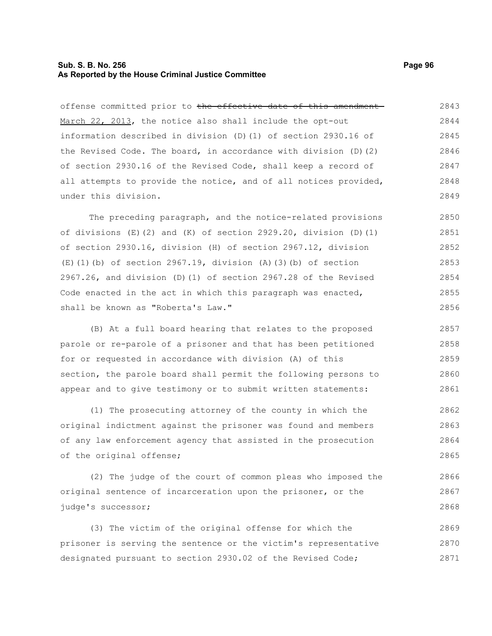# **Sub. S. B. No. 256 Page 96 As Reported by the House Criminal Justice Committee**

offense committed prior to the effective date of this amendment March 22, 2013, the notice also shall include the opt-out information described in division (D)(1) of section 2930.16 of the Revised Code. The board, in accordance with division (D)(2) of section 2930.16 of the Revised Code, shall keep a record of all attempts to provide the notice, and of all notices provided, under this division. 2843 2844 2845 2846 2847 2848 2849

The preceding paragraph, and the notice-related provisions of divisions (E)(2) and (K) of section 2929.20, division (D)(1) of section 2930.16, division (H) of section 2967.12, division  $(E)$ (1)(b) of section 2967.19, division (A)(3)(b) of section 2967.26, and division (D)(1) of section 2967.28 of the Revised Code enacted in the act in which this paragraph was enacted, shall be known as "Roberta's Law." 2850 2851 2852 2853 2854 2855 2856

(B) At a full board hearing that relates to the proposed parole or re-parole of a prisoner and that has been petitioned for or requested in accordance with division (A) of this section, the parole board shall permit the following persons to appear and to give testimony or to submit written statements: 2857 2858 2859 2860 2861

(1) The prosecuting attorney of the county in which the original indictment against the prisoner was found and members of any law enforcement agency that assisted in the prosecution of the original offense; 2862 2863 2864 2865

(2) The judge of the court of common pleas who imposed the original sentence of incarceration upon the prisoner, or the judge's successor; 2866 2867 2868

(3) The victim of the original offense for which the prisoner is serving the sentence or the victim's representative designated pursuant to section 2930.02 of the Revised Code; 2869 2870 2871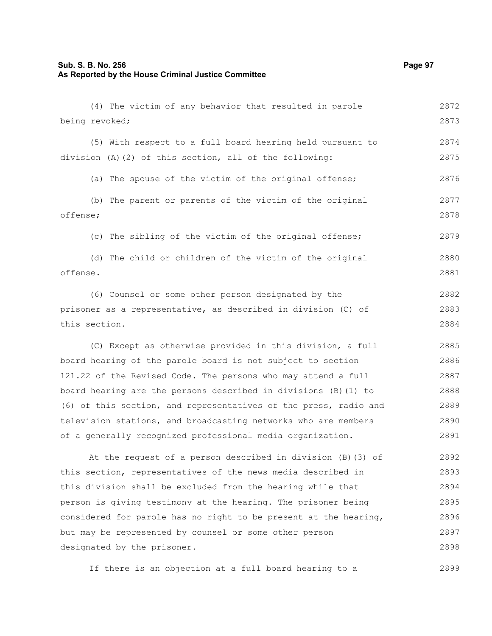# **Sub. S. B. No. 256 Page 97 As Reported by the House Criminal Justice Committee**

(4) The victim of any behavior that resulted in parole being revoked; (5) With respect to a full board hearing held pursuant to division (A)(2) of this section, all of the following: (a) The spouse of the victim of the original offense; (b) The parent or parents of the victim of the original offense; (c) The sibling of the victim of the original offense; (d) The child or children of the victim of the original offense. (6) Counsel or some other person designated by the prisoner as a representative, as described in division (C) of this section. (C) Except as otherwise provided in this division, a full board hearing of the parole board is not subject to section 121.22 of the Revised Code. The persons who may attend a full board hearing are the persons described in divisions (B)(1) to (6) of this section, and representatives of the press, radio and television stations, and broadcasting networks who are members of a generally recognized professional media organization. At the request of a person described in division (B)(3) of this section, representatives of the news media described in this division shall be excluded from the hearing while that person is giving testimony at the hearing. The prisoner being considered for parole has no right to be present at the hearing, but may be represented by counsel or some other person designated by the prisoner. 2872 2873 2874 2875 2876 2877 2878 2879 2880 2881 2882 2883 2884 2885 2886 2887 2888 2889 2890 2891 2892 2893 2894 2895 2896 2897 2898

If there is an objection at a full board hearing to a

2899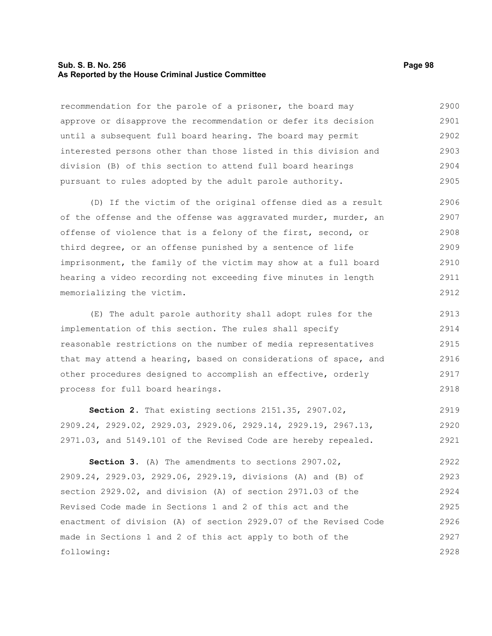#### **Sub. S. B. No. 256 Page 98 As Reported by the House Criminal Justice Committee**

recommendation for the parole of a prisoner, the board may approve or disapprove the recommendation or defer its decision until a subsequent full board hearing. The board may permit interested persons other than those listed in this division and division (B) of this section to attend full board hearings pursuant to rules adopted by the adult parole authority. 2900 2901 2902 2903 2904 2905

(D) If the victim of the original offense died as a result of the offense and the offense was aggravated murder, murder, an offense of violence that is a felony of the first, second, or third degree, or an offense punished by a sentence of life imprisonment, the family of the victim may show at a full board hearing a video recording not exceeding five minutes in length memorializing the victim. 2906 2907 2908 2909 2910 2911 2912

(E) The adult parole authority shall adopt rules for the implementation of this section. The rules shall specify reasonable restrictions on the number of media representatives that may attend a hearing, based on considerations of space, and other procedures designed to accomplish an effective, orderly process for full board hearings. 2913 2914 2915 2916 2917 2918

**Section 2.** That existing sections 2151.35, 2907.02, 2909.24, 2929.02, 2929.03, 2929.06, 2929.14, 2929.19, 2967.13, 2971.03, and 5149.101 of the Revised Code are hereby repealed. 2919 2920 2921

**Section 3.** (A) The amendments to sections 2907.02, 2909.24, 2929.03, 2929.06, 2929.19, divisions (A) and (B) of section 2929.02, and division (A) of section 2971.03 of the Revised Code made in Sections 1 and 2 of this act and the enactment of division (A) of section 2929.07 of the Revised Code made in Sections 1 and 2 of this act apply to both of the following: 2922 2923 2924 2925 2926 2927 2928